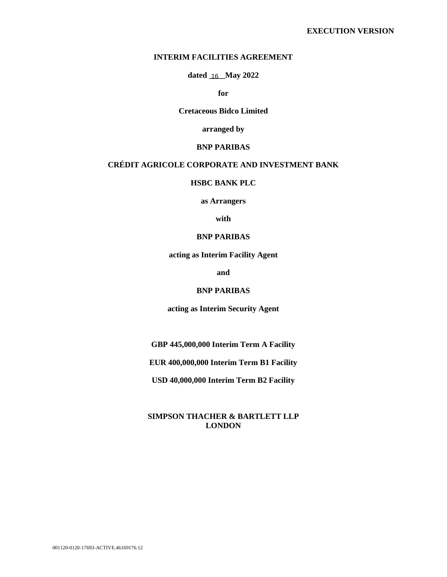## **INTERIM FACILITIES AGREEMENT**

dated <u>16</u> May 2022

**for** 

**Cretaceous Bidco Limited** 

**arranged by** 

#### **BNP PARIBAS**

# **CRÉDIT AGRICOLE CORPORATE AND INVESTMENT BANK**

**HSBC BANK PLC** 

**as Arrangers** 

**with** 

## **BNP PARIBAS**

**acting as Interim Facility Agent** 

**and** 

### **BNP PARIBAS**

**acting as Interim Security Agent** 

**GBP 445,000,000 Interim Term A Facility** 

**EUR 400,000,000 Interim Term B1 Facility** 

**USD 40,000,000 Interim Term B2 Facility** 

**SIMPSON THACHER & BARTLETT LLP LONDON**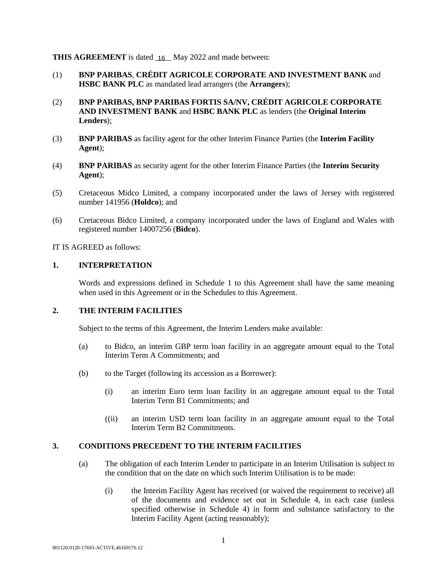**THIS AGREEMENT** is dated **16** May 2022 and made between:

- (1) **BNP PARIBAS**, **CRÉDIT AGRICOLE CORPORATE AND INVESTMENT BANK** and **HSBC BANK PLC** as mandated lead arrangers (the **Arrangers**);
- (2) **BNP PARIBAS, BNP PARIBAS FORTIS SA/NV, CRÉDIT AGRICOLE CORPORATE AND INVESTMENT BANK** and **HSBC BANK PLC** as lenders (the **Original Interim Lenders**);
- (3) **BNP PARIBAS** as facility agent for the other Interim Finance Parties (the **Interim Facility Agent**);
- (4) **BNP PARIBAS** as security agent for the other Interim Finance Parties (the **Interim Security Agent**);
- (5) Cretaceous Midco Limited, a company incorporated under the laws of Jersey with registered number 141956 (**Holdco**); and
- (6) Cretaceous Bidco Limited, a company incorporated under the laws of England and Wales with registered number 14007256 (**Bidco**).

IT IS AGREED as follows:

### **1. INTERPRETATION**

Words and expressions defined in Schedule 1 to this Agreement shall have the same meaning when used in this Agreement or in the Schedules to this Agreement.

## **2. THE INTERIM FACILITIES**

Subject to the terms of this Agreement, the Interim Lenders make available:

- (a) to Bidco, an interim GBP term loan facility in an aggregate amount equal to the Total Interim Term A Commitments; and
- (b) to the Target (following its accession as a Borrower):
	- (i) an interim Euro term loan facility in an aggregate amount equal to the Total Interim Term B1 Commitments; and
	- ((ii) an interim USD term loan facility in an aggregate amount equal to the Total Interim Term B2 Commitments.

## **3. CONDITIONS PRECEDENT TO THE INTERIM FACILITIES**

- (a) The obligation of each Interim Lender to participate in an Interim Utilisation is subject to the condition that on the date on which such Interim Utilisation is to be made:
	- (i) the Interim Facility Agent has received (or waived the requirement to receive) all of the documents and evidence set out in Schedule 4, in each case (unless specified otherwise in Schedule 4) in form and substance satisfactory to the Interim Facility Agent (acting reasonably);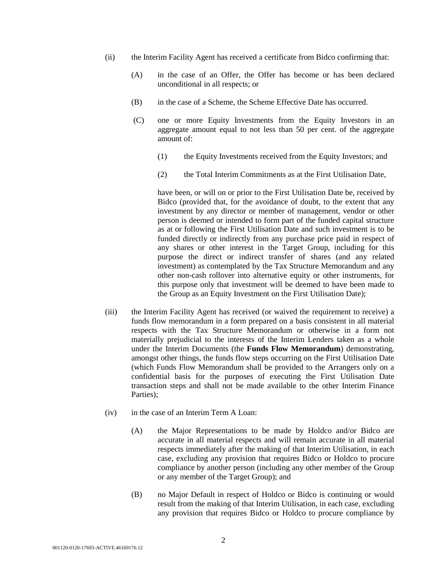- (ii) the Interim Facility Agent has received a certificate from Bidco confirming that:
	- (A) in the case of an Offer, the Offer has become or has been declared unconditional in all respects; or
	- (B) in the case of a Scheme, the Scheme Effective Date has occurred.
	- (C) one or more Equity Investments from the Equity Investors in an aggregate amount equal to not less than 50 per cent. of the aggregate amount of:
		- (1) the Equity Investments received from the Equity Investors; and
		- (2) the Total Interim Commitments as at the First Utilisation Date,

have been, or will on or prior to the First Utilisation Date be, received by Bidco (provided that, for the avoidance of doubt, to the extent that any investment by any director or member of management, vendor or other person is deemed or intended to form part of the funded capital structure as at or following the First Utilisation Date and such investment is to be funded directly or indirectly from any purchase price paid in respect of any shares or other interest in the Target Group, including for this purpose the direct or indirect transfer of shares (and any related investment) as contemplated by the Tax Structure Memorandum and any other non-cash rollover into alternative equity or other instruments, for this purpose only that investment will be deemed to have been made to the Group as an Equity Investment on the First Utilisation Date);

- (iii) the Interim Facility Agent has received (or waived the requirement to receive) a funds flow memorandum in a form prepared on a basis consistent in all material respects with the Tax Structure Memorandum or otherwise in a form not materially prejudicial to the interests of the Interim Lenders taken as a whole under the Interim Documents (the **Funds Flow Memorandum**) demonstrating, amongst other things, the funds flow steps occurring on the First Utilisation Date (which Funds Flow Memorandum shall be provided to the Arrangers only on a confidential basis for the purposes of executing the First Utilisation Date transaction steps and shall not be made available to the other Interim Finance Parties);
- (iv) in the case of an Interim Term A Loan:
	- (A) the Major Representations to be made by Holdco and/or Bidco are accurate in all material respects and will remain accurate in all material respects immediately after the making of that Interim Utilisation, in each case, excluding any provision that requires Bidco or Holdco to procure compliance by another person (including any other member of the Group or any member of the Target Group); and
	- (B) no Major Default in respect of Holdco or Bidco is continuing or would result from the making of that Interim Utilisation, in each case, excluding any provision that requires Bidco or Holdco to procure compliance by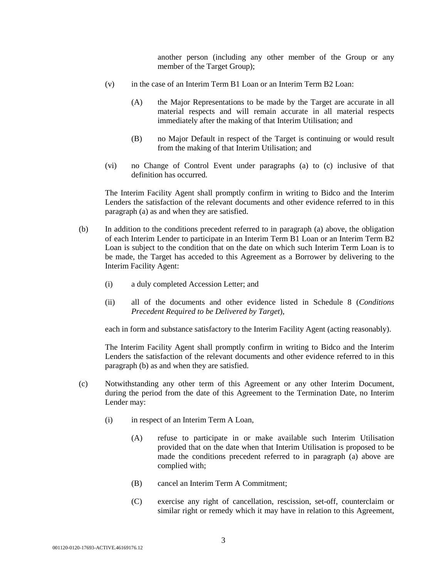another person (including any other member of the Group or any member of the Target Group);

- (v) in the case of an Interim Term B1 Loan or an Interim Term B2 Loan:
	- (A) the Major Representations to be made by the Target are accurate in all material respects and will remain accurate in all material respects immediately after the making of that Interim Utilisation; and
	- (B) no Major Default in respect of the Target is continuing or would result from the making of that Interim Utilisation; and
- (vi) no Change of Control Event under paragraphs (a) to (c) inclusive of that definition has occurred.

The Interim Facility Agent shall promptly confirm in writing to Bidco and the Interim Lenders the satisfaction of the relevant documents and other evidence referred to in this paragraph (a) as and when they are satisfied.

- (b) In addition to the conditions precedent referred to in paragraph (a) above, the obligation of each Interim Lender to participate in an Interim Term B1 Loan or an Interim Term B2 Loan is subject to the condition that on the date on which such Interim Term Loan is to be made, the Target has acceded to this Agreement as a Borrower by delivering to the Interim Facility Agent:
	- (i) a duly completed Accession Letter; and
	- (ii) all of the documents and other evidence listed in Schedule 8 (*Conditions Precedent Required to be Delivered by Target*),

each in form and substance satisfactory to the Interim Facility Agent (acting reasonably).

The Interim Facility Agent shall promptly confirm in writing to Bidco and the Interim Lenders the satisfaction of the relevant documents and other evidence referred to in this paragraph (b) as and when they are satisfied.

- (c) Notwithstanding any other term of this Agreement or any other Interim Document, during the period from the date of this Agreement to the Termination Date, no Interim Lender may:
	- (i) in respect of an Interim Term A Loan,
		- (A) refuse to participate in or make available such Interim Utilisation provided that on the date when that Interim Utilisation is proposed to be made the conditions precedent referred to in paragraph (a) above are complied with;
		- (B) cancel an Interim Term A Commitment;
		- (C) exercise any right of cancellation, rescission, set-off, counterclaim or similar right or remedy which it may have in relation to this Agreement,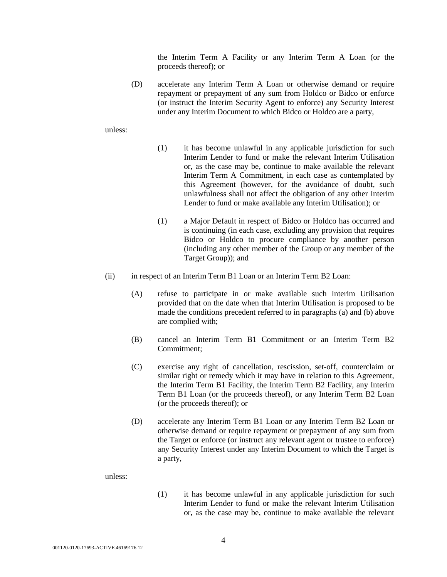the Interim Term A Facility or any Interim Term A Loan (or the proceeds thereof); or

(D) accelerate any Interim Term A Loan or otherwise demand or require repayment or prepayment of any sum from Holdco or Bidco or enforce (or instruct the Interim Security Agent to enforce) any Security Interest under any Interim Document to which Bidco or Holdco are a party,

#### unless:

- (1) it has become unlawful in any applicable jurisdiction for such Interim Lender to fund or make the relevant Interim Utilisation or, as the case may be, continue to make available the relevant Interim Term A Commitment, in each case as contemplated by this Agreement (however, for the avoidance of doubt, such unlawfulness shall not affect the obligation of any other Interim Lender to fund or make available any Interim Utilisation); or
- (1) a Major Default in respect of Bidco or Holdco has occurred and is continuing (in each case, excluding any provision that requires Bidco or Holdco to procure compliance by another person (including any other member of the Group or any member of the Target Group)); and
- (ii) in respect of an Interim Term B1 Loan or an Interim Term B2 Loan:
	- (A) refuse to participate in or make available such Interim Utilisation provided that on the date when that Interim Utilisation is proposed to be made the conditions precedent referred to in paragraphs (a) and (b) above are complied with;
	- (B) cancel an Interim Term B1 Commitment or an Interim Term B2 Commitment;
	- (C) exercise any right of cancellation, rescission, set-off, counterclaim or similar right or remedy which it may have in relation to this Agreement, the Interim Term B1 Facility, the Interim Term B2 Facility, any Interim Term B1 Loan (or the proceeds thereof), or any Interim Term B2 Loan (or the proceeds thereof); or
	- (D) accelerate any Interim Term B1 Loan or any Interim Term B2 Loan or otherwise demand or require repayment or prepayment of any sum from the Target or enforce (or instruct any relevant agent or trustee to enforce) any Security Interest under any Interim Document to which the Target is a party,

#### unless:

(1) it has become unlawful in any applicable jurisdiction for such Interim Lender to fund or make the relevant Interim Utilisation or, as the case may be, continue to make available the relevant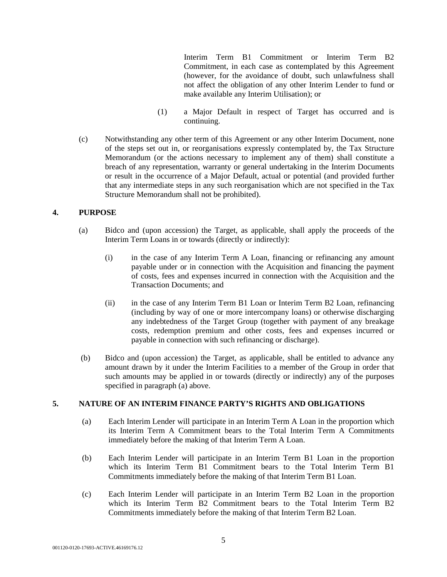Interim Term B1 Commitment or Interim Term B2 Commitment, in each case as contemplated by this Agreement (however, for the avoidance of doubt, such unlawfulness shall not affect the obligation of any other Interim Lender to fund or make available any Interim Utilisation); or

- (1) a Major Default in respect of Target has occurred and is continuing.
- (c) Notwithstanding any other term of this Agreement or any other Interim Document, none of the steps set out in, or reorganisations expressly contemplated by, the Tax Structure Memorandum (or the actions necessary to implement any of them) shall constitute a breach of any representation, warranty or general undertaking in the Interim Documents or result in the occurrence of a Major Default, actual or potential (and provided further that any intermediate steps in any such reorganisation which are not specified in the Tax Structure Memorandum shall not be prohibited).

## **4. PURPOSE**

- (a) Bidco and (upon accession) the Target, as applicable, shall apply the proceeds of the Interim Term Loans in or towards (directly or indirectly):
	- (i) in the case of any Interim Term A Loan, financing or refinancing any amount payable under or in connection with the Acquisition and financing the payment of costs, fees and expenses incurred in connection with the Acquisition and the Transaction Documents; and
	- (ii) in the case of any Interim Term B1 Loan or Interim Term B2 Loan, refinancing (including by way of one or more intercompany loans) or otherwise discharging any indebtedness of the Target Group (together with payment of any breakage costs, redemption premium and other costs, fees and expenses incurred or payable in connection with such refinancing or discharge).
- (b) Bidco and (upon accession) the Target, as applicable, shall be entitled to advance any amount drawn by it under the Interim Facilities to a member of the Group in order that such amounts may be applied in or towards (directly or indirectly) any of the purposes specified in paragraph (a) above.

## **5. NATURE OF AN INTERIM FINANCE PARTY'S RIGHTS AND OBLIGATIONS**

- (a) Each Interim Lender will participate in an Interim Term A Loan in the proportion which its Interim Term A Commitment bears to the Total Interim Term A Commitments immediately before the making of that Interim Term A Loan.
- (b) Each Interim Lender will participate in an Interim Term B1 Loan in the proportion which its Interim Term B1 Commitment bears to the Total Interim Term B1 Commitments immediately before the making of that Interim Term B1 Loan.
- (c) Each Interim Lender will participate in an Interim Term B2 Loan in the proportion which its Interim Term B2 Commitment bears to the Total Interim Term B2 Commitments immediately before the making of that Interim Term B2 Loan.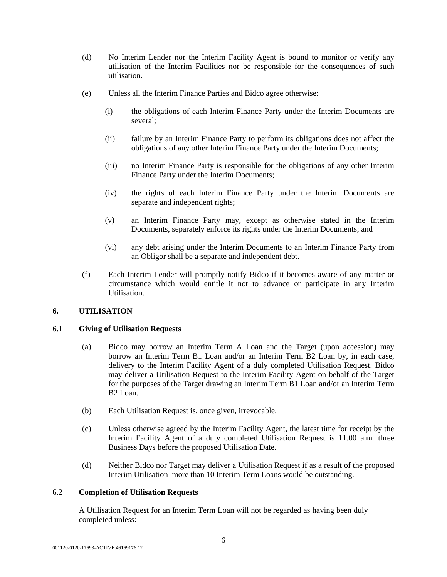- (d) No Interim Lender nor the Interim Facility Agent is bound to monitor or verify any utilisation of the Interim Facilities nor be responsible for the consequences of such utilisation.
- (e) Unless all the Interim Finance Parties and Bidco agree otherwise:
	- (i) the obligations of each Interim Finance Party under the Interim Documents are several;
	- (ii) failure by an Interim Finance Party to perform its obligations does not affect the obligations of any other Interim Finance Party under the Interim Documents;
	- (iii) no Interim Finance Party is responsible for the obligations of any other Interim Finance Party under the Interim Documents;
	- (iv) the rights of each Interim Finance Party under the Interim Documents are separate and independent rights;
	- (v) an Interim Finance Party may, except as otherwise stated in the Interim Documents, separately enforce its rights under the Interim Documents; and
	- (vi) any debt arising under the Interim Documents to an Interim Finance Party from an Obligor shall be a separate and independent debt.
- (f) Each Interim Lender will promptly notify Bidco if it becomes aware of any matter or circumstance which would entitle it not to advance or participate in any Interim Utilisation.

## **6. UTILISATION**

#### 6.1 **Giving of Utilisation Requests**

- (a) Bidco may borrow an Interim Term A Loan and the Target (upon accession) may borrow an Interim Term B1 Loan and/or an Interim Term B2 Loan by, in each case, delivery to the Interim Facility Agent of a duly completed Utilisation Request. Bidco may deliver a Utilisation Request to the Interim Facility Agent on behalf of the Target for the purposes of the Target drawing an Interim Term B1 Loan and/or an Interim Term B2 Loan.
- (b) Each Utilisation Request is, once given, irrevocable.
- (c) Unless otherwise agreed by the Interim Facility Agent, the latest time for receipt by the Interim Facility Agent of a duly completed Utilisation Request is 11.00 a.m. three Business Days before the proposed Utilisation Date.
- (d) Neither Bidco nor Target may deliver a Utilisation Request if as a result of the proposed Interim Utilisation more than 10 Interim Term Loans would be outstanding.

### 6.2 **Completion of Utilisation Requests**

A Utilisation Request for an Interim Term Loan will not be regarded as having been duly completed unless: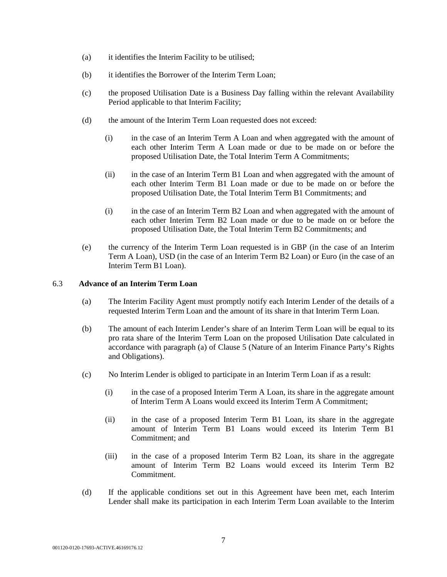- (a) it identifies the Interim Facility to be utilised;
- (b) it identifies the Borrower of the Interim Term Loan;
- (c) the proposed Utilisation Date is a Business Day falling within the relevant Availability Period applicable to that Interim Facility;
- (d) the amount of the Interim Term Loan requested does not exceed:
	- (i) in the case of an Interim Term A Loan and when aggregated with the amount of each other Interim Term A Loan made or due to be made on or before the proposed Utilisation Date, the Total Interim Term A Commitments;
	- (ii) in the case of an Interim Term B1 Loan and when aggregated with the amount of each other Interim Term B1 Loan made or due to be made on or before the proposed Utilisation Date, the Total Interim Term B1 Commitments; and
	- (i) in the case of an Interim Term B2 Loan and when aggregated with the amount of each other Interim Term B2 Loan made or due to be made on or before the proposed Utilisation Date, the Total Interim Term B2 Commitments; and
- (e) the currency of the Interim Term Loan requested is in GBP (in the case of an Interim Term A Loan), USD (in the case of an Interim Term B2 Loan) or Euro (in the case of an Interim Term B1 Loan).

#### 6.3 **Advance of an Interim Term Loan**

- (a) The Interim Facility Agent must promptly notify each Interim Lender of the details of a requested Interim Term Loan and the amount of its share in that Interim Term Loan.
- (b) The amount of each Interim Lender's share of an Interim Term Loan will be equal to its pro rata share of the Interim Term Loan on the proposed Utilisation Date calculated in accordance with paragraph (a) of Clause 5 (Nature of an Interim Finance Party's Rights and Obligations).
- (c) No Interim Lender is obliged to participate in an Interim Term Loan if as a result:
	- (i) in the case of a proposed Interim Term A Loan, its share in the aggregate amount of Interim Term A Loans would exceed its Interim Term A Commitment;
	- (ii) in the case of a proposed Interim Term B1 Loan, its share in the aggregate amount of Interim Term B1 Loans would exceed its Interim Term B1 Commitment; and
	- (iii) in the case of a proposed Interim Term B2 Loan, its share in the aggregate amount of Interim Term B2 Loans would exceed its Interim Term B2 Commitment.
- (d) If the applicable conditions set out in this Agreement have been met, each Interim Lender shall make its participation in each Interim Term Loan available to the Interim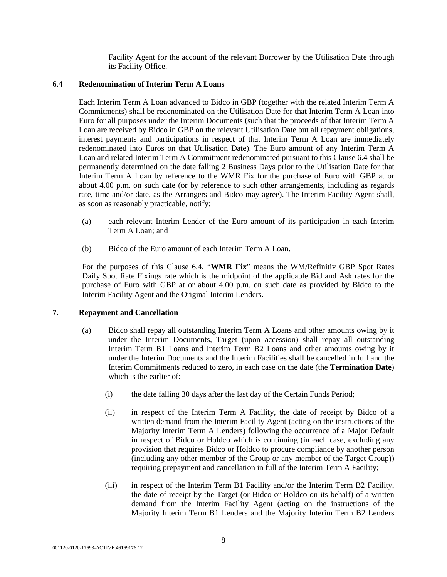Facility Agent for the account of the relevant Borrower by the Utilisation Date through its Facility Office.

# 6.4 **Redenomination of Interim Term A Loans**

Each Interim Term A Loan advanced to Bidco in GBP (together with the related Interim Term A Commitments) shall be redenominated on the Utilisation Date for that Interim Term A Loan into Euro for all purposes under the Interim Documents (such that the proceeds of that Interim Term A Loan are received by Bidco in GBP on the relevant Utilisation Date but all repayment obligations, interest payments and participations in respect of that Interim Term A Loan are immediately redenominated into Euros on that Utilisation Date). The Euro amount of any Interim Term A Loan and related Interim Term A Commitment redenominated pursuant to this Clause 6.4 shall be permanently determined on the date falling 2 Business Days prior to the Utilisation Date for that Interim Term A Loan by reference to the WMR Fix for the purchase of Euro with GBP at or about 4.00 p.m. on such date (or by reference to such other arrangements, including as regards rate, time and/or date, as the Arrangers and Bidco may agree). The Interim Facility Agent shall, as soon as reasonably practicable, notify:

- (a) each relevant Interim Lender of the Euro amount of its participation in each Interim Term A Loan; and
- (b) Bidco of the Euro amount of each Interim Term A Loan.

For the purposes of this Clause 6.4, "**WMR Fix**" means the WM/Refinitiv GBP Spot Rates Daily Spot Rate Fixings rate which is the midpoint of the applicable Bid and Ask rates for the purchase of Euro with GBP at or about 4.00 p.m. on such date as provided by Bidco to the Interim Facility Agent and the Original Interim Lenders.

## **7. Repayment and Cancellation**

- (a) Bidco shall repay all outstanding Interim Term A Loans and other amounts owing by it under the Interim Documents, Target (upon accession) shall repay all outstanding Interim Term B1 Loans and Interim Term B2 Loans and other amounts owing by it under the Interim Documents and the Interim Facilities shall be cancelled in full and the Interim Commitments reduced to zero, in each case on the date (the **Termination Date**) which is the earlier of:
	- (i) the date falling 30 days after the last day of the Certain Funds Period;
	- (ii) in respect of the Interim Term A Facility, the date of receipt by Bidco of a written demand from the Interim Facility Agent (acting on the instructions of the Majority Interim Term A Lenders) following the occurrence of a Major Default in respect of Bidco or Holdco which is continuing (in each case, excluding any provision that requires Bidco or Holdco to procure compliance by another person (including any other member of the Group or any member of the Target Group)) requiring prepayment and cancellation in full of the Interim Term A Facility;
	- (iii) in respect of the Interim Term B1 Facility and/or the Interim Term B2 Facility, the date of receipt by the Target (or Bidco or Holdco on its behalf) of a written demand from the Interim Facility Agent (acting on the instructions of the Majority Interim Term B1 Lenders and the Majority Interim Term B2 Lenders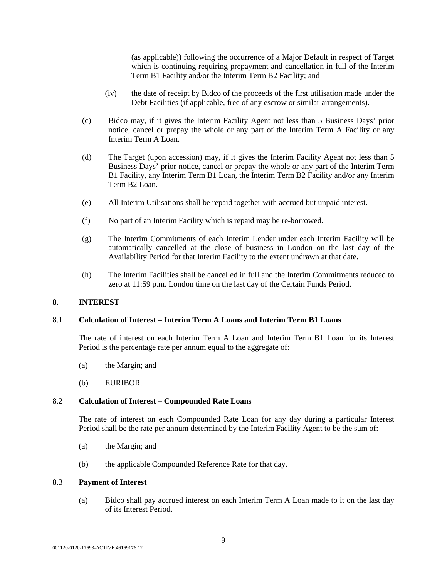(as applicable)) following the occurrence of a Major Default in respect of Target which is continuing requiring prepayment and cancellation in full of the Interim Term B1 Facility and/or the Interim Term B2 Facility; and

- (iv) the date of receipt by Bidco of the proceeds of the first utilisation made under the Debt Facilities (if applicable, free of any escrow or similar arrangements).
- (c) Bidco may, if it gives the Interim Facility Agent not less than 5 Business Days' prior notice, cancel or prepay the whole or any part of the Interim Term A Facility or any Interim Term A Loan.
- (d) The Target (upon accession) may, if it gives the Interim Facility Agent not less than 5 Business Days' prior notice, cancel or prepay the whole or any part of the Interim Term B1 Facility, any Interim Term B1 Loan, the Interim Term B2 Facility and/or any Interim Term B2 Loan.
- (e) All Interim Utilisations shall be repaid together with accrued but unpaid interest.
- (f) No part of an Interim Facility which is repaid may be re-borrowed.
- (g) The Interim Commitments of each Interim Lender under each Interim Facility will be automatically cancelled at the close of business in London on the last day of the Availability Period for that Interim Facility to the extent undrawn at that date.
- (h) The Interim Facilities shall be cancelled in full and the Interim Commitments reduced to zero at 11:59 p.m. London time on the last day of the Certain Funds Period.

#### **8. INTEREST**

#### 8.1 **Calculation of Interest – Interim Term A Loans and Interim Term B1 Loans**

The rate of interest on each Interim Term A Loan and Interim Term B1 Loan for its Interest Period is the percentage rate per annum equal to the aggregate of:

- (a) the Margin; and
- (b) EURIBOR.

#### 8.2 **Calculation of Interest – Compounded Rate Loans**

The rate of interest on each Compounded Rate Loan for any day during a particular Interest Period shall be the rate per annum determined by the Interim Facility Agent to be the sum of:

- (a) the Margin; and
- (b) the applicable Compounded Reference Rate for that day.

### 8.3 **Payment of Interest**

(a) Bidco shall pay accrued interest on each Interim Term A Loan made to it on the last day of its Interest Period.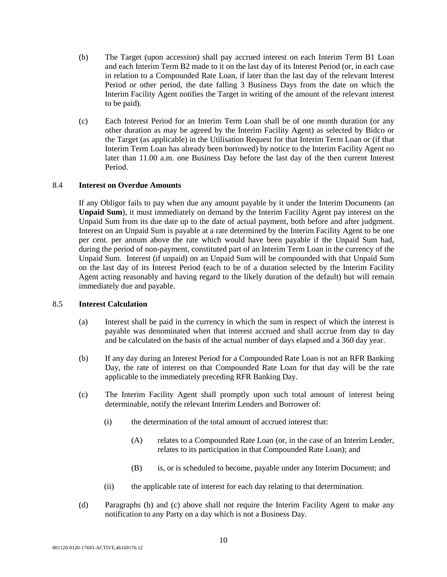- (b) The Target (upon accession) shall pay accrued interest on each Interim Term B1 Loan and each Interim Term B2 made to it on the last day of its Interest Period (or, in each case in relation to a Compounded Rate Loan, if later than the last day of the relevant Interest Period or other period, the date falling 3 Business Days from the date on which the Interim Facility Agent notifies the Target in writing of the amount of the relevant interest to be paid).
- (c) Each Interest Period for an Interim Term Loan shall be of one month duration (or any other duration as may be agreed by the Interim Facility Agent) as selected by Bidco or the Target (as applicable) in the Utilisation Request for that Interim Term Loan or (if that Interim Term Loan has already been borrowed) by notice to the Interim Facility Agent no later than 11.00 a.m. one Business Day before the last day of the then current Interest Period.

### 8.4 **Interest on Overdue Amounts**

If any Obligor fails to pay when due any amount payable by it under the Interim Documents (an **Unpaid Sum**), it must immediately on demand by the Interim Facility Agent pay interest on the Unpaid Sum from its due date up to the date of actual payment, both before and after judgment. Interest on an Unpaid Sum is payable at a rate determined by the Interim Facility Agent to be one per cent. per annum above the rate which would have been payable if the Unpaid Sum had, during the period of non-payment, constituted part of an Interim Term Loan in the currency of the Unpaid Sum. Interest (if unpaid) on an Unpaid Sum will be compounded with that Unpaid Sum on the last day of its Interest Period (each to be of a duration selected by the Interim Facility Agent acting reasonably and having regard to the likely duration of the default) but will remain immediately due and payable.

#### 8.5 **Interest Calculation**

- (a) Interest shall be paid in the currency in which the sum in respect of which the interest is payable was denominated when that interest accrued and shall accrue from day to day and be calculated on the basis of the actual number of days elapsed and a 360 day year.
- (b) If any day during an Interest Period for a Compounded Rate Loan is not an RFR Banking Day, the rate of interest on that Compounded Rate Loan for that day will be the rate applicable to the immediately preceding RFR Banking Day.
- (c) The Interim Facility Agent shall promptly upon such total amount of interest being determinable, notify the relevant Interim Lenders and Borrower of:
	- (i) the determination of the total amount of accrued interest that:
		- (A) relates to a Compounded Rate Loan (or, in the case of an Interim Lender, relates to its participation in that Compounded Rate Loan); and
		- (B) is, or is scheduled to become, payable under any Interim Document; and
	- (ii) the applicable rate of interest for each day relating to that determination.
- (d) Paragraphs (b) and (c) above shall not require the Interim Facility Agent to make any notification to any Party on a day which is not a Business Day.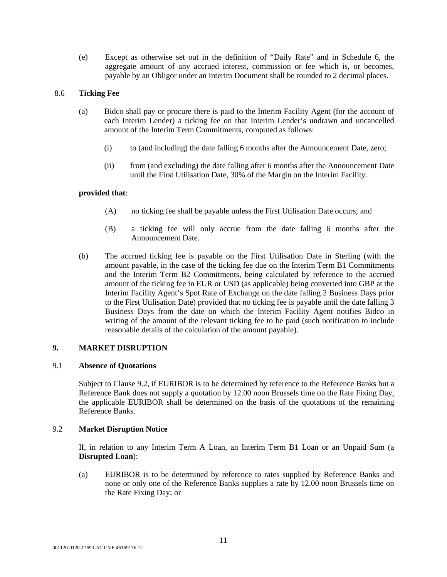(e) Except as otherwise set out in the definition of "Daily Rate" and in Schedule 6, the aggregate amount of any accrued interest, commission or fee which is, or becomes, payable by an Obligor under an Interim Document shall be rounded to 2 decimal places.

## 8.6 **Ticking Fee**

- (a) Bidco shall pay or procure there is paid to the Interim Facility Agent (for the account of each Interim Lender) a ticking fee on that Interim Lender's undrawn and uncancelled amount of the Interim Term Commitments, computed as follows:
	- (i) to (and including) the date falling 6 months after the Announcement Date, zero;
	- (ii) from (and excluding) the date falling after 6 months after the Announcement Date until the First Utilisation Date, 30% of the Margin on the Interim Facility.

## **provided that**:

- (A) no ticking fee shall be payable unless the First Utilisation Date occurs; and
- (B) a ticking fee will only accrue from the date falling 6 months after the Announcement Date.
- (b) The accrued ticking fee is payable on the First Utilisation Date in Sterling (with the amount payable, in the case of the ticking fee due on the Interim Term B1 Commitments and the Interim Term B2 Commitments, being calculated by reference to the accrued amount of the ticking fee in EUR or USD (as applicable) being converted into GBP at the Interim Facility Agent's Spot Rate of Exchange on the date falling 2 Business Days prior to the First Utilisation Date) provided that no ticking fee is payable until the date falling 3 Business Days from the date on which the Interim Facility Agent notifies Bidco in writing of the amount of the relevant ticking fee to be paid (such notification to include reasonable details of the calculation of the amount payable).

#### **9. MARKET DISRUPTION**

#### 9.1 **Absence of Quotations**

Subject to Clause 9.2, if EURIBOR is to be determined by reference to the Reference Banks but a Reference Bank does not supply a quotation by 12.00 noon Brussels time on the Rate Fixing Day, the applicable EURIBOR shall be determined on the basis of the quotations of the remaining Reference Banks.

### 9.2 **Market Disruption Notice**

If, in relation to any Interim Term A Loan, an Interim Term B1 Loan or an Unpaid Sum (a **Disrupted Loan**):

(a) EURIBOR is to be determined by reference to rates supplied by Reference Banks and none or only one of the Reference Banks supplies a rate by 12.00 noon Brussels time on the Rate Fixing Day; or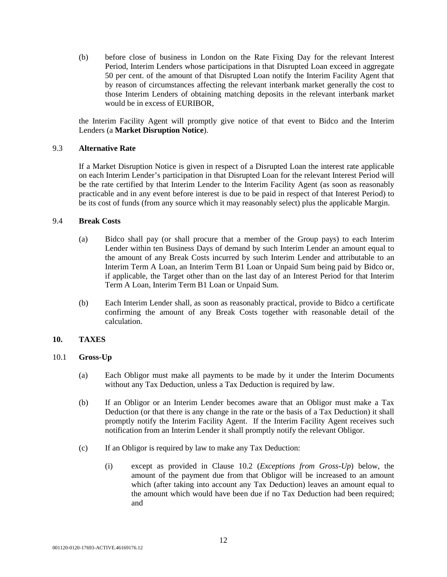(b) before close of business in London on the Rate Fixing Day for the relevant Interest Period, Interim Lenders whose participations in that Disrupted Loan exceed in aggregate 50 per cent. of the amount of that Disrupted Loan notify the Interim Facility Agent that by reason of circumstances affecting the relevant interbank market generally the cost to those Interim Lenders of obtaining matching deposits in the relevant interbank market would be in excess of EURIBOR,

the Interim Facility Agent will promptly give notice of that event to Bidco and the Interim Lenders (a **Market Disruption Notice**).

## 9.3 **Alternative Rate**

If a Market Disruption Notice is given in respect of a Disrupted Loan the interest rate applicable on each Interim Lender's participation in that Disrupted Loan for the relevant Interest Period will be the rate certified by that Interim Lender to the Interim Facility Agent (as soon as reasonably practicable and in any event before interest is due to be paid in respect of that Interest Period) to be its cost of funds (from any source which it may reasonably select) plus the applicable Margin.

### 9.4 **Break Costs**

- (a) Bidco shall pay (or shall procure that a member of the Group pays) to each Interim Lender within ten Business Days of demand by such Interim Lender an amount equal to the amount of any Break Costs incurred by such Interim Lender and attributable to an Interim Term A Loan, an Interim Term B1 Loan or Unpaid Sum being paid by Bidco or, if applicable, the Target other than on the last day of an Interest Period for that Interim Term A Loan, Interim Term B1 Loan or Unpaid Sum.
- (b) Each Interim Lender shall, as soon as reasonably practical, provide to Bidco a certificate confirming the amount of any Break Costs together with reasonable detail of the calculation.

## **10. TAXES**

#### 10.1 **Gross-Up**

- (a) Each Obligor must make all payments to be made by it under the Interim Documents without any Tax Deduction, unless a Tax Deduction is required by law.
- (b) If an Obligor or an Interim Lender becomes aware that an Obligor must make a Tax Deduction (or that there is any change in the rate or the basis of a Tax Deduction) it shall promptly notify the Interim Facility Agent. If the Interim Facility Agent receives such notification from an Interim Lender it shall promptly notify the relevant Obligor.
- (c) If an Obligor is required by law to make any Tax Deduction:
	- (i) except as provided in Clause 10.2 (*Exceptions from Gross-Up*) below, the amount of the payment due from that Obligor will be increased to an amount which (after taking into account any Tax Deduction) leaves an amount equal to the amount which would have been due if no Tax Deduction had been required; and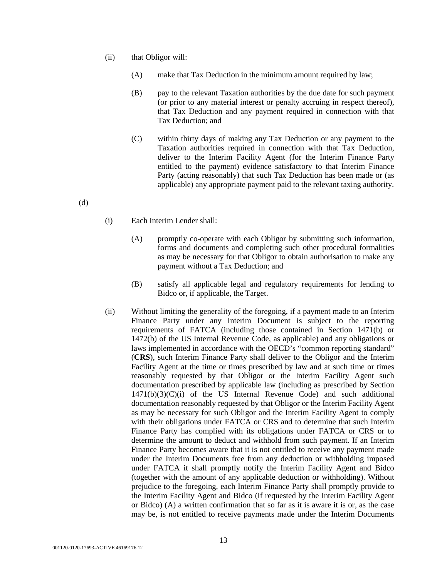- (ii) that Obligor will:
	- (A) make that Tax Deduction in the minimum amount required by law;
	- (B) pay to the relevant Taxation authorities by the due date for such payment (or prior to any material interest or penalty accruing in respect thereof), that Tax Deduction and any payment required in connection with that Tax Deduction; and
	- (C) within thirty days of making any Tax Deduction or any payment to the Taxation authorities required in connection with that Tax Deduction, deliver to the Interim Facility Agent (for the Interim Finance Party entitled to the payment) evidence satisfactory to that Interim Finance Party (acting reasonably) that such Tax Deduction has been made or (as applicable) any appropriate payment paid to the relevant taxing authority.

(d)

- (i) Each Interim Lender shall:
	- (A) promptly co-operate with each Obligor by submitting such information, forms and documents and completing such other procedural formalities as may be necessary for that Obligor to obtain authorisation to make any payment without a Tax Deduction; and
	- (B) satisfy all applicable legal and regulatory requirements for lending to Bidco or, if applicable, the Target.
- (ii) Without limiting the generality of the foregoing, if a payment made to an Interim Finance Party under any Interim Document is subject to the reporting requirements of FATCA (including those contained in Section 1471(b) or 1472(b) of the US Internal Revenue Code, as applicable) and any obligations or laws implemented in accordance with the OECD's "common reporting standard" (**CRS**), such Interim Finance Party shall deliver to the Obligor and the Interim Facility Agent at the time or times prescribed by law and at such time or times reasonably requested by that Obligor or the Interim Facility Agent such documentation prescribed by applicable law (including as prescribed by Section  $1471(b)(3)(C)(i)$  of the US Internal Revenue Code) and such additional documentation reasonably requested by that Obligor or the Interim Facility Agent as may be necessary for such Obligor and the Interim Facility Agent to comply with their obligations under FATCA or CRS and to determine that such Interim Finance Party has complied with its obligations under FATCA or CRS or to determine the amount to deduct and withhold from such payment. If an Interim Finance Party becomes aware that it is not entitled to receive any payment made under the Interim Documents free from any deduction or withholding imposed under FATCA it shall promptly notify the Interim Facility Agent and Bidco (together with the amount of any applicable deduction or withholding). Without prejudice to the foregoing, each Interim Finance Party shall promptly provide to the Interim Facility Agent and Bidco (if requested by the Interim Facility Agent or Bidco) (A) a written confirmation that so far as it is aware it is or, as the case may be, is not entitled to receive payments made under the Interim Documents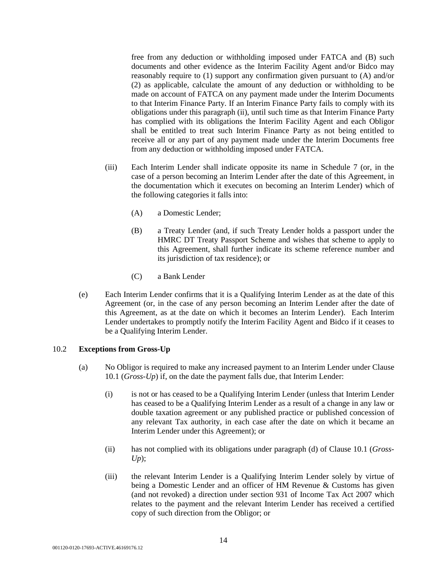free from any deduction or withholding imposed under FATCA and (B) such documents and other evidence as the Interim Facility Agent and/or Bidco may reasonably require to (1) support any confirmation given pursuant to (A) and/or (2) as applicable, calculate the amount of any deduction or withholding to be made on account of FATCA on any payment made under the Interim Documents to that Interim Finance Party. If an Interim Finance Party fails to comply with its obligations under this paragraph (ii), until such time as that Interim Finance Party has complied with its obligations the Interim Facility Agent and each Obligor shall be entitled to treat such Interim Finance Party as not being entitled to receive all or any part of any payment made under the Interim Documents free from any deduction or withholding imposed under FATCA.

- (iii) Each Interim Lender shall indicate opposite its name in Schedule 7 (or, in the case of a person becoming an Interim Lender after the date of this Agreement, in the documentation which it executes on becoming an Interim Lender) which of the following categories it falls into:
	- (A) a Domestic Lender;
	- (B) a Treaty Lender (and, if such Treaty Lender holds a passport under the HMRC DT Treaty Passport Scheme and wishes that scheme to apply to this Agreement, shall further indicate its scheme reference number and its jurisdiction of tax residence); or
	- (C) a Bank Lender
- (e) Each Interim Lender confirms that it is a Qualifying Interim Lender as at the date of this Agreement (or, in the case of any person becoming an Interim Lender after the date of this Agreement, as at the date on which it becomes an Interim Lender). Each Interim Lender undertakes to promptly notify the Interim Facility Agent and Bidco if it ceases to be a Qualifying Interim Lender.

## 10.2 **Exceptions from Gross-Up**

- (a) No Obligor is required to make any increased payment to an Interim Lender under Clause 10.1 (*Gross-Up*) if, on the date the payment falls due, that Interim Lender:
	- (i) is not or has ceased to be a Qualifying Interim Lender (unless that Interim Lender has ceased to be a Qualifying Interim Lender as a result of a change in any law or double taxation agreement or any published practice or published concession of any relevant Tax authority, in each case after the date on which it became an Interim Lender under this Agreement); or
	- (ii) has not complied with its obligations under paragraph (d) of Clause 10.1 (*Gross-Up*);
	- (iii) the relevant Interim Lender is a Qualifying Interim Lender solely by virtue of being a Domestic Lender and an officer of HM Revenue & Customs has given (and not revoked) a direction under section 931 of Income Tax Act 2007 which relates to the payment and the relevant Interim Lender has received a certified copy of such direction from the Obligor; or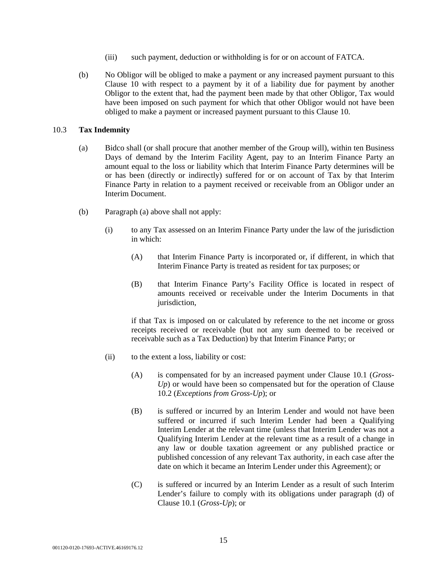- (iii) such payment, deduction or withholding is for or on account of FATCA.
- (b) No Obligor will be obliged to make a payment or any increased payment pursuant to this Clause 10 with respect to a payment by it of a liability due for payment by another Obligor to the extent that, had the payment been made by that other Obligor, Tax would have been imposed on such payment for which that other Obligor would not have been obliged to make a payment or increased payment pursuant to this Clause 10.

### 10.3 **Tax Indemnity**

- (a) Bidco shall (or shall procure that another member of the Group will), within ten Business Days of demand by the Interim Facility Agent, pay to an Interim Finance Party an amount equal to the loss or liability which that Interim Finance Party determines will be or has been (directly or indirectly) suffered for or on account of Tax by that Interim Finance Party in relation to a payment received or receivable from an Obligor under an Interim Document.
- (b) Paragraph (a) above shall not apply:
	- (i) to any Tax assessed on an Interim Finance Party under the law of the jurisdiction in which:
		- (A) that Interim Finance Party is incorporated or, if different, in which that Interim Finance Party is treated as resident for tax purposes; or
		- (B) that Interim Finance Party's Facility Office is located in respect of amounts received or receivable under the Interim Documents in that jurisdiction,

if that Tax is imposed on or calculated by reference to the net income or gross receipts received or receivable (but not any sum deemed to be received or receivable such as a Tax Deduction) by that Interim Finance Party; or

- (ii) to the extent a loss, liability or cost:
	- (A) is compensated for by an increased payment under Clause 10.1 (*Gross-Up*) or would have been so compensated but for the operation of Clause 10.2 (*Exceptions from Gross-Up*); or
	- (B) is suffered or incurred by an Interim Lender and would not have been suffered or incurred if such Interim Lender had been a Qualifying Interim Lender at the relevant time (unless that Interim Lender was not a Qualifying Interim Lender at the relevant time as a result of a change in any law or double taxation agreement or any published practice or published concession of any relevant Tax authority, in each case after the date on which it became an Interim Lender under this Agreement); or
	- (C) is suffered or incurred by an Interim Lender as a result of such Interim Lender's failure to comply with its obligations under paragraph (d) of Clause 10.1 (*Gross-Up*); or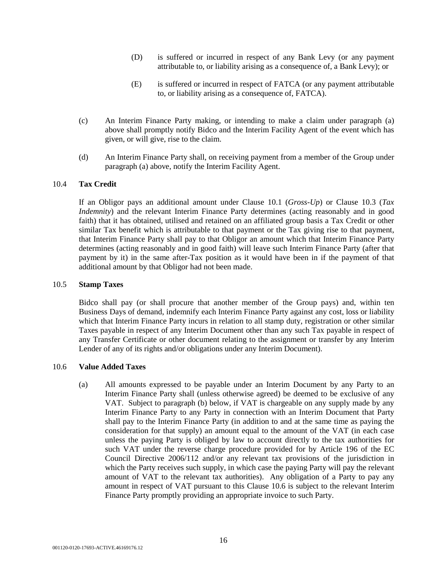- (D) is suffered or incurred in respect of any Bank Levy (or any payment attributable to, or liability arising as a consequence of, a Bank Levy); or
- (E) is suffered or incurred in respect of FATCA (or any payment attributable to, or liability arising as a consequence of, FATCA).
- (c) An Interim Finance Party making, or intending to make a claim under paragraph (a) above shall promptly notify Bidco and the Interim Facility Agent of the event which has given, or will give, rise to the claim.
- (d) An Interim Finance Party shall, on receiving payment from a member of the Group under paragraph (a) above, notify the Interim Facility Agent.

## 10.4 **Tax Credit**

If an Obligor pays an additional amount under Clause 10.1 (*Gross-Up*) or Clause 10.3 (*Tax Indemnity*) and the relevant Interim Finance Party determines (acting reasonably and in good faith) that it has obtained, utilised and retained on an affiliated group basis a Tax Credit or other similar Tax benefit which is attributable to that payment or the Tax giving rise to that payment, that Interim Finance Party shall pay to that Obligor an amount which that Interim Finance Party determines (acting reasonably and in good faith) will leave such Interim Finance Party (after that payment by it) in the same after-Tax position as it would have been in if the payment of that additional amount by that Obligor had not been made.

#### 10.5 **Stamp Taxes**

Bidco shall pay (or shall procure that another member of the Group pays) and, within ten Business Days of demand, indemnify each Interim Finance Party against any cost, loss or liability which that Interim Finance Party incurs in relation to all stamp duty, registration or other similar Taxes payable in respect of any Interim Document other than any such Tax payable in respect of any Transfer Certificate or other document relating to the assignment or transfer by any Interim Lender of any of its rights and/or obligations under any Interim Document).

### 10.6 **Value Added Taxes**

(a) All amounts expressed to be payable under an Interim Document by any Party to an Interim Finance Party shall (unless otherwise agreed) be deemed to be exclusive of any VAT. Subject to paragraph (b) below, if VAT is chargeable on any supply made by any Interim Finance Party to any Party in connection with an Interim Document that Party shall pay to the Interim Finance Party (in addition to and at the same time as paying the consideration for that supply) an amount equal to the amount of the VAT (in each case unless the paying Party is obliged by law to account directly to the tax authorities for such VAT under the reverse charge procedure provided for by Article 196 of the EC Council Directive 2006/112 and/or any relevant tax provisions of the jurisdiction in which the Party receives such supply, in which case the paying Party will pay the relevant amount of VAT to the relevant tax authorities). Any obligation of a Party to pay any amount in respect of VAT pursuant to this Clause 10.6 is subject to the relevant Interim Finance Party promptly providing an appropriate invoice to such Party.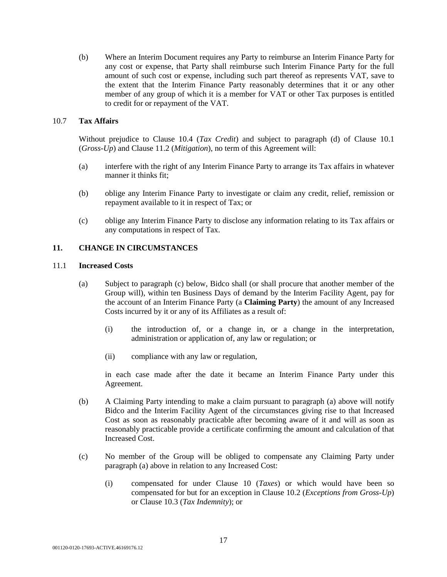(b) Where an Interim Document requires any Party to reimburse an Interim Finance Party for any cost or expense, that Party shall reimburse such Interim Finance Party for the full amount of such cost or expense, including such part thereof as represents VAT, save to the extent that the Interim Finance Party reasonably determines that it or any other member of any group of which it is a member for VAT or other Tax purposes is entitled to credit for or repayment of the VAT.

## 10.7 **Tax Affairs**

Without prejudice to Clause 10.4 (*Tax Credit*) and subject to paragraph (d) of Clause 10.1 (*Gross-Up*) and Clause 11.2 (*Mitigation*), no term of this Agreement will:

- (a) interfere with the right of any Interim Finance Party to arrange its Tax affairs in whatever manner it thinks fit;
- (b) oblige any Interim Finance Party to investigate or claim any credit, relief, remission or repayment available to it in respect of Tax; or
- (c) oblige any Interim Finance Party to disclose any information relating to its Tax affairs or any computations in respect of Tax.

# **11. CHANGE IN CIRCUMSTANCES**

### 11.1 **Increased Costs**

- (a) Subject to paragraph (c) below, Bidco shall (or shall procure that another member of the Group will), within ten Business Days of demand by the Interim Facility Agent, pay for the account of an Interim Finance Party (a **Claiming Party**) the amount of any Increased Costs incurred by it or any of its Affiliates as a result of:
	- (i) the introduction of, or a change in, or a change in the interpretation, administration or application of, any law or regulation; or
	- (ii) compliance with any law or regulation,

in each case made after the date it became an Interim Finance Party under this Agreement.

- (b) A Claiming Party intending to make a claim pursuant to paragraph (a) above will notify Bidco and the Interim Facility Agent of the circumstances giving rise to that Increased Cost as soon as reasonably practicable after becoming aware of it and will as soon as reasonably practicable provide a certificate confirming the amount and calculation of that Increased Cost.
- (c) No member of the Group will be obliged to compensate any Claiming Party under paragraph (a) above in relation to any Increased Cost:
	- (i) compensated for under Clause 10 (*Taxes*) or which would have been so compensated for but for an exception in Clause 10.2 (*Exceptions from Gross-Up*) or Clause 10.3 (*Tax Indemnity*); or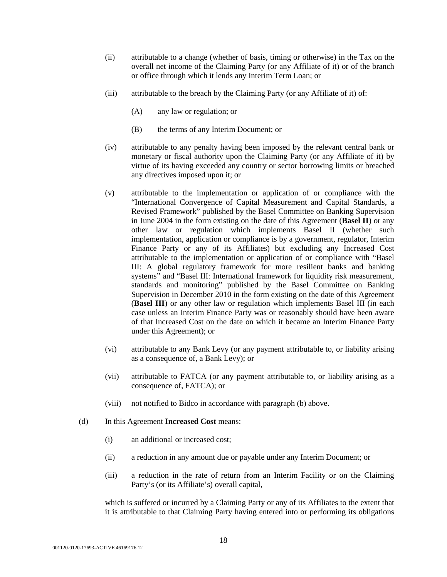- (ii) attributable to a change (whether of basis, timing or otherwise) in the Tax on the overall net income of the Claiming Party (or any Affiliate of it) or of the branch or office through which it lends any Interim Term Loan; or
- (iii) attributable to the breach by the Claiming Party (or any Affiliate of it) of:
	- (A) any law or regulation; or
	- (B) the terms of any Interim Document; or
- (iv) attributable to any penalty having been imposed by the relevant central bank or monetary or fiscal authority upon the Claiming Party (or any Affiliate of it) by virtue of its having exceeded any country or sector borrowing limits or breached any directives imposed upon it; or
- (v) attributable to the implementation or application of or compliance with the "International Convergence of Capital Measurement and Capital Standards, a Revised Framework" published by the Basel Committee on Banking Supervision in June 2004 in the form existing on the date of this Agreement (**Basel II**) or any other law or regulation which implements Basel II (whether such implementation, application or compliance is by a government, regulator, Interim Finance Party or any of its Affiliates) but excluding any Increased Cost attributable to the implementation or application of or compliance with "Basel III: A global regulatory framework for more resilient banks and banking systems" and "Basel III: International framework for liquidity risk measurement, standards and monitoring" published by the Basel Committee on Banking Supervision in December 2010 in the form existing on the date of this Agreement (**Basel III**) or any other law or regulation which implements Basel III (in each case unless an Interim Finance Party was or reasonably should have been aware of that Increased Cost on the date on which it became an Interim Finance Party under this Agreement); or
- (vi) attributable to any Bank Levy (or any payment attributable to, or liability arising as a consequence of, a Bank Levy); or
- (vii) attributable to FATCA (or any payment attributable to, or liability arising as a consequence of, FATCA); or
- (viii) not notified to Bidco in accordance with paragraph (b) above.
- (d) In this Agreement **Increased Cost** means:
	- (i) an additional or increased cost;
	- (ii) a reduction in any amount due or payable under any Interim Document; or
	- (iii) a reduction in the rate of return from an Interim Facility or on the Claiming Party's (or its Affiliate's) overall capital,

which is suffered or incurred by a Claiming Party or any of its Affiliates to the extent that it is attributable to that Claiming Party having entered into or performing its obligations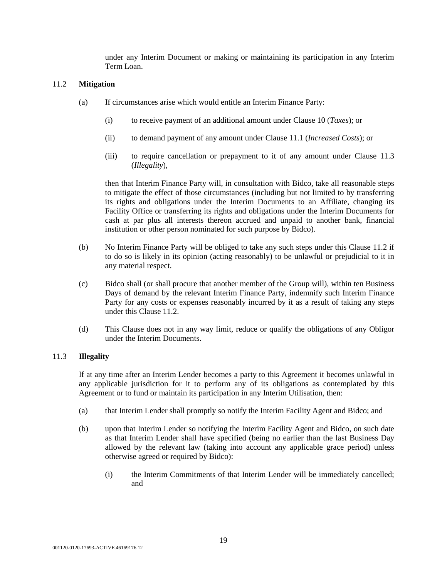under any Interim Document or making or maintaining its participation in any Interim Term Loan.

## 11.2 **Mitigation**

- (a) If circumstances arise which would entitle an Interim Finance Party:
	- (i) to receive payment of an additional amount under Clause 10 (*Taxes*); or
	- (ii) to demand payment of any amount under Clause 11.1 (*Increased Costs*); or
	- (iii) to require cancellation or prepayment to it of any amount under Clause 11.3 (*Illegality*),

then that Interim Finance Party will, in consultation with Bidco, take all reasonable steps to mitigate the effect of those circumstances (including but not limited to by transferring its rights and obligations under the Interim Documents to an Affiliate, changing its Facility Office or transferring its rights and obligations under the Interim Documents for cash at par plus all interests thereon accrued and unpaid to another bank, financial institution or other person nominated for such purpose by Bidco).

- (b) No Interim Finance Party will be obliged to take any such steps under this Clause 11.2 if to do so is likely in its opinion (acting reasonably) to be unlawful or prejudicial to it in any material respect.
- (c) Bidco shall (or shall procure that another member of the Group will), within ten Business Days of demand by the relevant Interim Finance Party, indemnify such Interim Finance Party for any costs or expenses reasonably incurred by it as a result of taking any steps under this Clause 11.2.
- (d) This Clause does not in any way limit, reduce or qualify the obligations of any Obligor under the Interim Documents.

### 11.3 **Illegality**

If at any time after an Interim Lender becomes a party to this Agreement it becomes unlawful in any applicable jurisdiction for it to perform any of its obligations as contemplated by this Agreement or to fund or maintain its participation in any Interim Utilisation, then:

- (a) that Interim Lender shall promptly so notify the Interim Facility Agent and Bidco; and
- (b) upon that Interim Lender so notifying the Interim Facility Agent and Bidco, on such date as that Interim Lender shall have specified (being no earlier than the last Business Day allowed by the relevant law (taking into account any applicable grace period) unless otherwise agreed or required by Bidco):
	- (i) the Interim Commitments of that Interim Lender will be immediately cancelled; and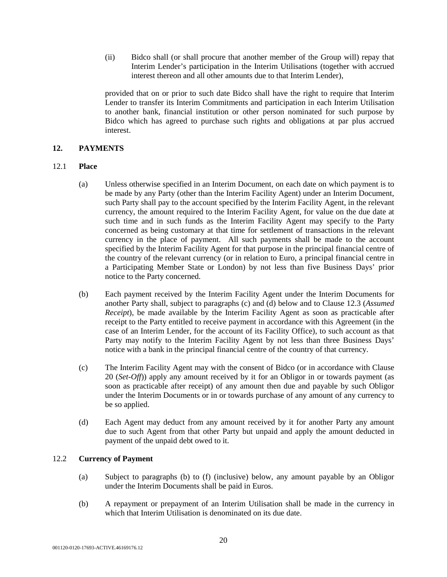(ii) Bidco shall (or shall procure that another member of the Group will) repay that Interim Lender's participation in the Interim Utilisations (together with accrued interest thereon and all other amounts due to that Interim Lender),

provided that on or prior to such date Bidco shall have the right to require that Interim Lender to transfer its Interim Commitments and participation in each Interim Utilisation to another bank, financial institution or other person nominated for such purpose by Bidco which has agreed to purchase such rights and obligations at par plus accrued interest.

## **12. PAYMENTS**

# 12.1 **Place**

- (a) Unless otherwise specified in an Interim Document, on each date on which payment is to be made by any Party (other than the Interim Facility Agent) under an Interim Document, such Party shall pay to the account specified by the Interim Facility Agent, in the relevant currency, the amount required to the Interim Facility Agent, for value on the due date at such time and in such funds as the Interim Facility Agent may specify to the Party concerned as being customary at that time for settlement of transactions in the relevant currency in the place of payment. All such payments shall be made to the account specified by the Interim Facility Agent for that purpose in the principal financial centre of the country of the relevant currency (or in relation to Euro, a principal financial centre in a Participating Member State or London) by not less than five Business Days' prior notice to the Party concerned.
- (b) Each payment received by the Interim Facility Agent under the Interim Documents for another Party shall, subject to paragraphs (c) and (d) below and to Clause 12.3 (*Assumed Receipt*), be made available by the Interim Facility Agent as soon as practicable after receipt to the Party entitled to receive payment in accordance with this Agreement (in the case of an Interim Lender, for the account of its Facility Office), to such account as that Party may notify to the Interim Facility Agent by not less than three Business Days' notice with a bank in the principal financial centre of the country of that currency.
- (c) The Interim Facility Agent may with the consent of Bidco (or in accordance with Clause 20 (*Set-Off*)) apply any amount received by it for an Obligor in or towards payment (as soon as practicable after receipt) of any amount then due and payable by such Obligor under the Interim Documents or in or towards purchase of any amount of any currency to be so applied.
- (d) Each Agent may deduct from any amount received by it for another Party any amount due to such Agent from that other Party but unpaid and apply the amount deducted in payment of the unpaid debt owed to it.

## 12.2 **Currency of Payment**

- (a) Subject to paragraphs (b) to (f) (inclusive) below, any amount payable by an Obligor under the Interim Documents shall be paid in Euros.
- (b) A repayment or prepayment of an Interim Utilisation shall be made in the currency in which that Interim Utilisation is denominated on its due date.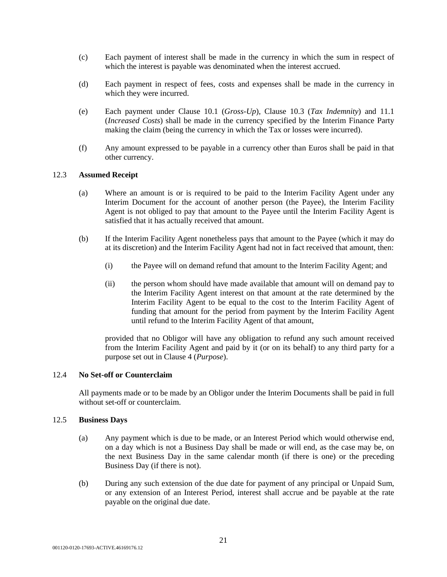- (c) Each payment of interest shall be made in the currency in which the sum in respect of which the interest is payable was denominated when the interest accrued.
- (d) Each payment in respect of fees, costs and expenses shall be made in the currency in which they were incurred.
- (e) Each payment under Clause 10.1 (*Gross-Up*), Clause 10.3 (*Tax Indemnity*) and 11.1 (*Increased Costs*) shall be made in the currency specified by the Interim Finance Party making the claim (being the currency in which the Tax or losses were incurred).
- (f) Any amount expressed to be payable in a currency other than Euros shall be paid in that other currency.

### 12.3 **Assumed Receipt**

- (a) Where an amount is or is required to be paid to the Interim Facility Agent under any Interim Document for the account of another person (the Payee), the Interim Facility Agent is not obliged to pay that amount to the Payee until the Interim Facility Agent is satisfied that it has actually received that amount.
- (b) If the Interim Facility Agent nonetheless pays that amount to the Payee (which it may do at its discretion) and the Interim Facility Agent had not in fact received that amount, then:
	- (i) the Payee will on demand refund that amount to the Interim Facility Agent; and
	- (ii) the person whom should have made available that amount will on demand pay to the Interim Facility Agent interest on that amount at the rate determined by the Interim Facility Agent to be equal to the cost to the Interim Facility Agent of funding that amount for the period from payment by the Interim Facility Agent until refund to the Interim Facility Agent of that amount,

provided that no Obligor will have any obligation to refund any such amount received from the Interim Facility Agent and paid by it (or on its behalf) to any third party for a purpose set out in Clause 4 (*Purpose*).

#### 12.4 **No Set-off or Counterclaim**

All payments made or to be made by an Obligor under the Interim Documents shall be paid in full without set-off or counterclaim.

#### 12.5 **Business Days**

- (a) Any payment which is due to be made, or an Interest Period which would otherwise end, on a day which is not a Business Day shall be made or will end, as the case may be, on the next Business Day in the same calendar month (if there is one) or the preceding Business Day (if there is not).
- (b) During any such extension of the due date for payment of any principal or Unpaid Sum, or any extension of an Interest Period, interest shall accrue and be payable at the rate payable on the original due date.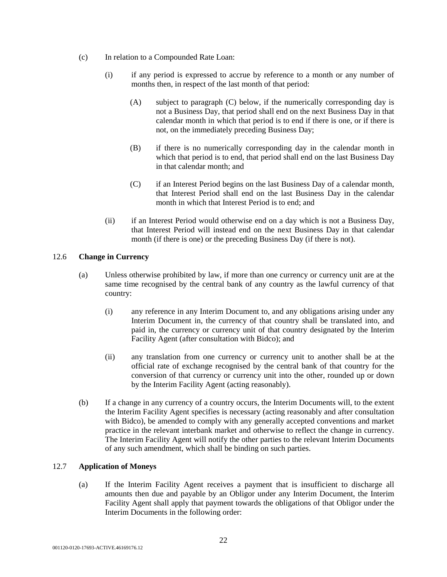- (c) In relation to a Compounded Rate Loan:
	- (i) if any period is expressed to accrue by reference to a month or any number of months then, in respect of the last month of that period:
		- (A) subject to paragraph (C) below, if the numerically corresponding day is not a Business Day, that period shall end on the next Business Day in that calendar month in which that period is to end if there is one, or if there is not, on the immediately preceding Business Day;
		- (B) if there is no numerically corresponding day in the calendar month in which that period is to end, that period shall end on the last Business Day in that calendar month; and
		- (C) if an Interest Period begins on the last Business Day of a calendar month, that Interest Period shall end on the last Business Day in the calendar month in which that Interest Period is to end; and
	- (ii) if an Interest Period would otherwise end on a day which is not a Business Day, that Interest Period will instead end on the next Business Day in that calendar month (if there is one) or the preceding Business Day (if there is not).

# 12.6 **Change in Currency**

- (a) Unless otherwise prohibited by law, if more than one currency or currency unit are at the same time recognised by the central bank of any country as the lawful currency of that country:
	- (i) any reference in any Interim Document to, and any obligations arising under any Interim Document in, the currency of that country shall be translated into, and paid in, the currency or currency unit of that country designated by the Interim Facility Agent (after consultation with Bidco); and
	- (ii) any translation from one currency or currency unit to another shall be at the official rate of exchange recognised by the central bank of that country for the conversion of that currency or currency unit into the other, rounded up or down by the Interim Facility Agent (acting reasonably).
- (b) If a change in any currency of a country occurs, the Interim Documents will, to the extent the Interim Facility Agent specifies is necessary (acting reasonably and after consultation with Bidco), be amended to comply with any generally accepted conventions and market practice in the relevant interbank market and otherwise to reflect the change in currency. The Interim Facility Agent will notify the other parties to the relevant Interim Documents of any such amendment, which shall be binding on such parties.

## 12.7 **Application of Moneys**

(a) If the Interim Facility Agent receives a payment that is insufficient to discharge all amounts then due and payable by an Obligor under any Interim Document, the Interim Facility Agent shall apply that payment towards the obligations of that Obligor under the Interim Documents in the following order: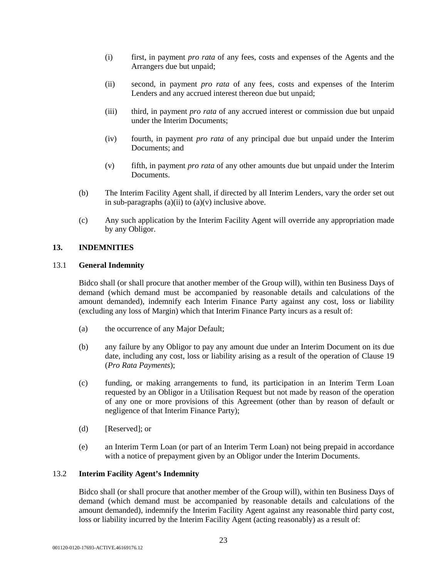- (i) first, in payment *pro rata* of any fees, costs and expenses of the Agents and the Arrangers due but unpaid;
- (ii) second, in payment *pro rata* of any fees, costs and expenses of the Interim Lenders and any accrued interest thereon due but unpaid;
- (iii) third, in payment *pro rata* of any accrued interest or commission due but unpaid under the Interim Documents;
- (iv) fourth, in payment *pro rata* of any principal due but unpaid under the Interim Documents; and
- (v) fifth, in payment *pro rata* of any other amounts due but unpaid under the Interim Documents.
- (b) The Interim Facility Agent shall, if directed by all Interim Lenders, vary the order set out in sub-paragraphs  $(a)(ii)$  to  $(a)(v)$  inclusive above.
- (c) Any such application by the Interim Facility Agent will override any appropriation made by any Obligor.

### **13. INDEMNITIES**

### 13.1 **General Indemnity**

Bidco shall (or shall procure that another member of the Group will), within ten Business Days of demand (which demand must be accompanied by reasonable details and calculations of the amount demanded), indemnify each Interim Finance Party against any cost, loss or liability (excluding any loss of Margin) which that Interim Finance Party incurs as a result of:

- (a) the occurrence of any Major Default;
- (b) any failure by any Obligor to pay any amount due under an Interim Document on its due date, including any cost, loss or liability arising as a result of the operation of Clause 19 (*Pro Rata Payments*);
- (c) funding, or making arrangements to fund, its participation in an Interim Term Loan requested by an Obligor in a Utilisation Request but not made by reason of the operation of any one or more provisions of this Agreement (other than by reason of default or negligence of that Interim Finance Party);
- (d) [Reserved]; or
- (e) an Interim Term Loan (or part of an Interim Term Loan) not being prepaid in accordance with a notice of prepayment given by an Obligor under the Interim Documents.

## 13.2 **Interim Facility Agent's Indemnity**

Bidco shall (or shall procure that another member of the Group will), within ten Business Days of demand (which demand must be accompanied by reasonable details and calculations of the amount demanded), indemnify the Interim Facility Agent against any reasonable third party cost, loss or liability incurred by the Interim Facility Agent (acting reasonably) as a result of: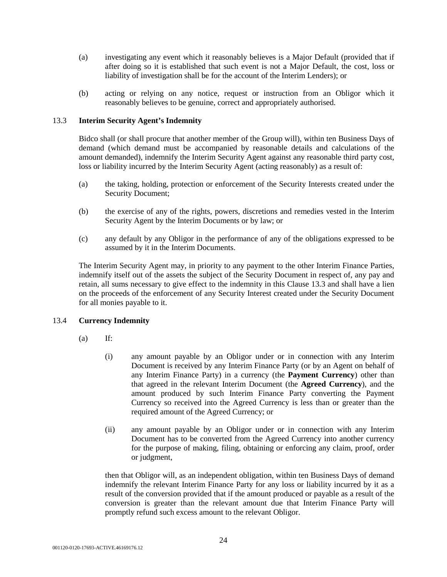- (a) investigating any event which it reasonably believes is a Major Default (provided that if after doing so it is established that such event is not a Major Default, the cost, loss or liability of investigation shall be for the account of the Interim Lenders); or
- (b) acting or relying on any notice, request or instruction from an Obligor which it reasonably believes to be genuine, correct and appropriately authorised.

## 13.3 **Interim Security Agent's Indemnity**

Bidco shall (or shall procure that another member of the Group will), within ten Business Days of demand (which demand must be accompanied by reasonable details and calculations of the amount demanded), indemnify the Interim Security Agent against any reasonable third party cost, loss or liability incurred by the Interim Security Agent (acting reasonably) as a result of:

- (a) the taking, holding, protection or enforcement of the Security Interests created under the Security Document;
- (b) the exercise of any of the rights, powers, discretions and remedies vested in the Interim Security Agent by the Interim Documents or by law; or
- (c) any default by any Obligor in the performance of any of the obligations expressed to be assumed by it in the Interim Documents.

The Interim Security Agent may, in priority to any payment to the other Interim Finance Parties, indemnify itself out of the assets the subject of the Security Document in respect of, any pay and retain, all sums necessary to give effect to the indemnity in this Clause 13.3 and shall have a lien on the proceeds of the enforcement of any Security Interest created under the Security Document for all monies payable to it.

## 13.4 **Currency Indemnity**

- $(a)$  If:
	- (i) any amount payable by an Obligor under or in connection with any Interim Document is received by any Interim Finance Party (or by an Agent on behalf of any Interim Finance Party) in a currency (the **Payment Currency**) other than that agreed in the relevant Interim Document (the **Agreed Currency**), and the amount produced by such Interim Finance Party converting the Payment Currency so received into the Agreed Currency is less than or greater than the required amount of the Agreed Currency; or
	- (ii) any amount payable by an Obligor under or in connection with any Interim Document has to be converted from the Agreed Currency into another currency for the purpose of making, filing, obtaining or enforcing any claim, proof, order or judgment,

then that Obligor will, as an independent obligation, within ten Business Days of demand indemnify the relevant Interim Finance Party for any loss or liability incurred by it as a result of the conversion provided that if the amount produced or payable as a result of the conversion is greater than the relevant amount due that Interim Finance Party will promptly refund such excess amount to the relevant Obligor.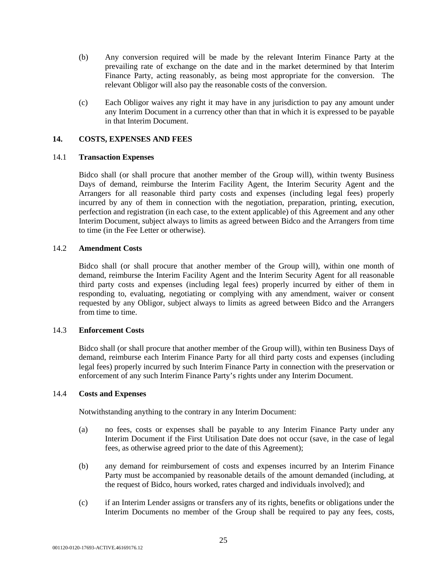- (b) Any conversion required will be made by the relevant Interim Finance Party at the prevailing rate of exchange on the date and in the market determined by that Interim Finance Party, acting reasonably, as being most appropriate for the conversion. The relevant Obligor will also pay the reasonable costs of the conversion.
- (c) Each Obligor waives any right it may have in any jurisdiction to pay any amount under any Interim Document in a currency other than that in which it is expressed to be payable in that Interim Document.

### **14. COSTS, EXPENSES AND FEES**

## 14.1 **Transaction Expenses**

Bidco shall (or shall procure that another member of the Group will), within twenty Business Days of demand, reimburse the Interim Facility Agent, the Interim Security Agent and the Arrangers for all reasonable third party costs and expenses (including legal fees) properly incurred by any of them in connection with the negotiation, preparation, printing, execution, perfection and registration (in each case, to the extent applicable) of this Agreement and any other Interim Document, subject always to limits as agreed between Bidco and the Arrangers from time to time (in the Fee Letter or otherwise).

### 14.2 **Amendment Costs**

Bidco shall (or shall procure that another member of the Group will), within one month of demand, reimburse the Interim Facility Agent and the Interim Security Agent for all reasonable third party costs and expenses (including legal fees) properly incurred by either of them in responding to, evaluating, negotiating or complying with any amendment, waiver or consent requested by any Obligor, subject always to limits as agreed between Bidco and the Arrangers from time to time.

## 14.3 **Enforcement Costs**

Bidco shall (or shall procure that another member of the Group will), within ten Business Days of demand, reimburse each Interim Finance Party for all third party costs and expenses (including legal fees) properly incurred by such Interim Finance Party in connection with the preservation or enforcement of any such Interim Finance Party's rights under any Interim Document.

#### 14.4 **Costs and Expenses**

Notwithstanding anything to the contrary in any Interim Document:

- (a) no fees, costs or expenses shall be payable to any Interim Finance Party under any Interim Document if the First Utilisation Date does not occur (save, in the case of legal fees, as otherwise agreed prior to the date of this Agreement);
- (b) any demand for reimbursement of costs and expenses incurred by an Interim Finance Party must be accompanied by reasonable details of the amount demanded (including, at the request of Bidco, hours worked, rates charged and individuals involved); and
- (c) if an Interim Lender assigns or transfers any of its rights, benefits or obligations under the Interim Documents no member of the Group shall be required to pay any fees, costs,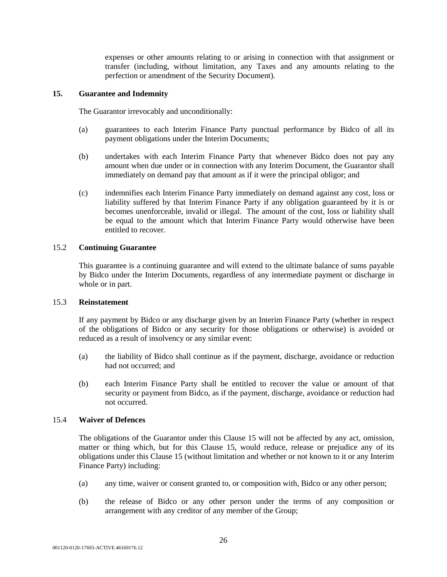expenses or other amounts relating to or arising in connection with that assignment or transfer (including, without limitation, any Taxes and any amounts relating to the perfection or amendment of the Security Document).

### **15. Guarantee and Indemnity**

The Guarantor irrevocably and unconditionally:

- (a) guarantees to each Interim Finance Party punctual performance by Bidco of all its payment obligations under the Interim Documents;
- (b) undertakes with each Interim Finance Party that whenever Bidco does not pay any amount when due under or in connection with any Interim Document, the Guarantor shall immediately on demand pay that amount as if it were the principal obligor; and
- (c) indemnifies each Interim Finance Party immediately on demand against any cost, loss or liability suffered by that Interim Finance Party if any obligation guaranteed by it is or becomes unenforceable, invalid or illegal. The amount of the cost, loss or liability shall be equal to the amount which that Interim Finance Party would otherwise have been entitled to recover.

#### 15.2 **Continuing Guarantee**

This guarantee is a continuing guarantee and will extend to the ultimate balance of sums payable by Bidco under the Interim Documents, regardless of any intermediate payment or discharge in whole or in part.

#### 15.3 **Reinstatement**

If any payment by Bidco or any discharge given by an Interim Finance Party (whether in respect of the obligations of Bidco or any security for those obligations or otherwise) is avoided or reduced as a result of insolvency or any similar event:

- (a) the liability of Bidco shall continue as if the payment, discharge, avoidance or reduction had not occurred; and
- (b) each Interim Finance Party shall be entitled to recover the value or amount of that security or payment from Bidco, as if the payment, discharge, avoidance or reduction had not occurred.

#### 15.4 **Waiver of Defences**

The obligations of the Guarantor under this Clause 15 will not be affected by any act, omission, matter or thing which, but for this Clause 15, would reduce, release or prejudice any of its obligations under this Clause 15 (without limitation and whether or not known to it or any Interim Finance Party) including:

- (a) any time, waiver or consent granted to, or composition with, Bidco or any other person;
- (b) the release of Bidco or any other person under the terms of any composition or arrangement with any creditor of any member of the Group;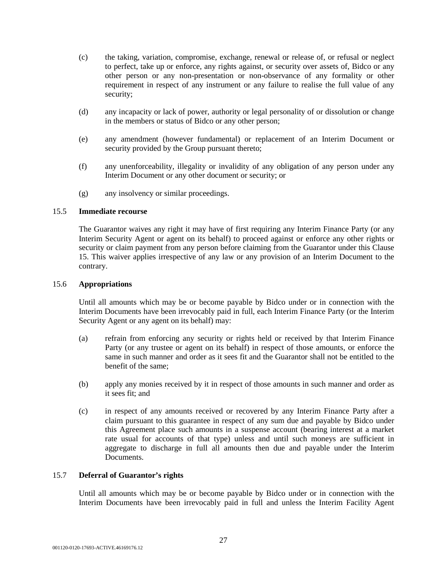- (c) the taking, variation, compromise, exchange, renewal or release of, or refusal or neglect to perfect, take up or enforce, any rights against, or security over assets of, Bidco or any other person or any non-presentation or non-observance of any formality or other requirement in respect of any instrument or any failure to realise the full value of any security;
- (d) any incapacity or lack of power, authority or legal personality of or dissolution or change in the members or status of Bidco or any other person;
- (e) any amendment (however fundamental) or replacement of an Interim Document or security provided by the Group pursuant thereto;
- (f) any unenforceability, illegality or invalidity of any obligation of any person under any Interim Document or any other document or security; or
- (g) any insolvency or similar proceedings.

### 15.5 **Immediate recourse**

The Guarantor waives any right it may have of first requiring any Interim Finance Party (or any Interim Security Agent or agent on its behalf) to proceed against or enforce any other rights or security or claim payment from any person before claiming from the Guarantor under this Clause 15. This waiver applies irrespective of any law or any provision of an Interim Document to the contrary.

### 15.6 **Appropriations**

Until all amounts which may be or become payable by Bidco under or in connection with the Interim Documents have been irrevocably paid in full, each Interim Finance Party (or the Interim Security Agent or any agent on its behalf) may:

- (a) refrain from enforcing any security or rights held or received by that Interim Finance Party (or any trustee or agent on its behalf) in respect of those amounts, or enforce the same in such manner and order as it sees fit and the Guarantor shall not be entitled to the benefit of the same;
- (b) apply any monies received by it in respect of those amounts in such manner and order as it sees fit; and
- (c) in respect of any amounts received or recovered by any Interim Finance Party after a claim pursuant to this guarantee in respect of any sum due and payable by Bidco under this Agreement place such amounts in a suspense account (bearing interest at a market rate usual for accounts of that type) unless and until such moneys are sufficient in aggregate to discharge in full all amounts then due and payable under the Interim Documents.

## 15.7 **Deferral of Guarantor's rights**

Until all amounts which may be or become payable by Bidco under or in connection with the Interim Documents have been irrevocably paid in full and unless the Interim Facility Agent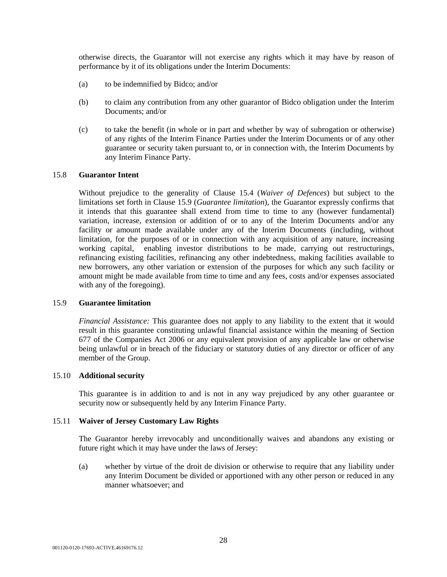otherwise directs, the Guarantor will not exercise any rights which it may have by reason of performance by it of its obligations under the Interim Documents:

- (a) to be indemnified by Bidco; and/or
- (b) to claim any contribution from any other guarantor of Bidco obligation under the Interim Documents; and/or
- (c) to take the benefit (in whole or in part and whether by way of subrogation or otherwise) of any rights of the Interim Finance Parties under the Interim Documents or of any other guarantee or security taken pursuant to, or in connection with, the Interim Documents by any Interim Finance Party.

#### 15.8 **Guarantor Intent**

Without prejudice to the generality of Clause 15.4 (*Waiver of Defences*) but subject to the limitations set forth in Clause 15.9 (*Guarantee limitation*), the Guarantor expressly confirms that it intends that this guarantee shall extend from time to time to any (however fundamental) variation, increase, extension or addition of or to any of the Interim Documents and/or any facility or amount made available under any of the Interim Documents (including, without limitation, for the purposes of or in connection with any acquisition of any nature, increasing working capital, enabling investor distributions to be made, carrying out restructurings, refinancing existing facilities, refinancing any other indebtedness, making facilities available to new borrowers, any other variation or extension of the purposes for which any such facility or amount might be made available from time to time and any fees, costs and/or expenses associated with any of the foregoing).

### 15.9 **Guarantee limitation**

*Financial Assistance:* This guarantee does not apply to any liability to the extent that it would result in this guarantee constituting unlawful financial assistance within the meaning of Section 677 of the Companies Act 2006 or any equivalent provision of any applicable law or otherwise being unlawful or in breach of the fiduciary or statutory duties of any director or officer of any member of the Group.

#### 15.10 **Additional security**

This guarantee is in addition to and is not in any way prejudiced by any other guarantee or security now or subsequently held by any Interim Finance Party.

### 15.11 **Waiver of Jersey Customary Law Rights**

The Guarantor hereby irrevocably and unconditionally waives and abandons any existing or future right which it may have under the laws of Jersey:

(a) whether by virtue of the droit de division or otherwise to require that any liability under any Interim Document be divided or apportioned with any other person or reduced in any manner whatsoever; and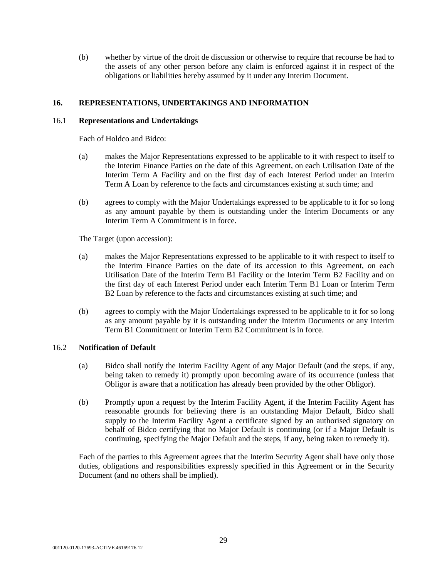(b) whether by virtue of the droit de discussion or otherwise to require that recourse be had to the assets of any other person before any claim is enforced against it in respect of the obligations or liabilities hereby assumed by it under any Interim Document.

## **16. REPRESENTATIONS, UNDERTAKINGS AND INFORMATION**

## 16.1 **Representations and Undertakings**

Each of Holdco and Bidco:

- (a) makes the Major Representations expressed to be applicable to it with respect to itself to the Interim Finance Parties on the date of this Agreement, on each Utilisation Date of the Interim Term A Facility and on the first day of each Interest Period under an Interim Term A Loan by reference to the facts and circumstances existing at such time; and
- (b) agrees to comply with the Major Undertakings expressed to be applicable to it for so long as any amount payable by them is outstanding under the Interim Documents or any Interim Term A Commitment is in force.

The Target (upon accession):

- (a) makes the Major Representations expressed to be applicable to it with respect to itself to the Interim Finance Parties on the date of its accession to this Agreement, on each Utilisation Date of the Interim Term B1 Facility or the Interim Term B2 Facility and on the first day of each Interest Period under each Interim Term B1 Loan or Interim Term B2 Loan by reference to the facts and circumstances existing at such time; and
- (b) agrees to comply with the Major Undertakings expressed to be applicable to it for so long as any amount payable by it is outstanding under the Interim Documents or any Interim Term B1 Commitment or Interim Term B2 Commitment is in force.

## 16.2 **Notification of Default**

- (a) Bidco shall notify the Interim Facility Agent of any Major Default (and the steps, if any, being taken to remedy it) promptly upon becoming aware of its occurrence (unless that Obligor is aware that a notification has already been provided by the other Obligor).
- (b) Promptly upon a request by the Interim Facility Agent, if the Interim Facility Agent has reasonable grounds for believing there is an outstanding Major Default, Bidco shall supply to the Interim Facility Agent a certificate signed by an authorised signatory on behalf of Bidco certifying that no Major Default is continuing (or if a Major Default is continuing, specifying the Major Default and the steps, if any, being taken to remedy it).

Each of the parties to this Agreement agrees that the Interim Security Agent shall have only those duties, obligations and responsibilities expressly specified in this Agreement or in the Security Document (and no others shall be implied).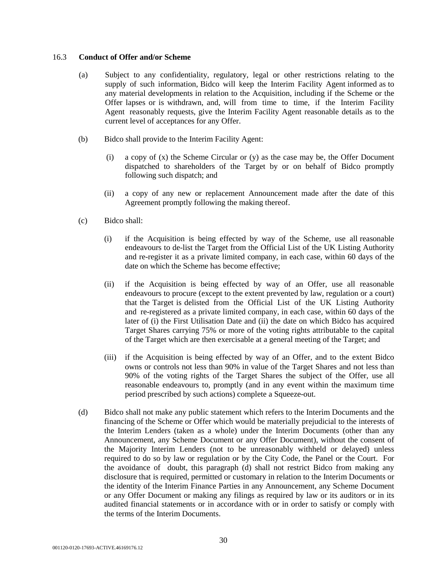### 16.3 **Conduct of Offer and/or Scheme**

- (a) Subject to any confidentiality, regulatory, legal or other restrictions relating to the supply of such information, Bidco will keep the Interim Facility Agent informed as to any material developments in relation to the Acquisition, including if the Scheme or the Offer lapses or is withdrawn, and, will from time to time, if the Interim Facility Agent reasonably requests, give the Interim Facility Agent reasonable details as to the current level of acceptances for any Offer.
- (b) Bidco shall provide to the Interim Facility Agent:
	- (i) a copy of  $(x)$  the Scheme Circular or  $(y)$  as the case may be, the Offer Document dispatched to shareholders of the Target by or on behalf of Bidco promptly following such dispatch; and
	- (ii) a copy of any new or replacement Announcement made after the date of this Agreement promptly following the making thereof.
- (c) Bidco shall:
	- (i) if the Acquisition is being effected by way of the Scheme, use all reasonable endeavours to de-list the Target from the Official List of the UK Listing Authority and re-register it as a private limited company, in each case, within 60 days of the date on which the Scheme has become effective;
	- (ii) if the Acquisition is being effected by way of an Offer, use all reasonable endeavours to procure (except to the extent prevented by law, regulation or a court) that the Target is delisted from the Official List of the UK Listing Authority and re-registered as a private limited company, in each case, within 60 days of the later of (i) the First Utilisation Date and (ii) the date on which Bidco has acquired Target Shares carrying 75% or more of the voting rights attributable to the capital of the Target which are then exercisable at a general meeting of the Target; and
	- (iii) if the Acquisition is being effected by way of an Offer, and to the extent Bidco owns or controls not less than 90% in value of the Target Shares and not less than 90% of the voting rights of the Target Shares the subject of the Offer, use all reasonable endeavours to, promptly (and in any event within the maximum time period prescribed by such actions) complete a Squeeze-out.
- (d) Bidco shall not make any public statement which refers to the Interim Documents and the financing of the Scheme or Offer which would be materially prejudicial to the interests of the Interim Lenders (taken as a whole) under the Interim Documents (other than any Announcement, any Scheme Document or any Offer Document), without the consent of the Majority Interim Lenders (not to be unreasonably withheld or delayed) unless required to do so by law or regulation or by the City Code, the Panel or the Court. For the avoidance of doubt, this paragraph (d) shall not restrict Bidco from making any disclosure that is required, permitted or customary in relation to the Interim Documents or the identity of the Interim Finance Parties in any Announcement, any Scheme Document or any Offer Document or making any filings as required by law or its auditors or in its audited financial statements or in accordance with or in order to satisfy or comply with the terms of the Interim Documents.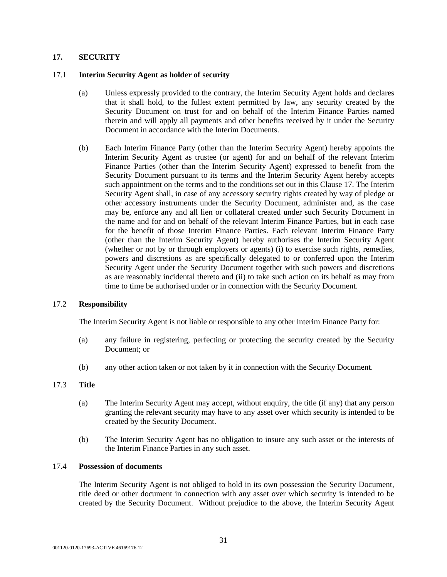### **17. SECURITY**

#### 17.1 **Interim Security Agent as holder of security**

- (a) Unless expressly provided to the contrary, the Interim Security Agent holds and declares that it shall hold, to the fullest extent permitted by law, any security created by the Security Document on trust for and on behalf of the Interim Finance Parties named therein and will apply all payments and other benefits received by it under the Security Document in accordance with the Interim Documents.
- (b) Each Interim Finance Party (other than the Interim Security Agent) hereby appoints the Interim Security Agent as trustee (or agent) for and on behalf of the relevant Interim Finance Parties (other than the Interim Security Agent) expressed to benefit from the Security Document pursuant to its terms and the Interim Security Agent hereby accepts such appointment on the terms and to the conditions set out in this Clause 17. The Interim Security Agent shall, in case of any accessory security rights created by way of pledge or other accessory instruments under the Security Document, administer and, as the case may be, enforce any and all lien or collateral created under such Security Document in the name and for and on behalf of the relevant Interim Finance Parties, but in each case for the benefit of those Interim Finance Parties. Each relevant Interim Finance Party (other than the Interim Security Agent) hereby authorises the Interim Security Agent (whether or not by or through employers or agents) (i) to exercise such rights, remedies, powers and discretions as are specifically delegated to or conferred upon the Interim Security Agent under the Security Document together with such powers and discretions as are reasonably incidental thereto and (ii) to take such action on its behalf as may from time to time be authorised under or in connection with the Security Document.

#### 17.2 **Responsibility**

The Interim Security Agent is not liable or responsible to any other Interim Finance Party for:

- (a) any failure in registering, perfecting or protecting the security created by the Security Document; or
- (b) any other action taken or not taken by it in connection with the Security Document.

#### 17.3 **Title**

- (a) The Interim Security Agent may accept, without enquiry, the title (if any) that any person granting the relevant security may have to any asset over which security is intended to be created by the Security Document.
- (b) The Interim Security Agent has no obligation to insure any such asset or the interests of the Interim Finance Parties in any such asset.

## 17.4 **Possession of documents**

The Interim Security Agent is not obliged to hold in its own possession the Security Document, title deed or other document in connection with any asset over which security is intended to be created by the Security Document. Without prejudice to the above, the Interim Security Agent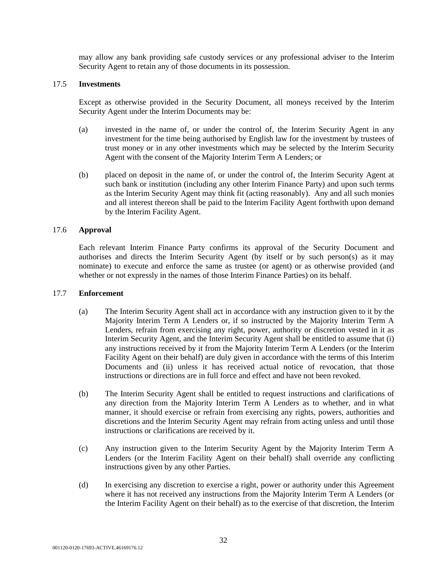may allow any bank providing safe custody services or any professional adviser to the Interim Security Agent to retain any of those documents in its possession.

## 17.5 **Investments**

Except as otherwise provided in the Security Document, all moneys received by the Interim Security Agent under the Interim Documents may be:

- (a) invested in the name of, or under the control of, the Interim Security Agent in any investment for the time being authorised by English law for the investment by trustees of trust money or in any other investments which may be selected by the Interim Security Agent with the consent of the Majority Interim Term A Lenders; or
- (b) placed on deposit in the name of, or under the control of, the Interim Security Agent at such bank or institution (including any other Interim Finance Party) and upon such terms as the Interim Security Agent may think fit (acting reasonably). Any and all such monies and all interest thereon shall be paid to the Interim Facility Agent forthwith upon demand by the Interim Facility Agent.

## 17.6 **Approval**

Each relevant Interim Finance Party confirms its approval of the Security Document and authorises and directs the Interim Security Agent (by itself or by such person(s) as it may nominate) to execute and enforce the same as trustee (or agent) or as otherwise provided (and whether or not expressly in the names of those Interim Finance Parties) on its behalf.

#### 17.7 **Enforcement**

- (a) The Interim Security Agent shall act in accordance with any instruction given to it by the Majority Interim Term A Lenders or, if so instructed by the Majority Interim Term A Lenders, refrain from exercising any right, power, authority or discretion vested in it as Interim Security Agent, and the Interim Security Agent shall be entitled to assume that (i) any instructions received by it from the Majority Interim Term A Lenders (or the Interim Facility Agent on their behalf) are duly given in accordance with the terms of this Interim Documents and (ii) unless it has received actual notice of revocation, that those instructions or directions are in full force and effect and have not been revoked.
- (b) The Interim Security Agent shall be entitled to request instructions and clarifications of any direction from the Majority Interim Term A Lenders as to whether, and in what manner, it should exercise or refrain from exercising any rights, powers, authorities and discretions and the Interim Security Agent may refrain from acting unless and until those instructions or clarifications are received by it.
- (c) Any instruction given to the Interim Security Agent by the Majority Interim Term A Lenders (or the Interim Facility Agent on their behalf) shall override any conflicting instructions given by any other Parties.
- (d) In exercising any discretion to exercise a right, power or authority under this Agreement where it has not received any instructions from the Majority Interim Term A Lenders (or the Interim Facility Agent on their behalf) as to the exercise of that discretion, the Interim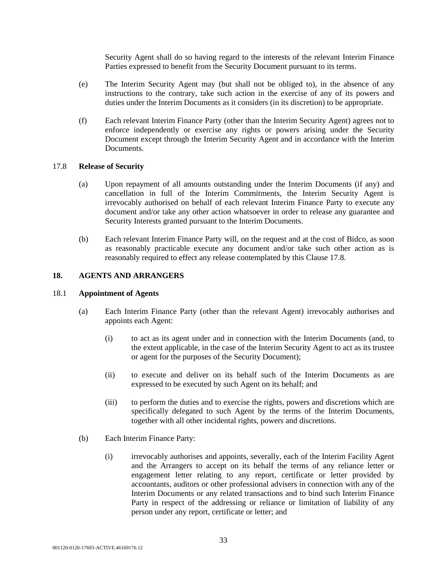Security Agent shall do so having regard to the interests of the relevant Interim Finance Parties expressed to benefit from the Security Document pursuant to its terms.

- (e) The Interim Security Agent may (but shall not be obliged to), in the absence of any instructions to the contrary, take such action in the exercise of any of its powers and duties under the Interim Documents as it considers (in its discretion) to be appropriate.
- (f) Each relevant Interim Finance Party (other than the Interim Security Agent) agrees not to enforce independently or exercise any rights or powers arising under the Security Document except through the Interim Security Agent and in accordance with the Interim Documents.

### 17.8 **Release of Security**

- (a) Upon repayment of all amounts outstanding under the Interim Documents (if any) and cancellation in full of the Interim Commitments, the Interim Security Agent is irrevocably authorised on behalf of each relevant Interim Finance Party to execute any document and/or take any other action whatsoever in order to release any guarantee and Security Interests granted pursuant to the Interim Documents.
- (b) Each relevant Interim Finance Party will, on the request and at the cost of Bidco, as soon as reasonably practicable execute any document and/or take such other action as is reasonably required to effect any release contemplated by this Clause 17.8.

### **18. AGENTS AND ARRANGERS**

#### 18.1 **Appointment of Agents**

- (a) Each Interim Finance Party (other than the relevant Agent) irrevocably authorises and appoints each Agent:
	- (i) to act as its agent under and in connection with the Interim Documents (and, to the extent applicable, in the case of the Interim Security Agent to act as its trustee or agent for the purposes of the Security Document);
	- (ii) to execute and deliver on its behalf such of the Interim Documents as are expressed to be executed by such Agent on its behalf; and
	- (iii) to perform the duties and to exercise the rights, powers and discretions which are specifically delegated to such Agent by the terms of the Interim Documents, together with all other incidental rights, powers and discretions.
- (b) Each Interim Finance Party:
	- (i) irrevocably authorises and appoints, severally, each of the Interim Facility Agent and the Arrangers to accept on its behalf the terms of any reliance letter or engagement letter relating to any report, certificate or letter provided by accountants, auditors or other professional advisers in connection with any of the Interim Documents or any related transactions and to bind such Interim Finance Party in respect of the addressing or reliance or limitation of liability of any person under any report, certificate or letter; and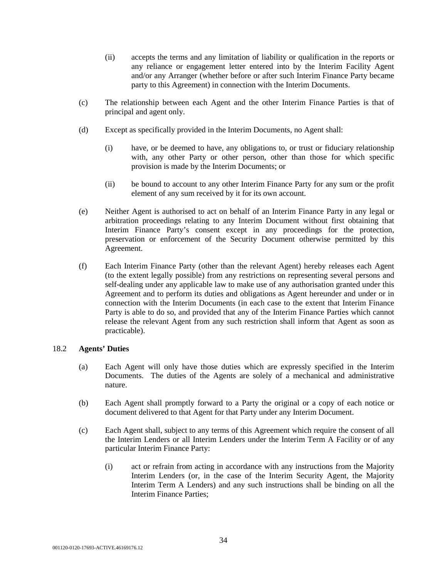- (ii) accepts the terms and any limitation of liability or qualification in the reports or any reliance or engagement letter entered into by the Interim Facility Agent and/or any Arranger (whether before or after such Interim Finance Party became party to this Agreement) in connection with the Interim Documents.
- (c) The relationship between each Agent and the other Interim Finance Parties is that of principal and agent only.
- (d) Except as specifically provided in the Interim Documents, no Agent shall:
	- (i) have, or be deemed to have, any obligations to, or trust or fiduciary relationship with, any other Party or other person, other than those for which specific provision is made by the Interim Documents; or
	- (ii) be bound to account to any other Interim Finance Party for any sum or the profit element of any sum received by it for its own account.
- (e) Neither Agent is authorised to act on behalf of an Interim Finance Party in any legal or arbitration proceedings relating to any Interim Document without first obtaining that Interim Finance Party's consent except in any proceedings for the protection, preservation or enforcement of the Security Document otherwise permitted by this Agreement.
- (f) Each Interim Finance Party (other than the relevant Agent) hereby releases each Agent (to the extent legally possible) from any restrictions on representing several persons and self-dealing under any applicable law to make use of any authorisation granted under this Agreement and to perform its duties and obligations as Agent hereunder and under or in connection with the Interim Documents (in each case to the extent that Interim Finance Party is able to do so, and provided that any of the Interim Finance Parties which cannot release the relevant Agent from any such restriction shall inform that Agent as soon as practicable).

## 18.2 **Agents' Duties**

- (a) Each Agent will only have those duties which are expressly specified in the Interim Documents. The duties of the Agents are solely of a mechanical and administrative nature.
- (b) Each Agent shall promptly forward to a Party the original or a copy of each notice or document delivered to that Agent for that Party under any Interim Document.
- (c) Each Agent shall, subject to any terms of this Agreement which require the consent of all the Interim Lenders or all Interim Lenders under the Interim Term A Facility or of any particular Interim Finance Party:
	- (i) act or refrain from acting in accordance with any instructions from the Majority Interim Lenders (or, in the case of the Interim Security Agent, the Majority Interim Term A Lenders) and any such instructions shall be binding on all the Interim Finance Parties;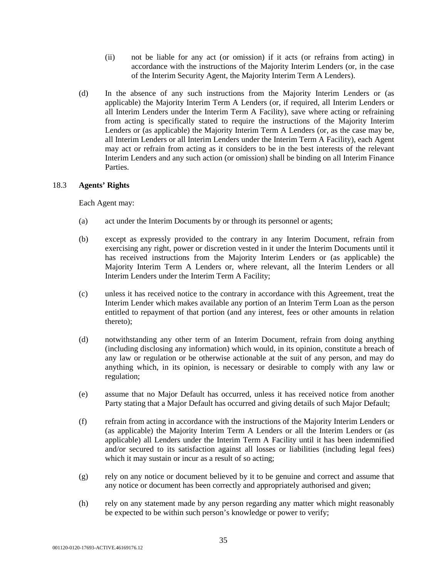- (ii) not be liable for any act (or omission) if it acts (or refrains from acting) in accordance with the instructions of the Majority Interim Lenders (or, in the case of the Interim Security Agent, the Majority Interim Term A Lenders).
- (d) In the absence of any such instructions from the Majority Interim Lenders or (as applicable) the Majority Interim Term A Lenders (or, if required, all Interim Lenders or all Interim Lenders under the Interim Term A Facility), save where acting or refraining from acting is specifically stated to require the instructions of the Majority Interim Lenders or (as applicable) the Majority Interim Term A Lenders (or, as the case may be, all Interim Lenders or all Interim Lenders under the Interim Term A Facility), each Agent may act or refrain from acting as it considers to be in the best interests of the relevant Interim Lenders and any such action (or omission) shall be binding on all Interim Finance Parties.

### 18.3 **Agents' Rights**

Each Agent may:

- (a) act under the Interim Documents by or through its personnel or agents;
- (b) except as expressly provided to the contrary in any Interim Document, refrain from exercising any right, power or discretion vested in it under the Interim Documents until it has received instructions from the Majority Interim Lenders or (as applicable) the Majority Interim Term A Lenders or, where relevant, all the Interim Lenders or all Interim Lenders under the Interim Term A Facility;
- (c) unless it has received notice to the contrary in accordance with this Agreement, treat the Interim Lender which makes available any portion of an Interim Term Loan as the person entitled to repayment of that portion (and any interest, fees or other amounts in relation thereto);
- (d) notwithstanding any other term of an Interim Document, refrain from doing anything (including disclosing any information) which would, in its opinion, constitute a breach of any law or regulation or be otherwise actionable at the suit of any person, and may do anything which, in its opinion, is necessary or desirable to comply with any law or regulation;
- (e) assume that no Major Default has occurred, unless it has received notice from another Party stating that a Major Default has occurred and giving details of such Major Default;
- (f) refrain from acting in accordance with the instructions of the Majority Interim Lenders or (as applicable) the Majority Interim Term A Lenders or all the Interim Lenders or (as applicable) all Lenders under the Interim Term A Facility until it has been indemnified and/or secured to its satisfaction against all losses or liabilities (including legal fees) which it may sustain or incur as a result of so acting;
- (g) rely on any notice or document believed by it to be genuine and correct and assume that any notice or document has been correctly and appropriately authorised and given;
- (h) rely on any statement made by any person regarding any matter which might reasonably be expected to be within such person's knowledge or power to verify;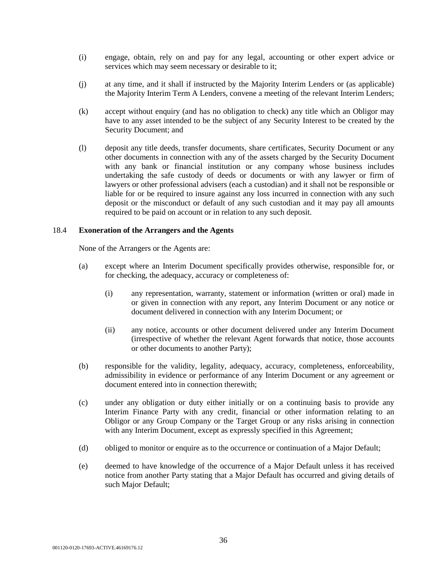- (i) engage, obtain, rely on and pay for any legal, accounting or other expert advice or services which may seem necessary or desirable to it;
- (j) at any time, and it shall if instructed by the Majority Interim Lenders or (as applicable) the Majority Interim Term A Lenders, convene a meeting of the relevant Interim Lenders;
- (k) accept without enquiry (and has no obligation to check) any title which an Obligor may have to any asset intended to be the subject of any Security Interest to be created by the Security Document; and
- (l) deposit any title deeds, transfer documents, share certificates, Security Document or any other documents in connection with any of the assets charged by the Security Document with any bank or financial institution or any company whose business includes undertaking the safe custody of deeds or documents or with any lawyer or firm of lawyers or other professional advisers (each a custodian) and it shall not be responsible or liable for or be required to insure against any loss incurred in connection with any such deposit or the misconduct or default of any such custodian and it may pay all amounts required to be paid on account or in relation to any such deposit.

## 18.4 **Exoneration of the Arrangers and the Agents**

None of the Arrangers or the Agents are:

- (a) except where an Interim Document specifically provides otherwise, responsible for, or for checking, the adequacy, accuracy or completeness of:
	- (i) any representation, warranty, statement or information (written or oral) made in or given in connection with any report, any Interim Document or any notice or document delivered in connection with any Interim Document; or
	- (ii) any notice, accounts or other document delivered under any Interim Document (irrespective of whether the relevant Agent forwards that notice, those accounts or other documents to another Party);
- (b) responsible for the validity, legality, adequacy, accuracy, completeness, enforceability, admissibility in evidence or performance of any Interim Document or any agreement or document entered into in connection therewith;
- (c) under any obligation or duty either initially or on a continuing basis to provide any Interim Finance Party with any credit, financial or other information relating to an Obligor or any Group Company or the Target Group or any risks arising in connection with any Interim Document, except as expressly specified in this Agreement;
- (d) obliged to monitor or enquire as to the occurrence or continuation of a Major Default;
- (e) deemed to have knowledge of the occurrence of a Major Default unless it has received notice from another Party stating that a Major Default has occurred and giving details of such Major Default;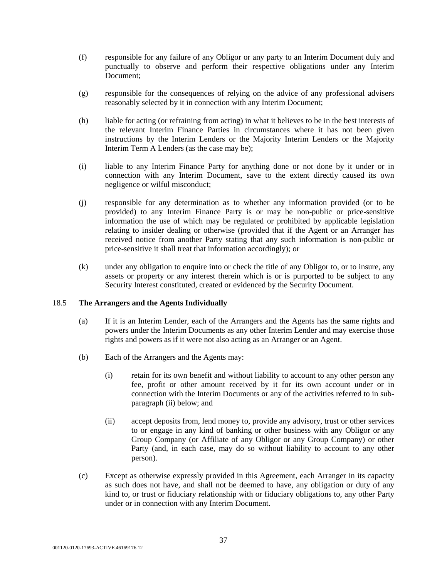- (f) responsible for any failure of any Obligor or any party to an Interim Document duly and punctually to observe and perform their respective obligations under any Interim Document;
- (g) responsible for the consequences of relying on the advice of any professional advisers reasonably selected by it in connection with any Interim Document;
- (h) liable for acting (or refraining from acting) in what it believes to be in the best interests of the relevant Interim Finance Parties in circumstances where it has not been given instructions by the Interim Lenders or the Majority Interim Lenders or the Majority Interim Term A Lenders (as the case may be);
- (i) liable to any Interim Finance Party for anything done or not done by it under or in connection with any Interim Document, save to the extent directly caused its own negligence or wilful misconduct;
- (j) responsible for any determination as to whether any information provided (or to be provided) to any Interim Finance Party is or may be non-public or price-sensitive information the use of which may be regulated or prohibited by applicable legislation relating to insider dealing or otherwise (provided that if the Agent or an Arranger has received notice from another Party stating that any such information is non-public or price-sensitive it shall treat that information accordingly); or
- (k) under any obligation to enquire into or check the title of any Obligor to, or to insure, any assets or property or any interest therein which is or is purported to be subject to any Security Interest constituted, created or evidenced by the Security Document.

## 18.5 **The Arrangers and the Agents Individually**

- (a) If it is an Interim Lender, each of the Arrangers and the Agents has the same rights and powers under the Interim Documents as any other Interim Lender and may exercise those rights and powers as if it were not also acting as an Arranger or an Agent.
- (b) Each of the Arrangers and the Agents may:
	- (i) retain for its own benefit and without liability to account to any other person any fee, profit or other amount received by it for its own account under or in connection with the Interim Documents or any of the activities referred to in subparagraph (ii) below; and
	- (ii) accept deposits from, lend money to, provide any advisory, trust or other services to or engage in any kind of banking or other business with any Obligor or any Group Company (or Affiliate of any Obligor or any Group Company) or other Party (and, in each case, may do so without liability to account to any other person).
- (c) Except as otherwise expressly provided in this Agreement, each Arranger in its capacity as such does not have, and shall not be deemed to have, any obligation or duty of any kind to, or trust or fiduciary relationship with or fiduciary obligations to, any other Party under or in connection with any Interim Document.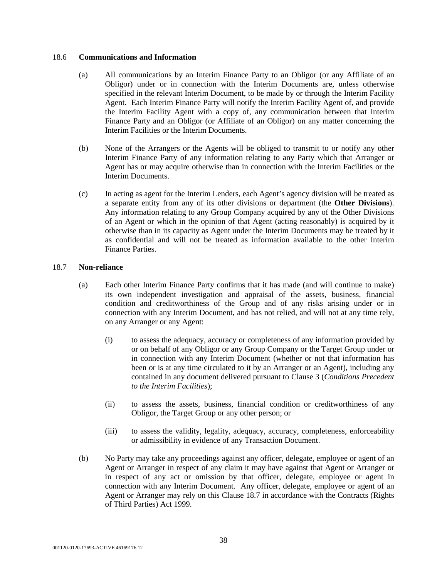### 18.6 **Communications and Information**

- (a) All communications by an Interim Finance Party to an Obligor (or any Affiliate of an Obligor) under or in connection with the Interim Documents are, unless otherwise specified in the relevant Interim Document, to be made by or through the Interim Facility Agent. Each Interim Finance Party will notify the Interim Facility Agent of, and provide the Interim Facility Agent with a copy of, any communication between that Interim Finance Party and an Obligor (or Affiliate of an Obligor) on any matter concerning the Interim Facilities or the Interim Documents.
- (b) None of the Arrangers or the Agents will be obliged to transmit to or notify any other Interim Finance Party of any information relating to any Party which that Arranger or Agent has or may acquire otherwise than in connection with the Interim Facilities or the Interim Documents.
- (c) In acting as agent for the Interim Lenders, each Agent's agency division will be treated as a separate entity from any of its other divisions or department (the **Other Divisions**). Any information relating to any Group Company acquired by any of the Other Divisions of an Agent or which in the opinion of that Agent (acting reasonably) is acquired by it otherwise than in its capacity as Agent under the Interim Documents may be treated by it as confidential and will not be treated as information available to the other Interim Finance Parties.

## 18.7 **Non-reliance**

- (a) Each other Interim Finance Party confirms that it has made (and will continue to make) its own independent investigation and appraisal of the assets, business, financial condition and creditworthiness of the Group and of any risks arising under or in connection with any Interim Document, and has not relied, and will not at any time rely, on any Arranger or any Agent:
	- (i) to assess the adequacy, accuracy or completeness of any information provided by or on behalf of any Obligor or any Group Company or the Target Group under or in connection with any Interim Document (whether or not that information has been or is at any time circulated to it by an Arranger or an Agent), including any contained in any document delivered pursuant to Clause 3 (*Conditions Precedent to the Interim Facilities*);
	- (ii) to assess the assets, business, financial condition or creditworthiness of any Obligor, the Target Group or any other person; or
	- (iii) to assess the validity, legality, adequacy, accuracy, completeness, enforceability or admissibility in evidence of any Transaction Document.
- (b) No Party may take any proceedings against any officer, delegate, employee or agent of an Agent or Arranger in respect of any claim it may have against that Agent or Arranger or in respect of any act or omission by that officer, delegate, employee or agent in connection with any Interim Document. Any officer, delegate, employee or agent of an Agent or Arranger may rely on this Clause 18.7 in accordance with the Contracts (Rights of Third Parties) Act 1999.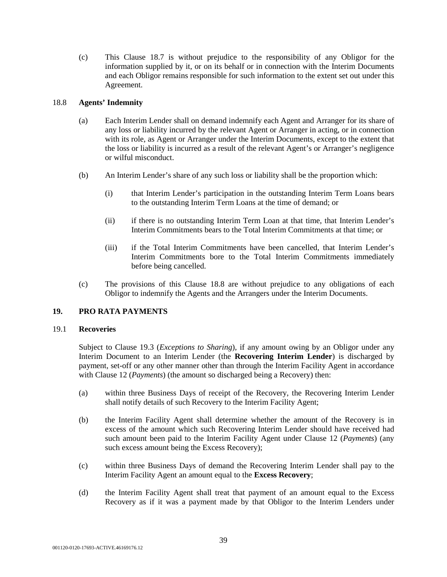(c) This Clause 18.7 is without prejudice to the responsibility of any Obligor for the information supplied by it, or on its behalf or in connection with the Interim Documents and each Obligor remains responsible for such information to the extent set out under this Agreement.

## 18.8 **Agents' Indemnity**

- (a) Each Interim Lender shall on demand indemnify each Agent and Arranger for its share of any loss or liability incurred by the relevant Agent or Arranger in acting, or in connection with its role, as Agent or Arranger under the Interim Documents, except to the extent that the loss or liability is incurred as a result of the relevant Agent's or Arranger's negligence or wilful misconduct.
- (b) An Interim Lender's share of any such loss or liability shall be the proportion which:
	- (i) that Interim Lender's participation in the outstanding Interim Term Loans bears to the outstanding Interim Term Loans at the time of demand; or
	- (ii) if there is no outstanding Interim Term Loan at that time, that Interim Lender's Interim Commitments bears to the Total Interim Commitments at that time; or
	- (iii) if the Total Interim Commitments have been cancelled, that Interim Lender's Interim Commitments bore to the Total Interim Commitments immediately before being cancelled.
- (c) The provisions of this Clause 18.8 are without prejudice to any obligations of each Obligor to indemnify the Agents and the Arrangers under the Interim Documents.

## **19. PRO RATA PAYMENTS**

#### 19.1 **Recoveries**

Subject to Clause 19.3 (*Exceptions to Sharing*), if any amount owing by an Obligor under any Interim Document to an Interim Lender (the **Recovering Interim Lender**) is discharged by payment, set-off or any other manner other than through the Interim Facility Agent in accordance with Clause 12 (*Payments*) (the amount so discharged being a Recovery) then:

- (a) within three Business Days of receipt of the Recovery, the Recovering Interim Lender shall notify details of such Recovery to the Interim Facility Agent;
- (b) the Interim Facility Agent shall determine whether the amount of the Recovery is in excess of the amount which such Recovering Interim Lender should have received had such amount been paid to the Interim Facility Agent under Clause 12 (*Payments*) (any such excess amount being the Excess Recovery);
- (c) within three Business Days of demand the Recovering Interim Lender shall pay to the Interim Facility Agent an amount equal to the **Excess Recovery**;
- (d) the Interim Facility Agent shall treat that payment of an amount equal to the Excess Recovery as if it was a payment made by that Obligor to the Interim Lenders under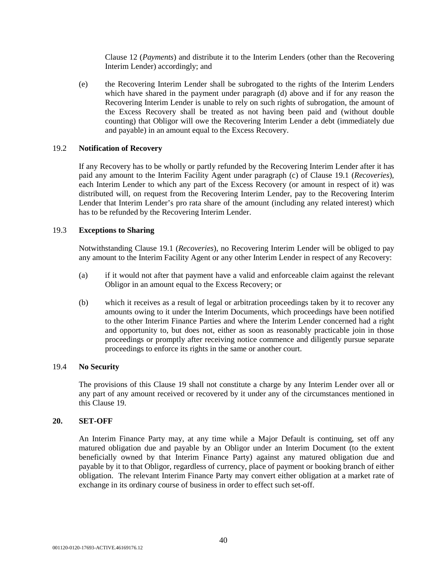Clause 12 (*Payments*) and distribute it to the Interim Lenders (other than the Recovering Interim Lender) accordingly; and

(e) the Recovering Interim Lender shall be subrogated to the rights of the Interim Lenders which have shared in the payment under paragraph (d) above and if for any reason the Recovering Interim Lender is unable to rely on such rights of subrogation, the amount of the Excess Recovery shall be treated as not having been paid and (without double counting) that Obligor will owe the Recovering Interim Lender a debt (immediately due and payable) in an amount equal to the Excess Recovery.

## 19.2 **Notification of Recovery**

If any Recovery has to be wholly or partly refunded by the Recovering Interim Lender after it has paid any amount to the Interim Facility Agent under paragraph (c) of Clause 19.1 (*Recoveries*), each Interim Lender to which any part of the Excess Recovery (or amount in respect of it) was distributed will, on request from the Recovering Interim Lender, pay to the Recovering Interim Lender that Interim Lender's pro rata share of the amount (including any related interest) which has to be refunded by the Recovering Interim Lender.

## 19.3 **Exceptions to Sharing**

Notwithstanding Clause 19.1 (*Recoveries*), no Recovering Interim Lender will be obliged to pay any amount to the Interim Facility Agent or any other Interim Lender in respect of any Recovery:

- (a) if it would not after that payment have a valid and enforceable claim against the relevant Obligor in an amount equal to the Excess Recovery; or
- (b) which it receives as a result of legal or arbitration proceedings taken by it to recover any amounts owing to it under the Interim Documents, which proceedings have been notified to the other Interim Finance Parties and where the Interim Lender concerned had a right and opportunity to, but does not, either as soon as reasonably practicable join in those proceedings or promptly after receiving notice commence and diligently pursue separate proceedings to enforce its rights in the same or another court.

### 19.4 **No Security**

The provisions of this Clause 19 shall not constitute a charge by any Interim Lender over all or any part of any amount received or recovered by it under any of the circumstances mentioned in this Clause 19.

#### **20. SET-OFF**

An Interim Finance Party may, at any time while a Major Default is continuing, set off any matured obligation due and payable by an Obligor under an Interim Document (to the extent beneficially owned by that Interim Finance Party) against any matured obligation due and payable by it to that Obligor, regardless of currency, place of payment or booking branch of either obligation. The relevant Interim Finance Party may convert either obligation at a market rate of exchange in its ordinary course of business in order to effect such set-off.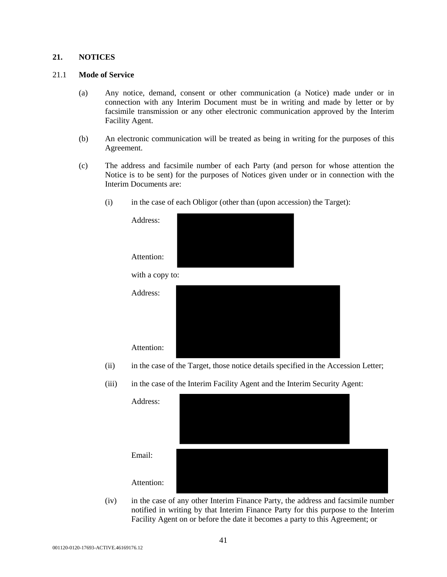## **21. NOTICES**

#### 21.1 **Mode of Service**

- (a) Any notice, demand, consent or other communication (a Notice) made under or in connection with any Interim Document must be in writing and made by letter or by facsimile transmission or any other electronic communication approved by the Interim Facility Agent.
- (b) An electronic communication will be treated as being in writing for the purposes of this Agreement.
- (c) The address and facsimile number of each Party (and person for whose attention the Notice is to be sent) for the purposes of Notices given under or in connection with the Interim Documents are:
	- Address: Attention: with a copy to: Address: Attention:
	- (i) in the case of each Obligor (other than (upon accession) the Target):

- (ii) in the case of the Target, those notice details specified in the Accession Letter;
- (iii) in the case of the Interim Facility Agent and the Interim Security Agent:



(iv) in the case of any other Interim Finance Party, the address and facsimile number notified in writing by that Interim Finance Party for this purpose to the Interim Facility Agent on or before the date it becomes a party to this Agreement; or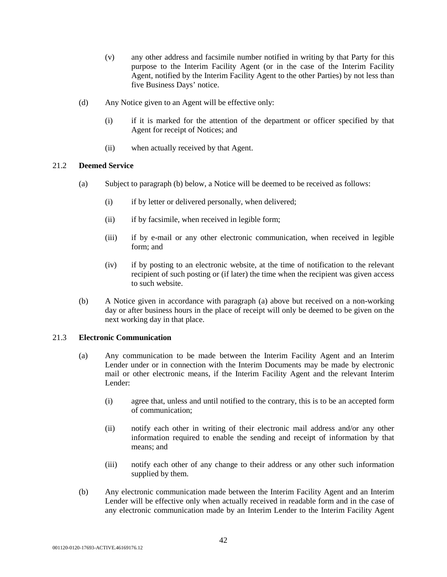- (v) any other address and facsimile number notified in writing by that Party for this purpose to the Interim Facility Agent (or in the case of the Interim Facility Agent, notified by the Interim Facility Agent to the other Parties) by not less than five Business Days' notice.
- (d) Any Notice given to an Agent will be effective only:
	- (i) if it is marked for the attention of the department or officer specified by that Agent for receipt of Notices; and
	- (ii) when actually received by that Agent.

### 21.2 **Deemed Service**

- (a) Subject to paragraph (b) below, a Notice will be deemed to be received as follows:
	- (i) if by letter or delivered personally, when delivered;
	- (ii) if by facsimile, when received in legible form;
	- (iii) if by e-mail or any other electronic communication, when received in legible form; and
	- (iv) if by posting to an electronic website, at the time of notification to the relevant recipient of such posting or (if later) the time when the recipient was given access to such website.
- (b) A Notice given in accordance with paragraph (a) above but received on a non-working day or after business hours in the place of receipt will only be deemed to be given on the next working day in that place.

## 21.3 **Electronic Communication**

- (a) Any communication to be made between the Interim Facility Agent and an Interim Lender under or in connection with the Interim Documents may be made by electronic mail or other electronic means, if the Interim Facility Agent and the relevant Interim Lender:
	- (i) agree that, unless and until notified to the contrary, this is to be an accepted form of communication;
	- (ii) notify each other in writing of their electronic mail address and/or any other information required to enable the sending and receipt of information by that means; and
	- (iii) notify each other of any change to their address or any other such information supplied by them.
- (b) Any electronic communication made between the Interim Facility Agent and an Interim Lender will be effective only when actually received in readable form and in the case of any electronic communication made by an Interim Lender to the Interim Facility Agent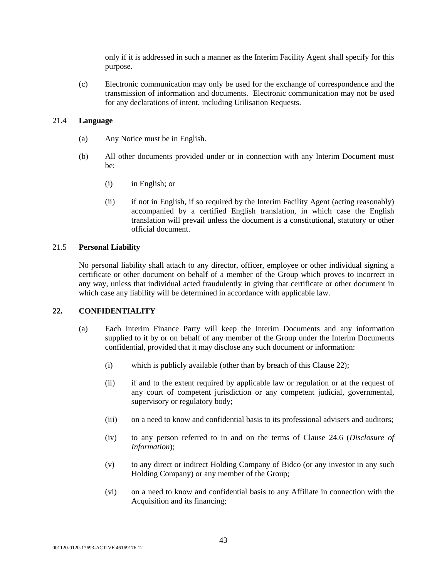only if it is addressed in such a manner as the Interim Facility Agent shall specify for this purpose.

(c) Electronic communication may only be used for the exchange of correspondence and the transmission of information and documents. Electronic communication may not be used for any declarations of intent, including Utilisation Requests.

## 21.4 **Language**

- (a) Any Notice must be in English.
- (b) All other documents provided under or in connection with any Interim Document must be:
	- (i) in English; or
	- (ii) if not in English, if so required by the Interim Facility Agent (acting reasonably) accompanied by a certified English translation, in which case the English translation will prevail unless the document is a constitutional, statutory or other official document.

### 21.5 **Personal Liability**

No personal liability shall attach to any director, officer, employee or other individual signing a certificate or other document on behalf of a member of the Group which proves to incorrect in any way, unless that individual acted fraudulently in giving that certificate or other document in which case any liability will be determined in accordance with applicable law.

## **22. CONFIDENTIALITY**

- (a) Each Interim Finance Party will keep the Interim Documents and any information supplied to it by or on behalf of any member of the Group under the Interim Documents confidential, provided that it may disclose any such document or information:
	- (i) which is publicly available (other than by breach of this Clause 22);
	- (ii) if and to the extent required by applicable law or regulation or at the request of any court of competent jurisdiction or any competent judicial, governmental, supervisory or regulatory body;
	- (iii) on a need to know and confidential basis to its professional advisers and auditors;
	- (iv) to any person referred to in and on the terms of Clause 24.6 (*Disclosure of Information*);
	- (v) to any direct or indirect Holding Company of Bidco (or any investor in any such Holding Company) or any member of the Group;
	- (vi) on a need to know and confidential basis to any Affiliate in connection with the Acquisition and its financing;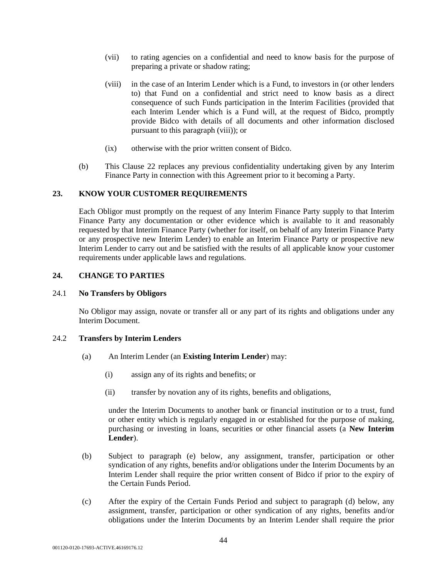- (vii) to rating agencies on a confidential and need to know basis for the purpose of preparing a private or shadow rating;
- (viii) in the case of an Interim Lender which is a Fund, to investors in (or other lenders to) that Fund on a confidential and strict need to know basis as a direct consequence of such Funds participation in the Interim Facilities (provided that each Interim Lender which is a Fund will, at the request of Bidco, promptly provide Bidco with details of all documents and other information disclosed pursuant to this paragraph (viii)); or
- (ix) otherwise with the prior written consent of Bidco.
- (b) This Clause 22 replaces any previous confidentiality undertaking given by any Interim Finance Party in connection with this Agreement prior to it becoming a Party.

### **23. KNOW YOUR CUSTOMER REQUIREMENTS**

Each Obligor must promptly on the request of any Interim Finance Party supply to that Interim Finance Party any documentation or other evidence which is available to it and reasonably requested by that Interim Finance Party (whether for itself, on behalf of any Interim Finance Party or any prospective new Interim Lender) to enable an Interim Finance Party or prospective new Interim Lender to carry out and be satisfied with the results of all applicable know your customer requirements under applicable laws and regulations.

### **24. CHANGE TO PARTIES**

#### 24.1 **No Transfers by Obligors**

No Obligor may assign, novate or transfer all or any part of its rights and obligations under any Interim Document.

#### 24.2 **Transfers by Interim Lenders**

- (a) An Interim Lender (an **Existing Interim Lender**) may:
	- (i) assign any of its rights and benefits; or
	- (ii) transfer by novation any of its rights, benefits and obligations,

under the Interim Documents to another bank or financial institution or to a trust, fund or other entity which is regularly engaged in or established for the purpose of making, purchasing or investing in loans, securities or other financial assets (a **New Interim Lender**).

- (b) Subject to paragraph (e) below, any assignment, transfer, participation or other syndication of any rights, benefits and/or obligations under the Interim Documents by an Interim Lender shall require the prior written consent of Bidco if prior to the expiry of the Certain Funds Period.
- (c) After the expiry of the Certain Funds Period and subject to paragraph (d) below, any assignment, transfer, participation or other syndication of any rights, benefits and/or obligations under the Interim Documents by an Interim Lender shall require the prior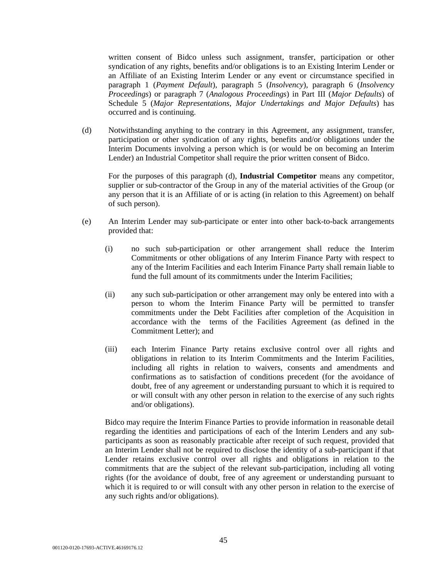written consent of Bidco unless such assignment, transfer, participation or other syndication of any rights, benefits and/or obligations is to an Existing Interim Lender or an Affiliate of an Existing Interim Lender or any event or circumstance specified in paragraph 1 (*Payment Default*), paragraph 5 (*Insolvency*), paragraph 6 (*Insolvency Proceedings*) or paragraph 7 (*Analogous Proceedings*) in Part III (*Major Defaults*) of Schedule 5 (*Major Representations, Major Undertakings and Major Defaults*) has occurred and is continuing.

(d) Notwithstanding anything to the contrary in this Agreement, any assignment, transfer, participation or other syndication of any rights, benefits and/or obligations under the Interim Documents involving a person which is (or would be on becoming an Interim Lender) an Industrial Competitor shall require the prior written consent of Bidco.

For the purposes of this paragraph (d), **Industrial Competitor** means any competitor, supplier or sub-contractor of the Group in any of the material activities of the Group (or any person that it is an Affiliate of or is acting (in relation to this Agreement) on behalf of such person).

- (e) An Interim Lender may sub-participate or enter into other back-to-back arrangements provided that:
	- (i) no such sub-participation or other arrangement shall reduce the Interim Commitments or other obligations of any Interim Finance Party with respect to any of the Interim Facilities and each Interim Finance Party shall remain liable to fund the full amount of its commitments under the Interim Facilities;
	- (ii) any such sub-participation or other arrangement may only be entered into with a person to whom the Interim Finance Party will be permitted to transfer commitments under the Debt Facilities after completion of the Acquisition in accordance with the terms of the Facilities Agreement (as defined in the Commitment Letter); and
	- (iii) each Interim Finance Party retains exclusive control over all rights and obligations in relation to its Interim Commitments and the Interim Facilities, including all rights in relation to waivers, consents and amendments and confirmations as to satisfaction of conditions precedent (for the avoidance of doubt, free of any agreement or understanding pursuant to which it is required to or will consult with any other person in relation to the exercise of any such rights and/or obligations).

Bidco may require the Interim Finance Parties to provide information in reasonable detail regarding the identities and participations of each of the Interim Lenders and any subparticipants as soon as reasonably practicable after receipt of such request, provided that an Interim Lender shall not be required to disclose the identity of a sub-participant if that Lender retains exclusive control over all rights and obligations in relation to the commitments that are the subject of the relevant sub-participation, including all voting rights (for the avoidance of doubt, free of any agreement or understanding pursuant to which it is required to or will consult with any other person in relation to the exercise of any such rights and/or obligations).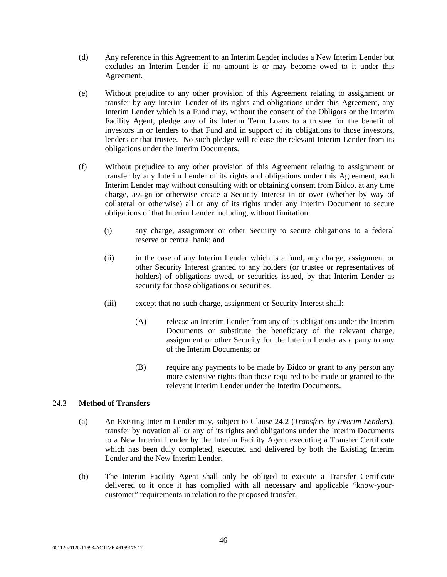- (d) Any reference in this Agreement to an Interim Lender includes a New Interim Lender but excludes an Interim Lender if no amount is or may become owed to it under this Agreement.
- (e) Without prejudice to any other provision of this Agreement relating to assignment or transfer by any Interim Lender of its rights and obligations under this Agreement, any Interim Lender which is a Fund may, without the consent of the Obligors or the Interim Facility Agent, pledge any of its Interim Term Loans to a trustee for the benefit of investors in or lenders to that Fund and in support of its obligations to those investors, lenders or that trustee. No such pledge will release the relevant Interim Lender from its obligations under the Interim Documents.
- (f) Without prejudice to any other provision of this Agreement relating to assignment or transfer by any Interim Lender of its rights and obligations under this Agreement, each Interim Lender may without consulting with or obtaining consent from Bidco, at any time charge, assign or otherwise create a Security Interest in or over (whether by way of collateral or otherwise) all or any of its rights under any Interim Document to secure obligations of that Interim Lender including, without limitation:
	- (i) any charge, assignment or other Security to secure obligations to a federal reserve or central bank; and
	- (ii) in the case of any Interim Lender which is a fund, any charge, assignment or other Security Interest granted to any holders (or trustee or representatives of holders) of obligations owed, or securities issued, by that Interim Lender as security for those obligations or securities,
	- (iii) except that no such charge, assignment or Security Interest shall:
		- (A) release an Interim Lender from any of its obligations under the Interim Documents or substitute the beneficiary of the relevant charge, assignment or other Security for the Interim Lender as a party to any of the Interim Documents; or
		- (B) require any payments to be made by Bidco or grant to any person any more extensive rights than those required to be made or granted to the relevant Interim Lender under the Interim Documents.

# 24.3 **Method of Transfers**

- (a) An Existing Interim Lender may, subject to Clause 24.2 (*Transfers by Interim Lenders*), transfer by novation all or any of its rights and obligations under the Interim Documents to a New Interim Lender by the Interim Facility Agent executing a Transfer Certificate which has been duly completed, executed and delivered by both the Existing Interim Lender and the New Interim Lender.
- (b) The Interim Facility Agent shall only be obliged to execute a Transfer Certificate delivered to it once it has complied with all necessary and applicable "know-yourcustomer" requirements in relation to the proposed transfer.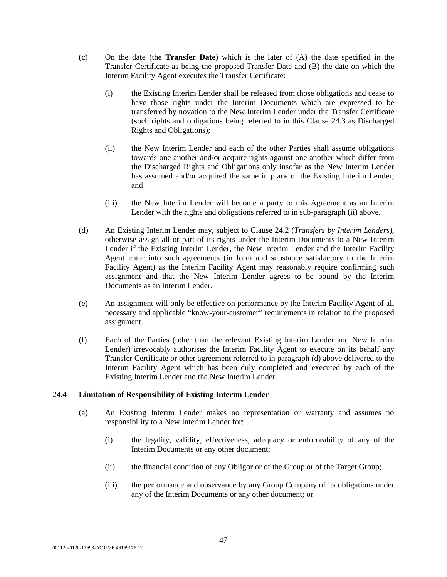- (c) On the date (the **Transfer Date**) which is the later of (A) the date specified in the Transfer Certificate as being the proposed Transfer Date and (B) the date on which the Interim Facility Agent executes the Transfer Certificate:
	- (i) the Existing Interim Lender shall be released from those obligations and cease to have those rights under the Interim Documents which are expressed to be transferred by novation to the New Interim Lender under the Transfer Certificate (such rights and obligations being referred to in this Clause 24.3 as Discharged Rights and Obligations);
	- (ii) the New Interim Lender and each of the other Parties shall assume obligations towards one another and/or acquire rights against one another which differ from the Discharged Rights and Obligations only insofar as the New Interim Lender has assumed and/or acquired the same in place of the Existing Interim Lender; and
	- (iii) the New Interim Lender will become a party to this Agreement as an Interim Lender with the rights and obligations referred to in sub-paragraph (ii) above.
- (d) An Existing Interim Lender may, subject to Clause 24.2 (*Transfers by Interim Lenders*), otherwise assign all or part of its rights under the Interim Documents to a New Interim Lender if the Existing Interim Lender, the New Interim Lender and the Interim Facility Agent enter into such agreements (in form and substance satisfactory to the Interim Facility Agent) as the Interim Facility Agent may reasonably require confirming such assignment and that the New Interim Lender agrees to be bound by the Interim Documents as an Interim Lender.
- (e) An assignment will only be effective on performance by the Interim Facility Agent of all necessary and applicable "know-your-customer" requirements in relation to the proposed assignment.
- (f) Each of the Parties (other than the relevant Existing Interim Lender and New Interim Lender) irrevocably authorises the Interim Facility Agent to execute on its behalf any Transfer Certificate or other agreement referred to in paragraph (d) above delivered to the Interim Facility Agent which has been duly completed and executed by each of the Existing Interim Lender and the New Interim Lender.

## 24.4 **Limitation of Responsibility of Existing Interim Lender**

- (a) An Existing Interim Lender makes no representation or warranty and assumes no responsibility to a New Interim Lender for:
	- (i) the legality, validity, effectiveness, adequacy or enforceability of any of the Interim Documents or any other document;
	- (ii) the financial condition of any Obligor or of the Group or of the Target Group;
	- (iii) the performance and observance by any Group Company of its obligations under any of the Interim Documents or any other document; or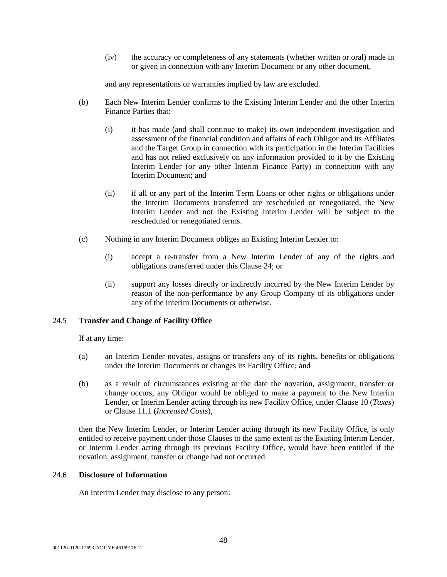(iv) the accuracy or completeness of any statements (whether written or oral) made in or given in connection with any Interim Document or any other document,

and any representations or warranties implied by law are excluded.

- (b) Each New Interim Lender confirms to the Existing Interim Lender and the other Interim Finance Parties that:
	- (i) it has made (and shall continue to make) its own independent investigation and assessment of the financial condition and affairs of each Obligor and its Affiliates and the Target Group in connection with its participation in the Interim Facilities and has not relied exclusively on any information provided to it by the Existing Interim Lender (or any other Interim Finance Party) in connection with any Interim Document; and
	- (ii) if all or any part of the Interim Term Loans or other rights or obligations under the Interim Documents transferred are rescheduled or renegotiated, the New Interim Lender and not the Existing Interim Lender will be subject to the rescheduled or renegotiated terms.
- (c) Nothing in any Interim Document obliges an Existing Interim Lender to:
	- (i) accept a re-transfer from a New Interim Lender of any of the rights and obligations transferred under this Clause 24; or
	- (ii) support any losses directly or indirectly incurred by the New Interim Lender by reason of the non-performance by any Group Company of its obligations under any of the Interim Documents or otherwise.

## 24.5 **Transfer and Change of Facility Office**

If at any time:

- (a) an Interim Lender novates, assigns or transfers any of its rights, benefits or obligations under the Interim Documents or changes its Facility Office; and
- (b) as a result of circumstances existing at the date the novation, assignment, transfer or change occurs, any Obligor would be obliged to make a payment to the New Interim Lender, or Interim Lender acting through its new Facility Office, under Clause 10 (*Taxes*) or Clause 11.1 (*Increased Costs*),

then the New Interim Lender, or Interim Lender acting through its new Facility Office, is only entitled to receive payment under those Clauses to the same extent as the Existing Interim Lender, or Interim Lender acting through its previous Facility Office, would have been entitled if the novation, assignment, transfer or change had not occurred.

### 24.6 **Disclosure of Information**

An Interim Lender may disclose to any person: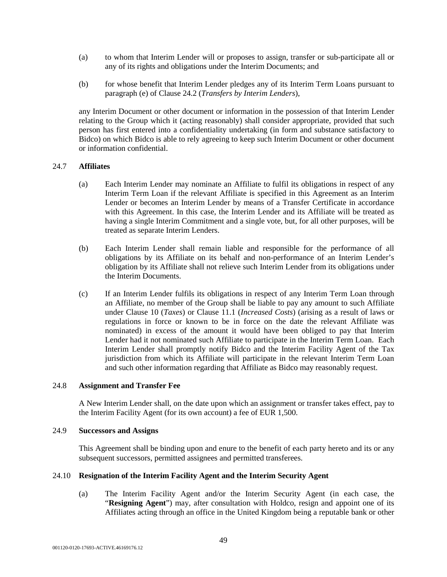- (a) to whom that Interim Lender will or proposes to assign, transfer or sub-participate all or any of its rights and obligations under the Interim Documents; and
- (b) for whose benefit that Interim Lender pledges any of its Interim Term Loans pursuant to paragraph (e) of Clause 24.2 (*Transfers by Interim Lenders*),

any Interim Document or other document or information in the possession of that Interim Lender relating to the Group which it (acting reasonably) shall consider appropriate, provided that such person has first entered into a confidentiality undertaking (in form and substance satisfactory to Bidco) on which Bidco is able to rely agreeing to keep such Interim Document or other document or information confidential.

### 24.7 **Affiliates**

- (a) Each Interim Lender may nominate an Affiliate to fulfil its obligations in respect of any Interim Term Loan if the relevant Affiliate is specified in this Agreement as an Interim Lender or becomes an Interim Lender by means of a Transfer Certificate in accordance with this Agreement. In this case, the Interim Lender and its Affiliate will be treated as having a single Interim Commitment and a single vote, but, for all other purposes, will be treated as separate Interim Lenders.
- (b) Each Interim Lender shall remain liable and responsible for the performance of all obligations by its Affiliate on its behalf and non-performance of an Interim Lender's obligation by its Affiliate shall not relieve such Interim Lender from its obligations under the Interim Documents.
- (c) If an Interim Lender fulfils its obligations in respect of any Interim Term Loan through an Affiliate, no member of the Group shall be liable to pay any amount to such Affiliate under Clause 10 (*Taxes*) or Clause 11.1 (*Increased Costs*) (arising as a result of laws or regulations in force or known to be in force on the date the relevant Affiliate was nominated) in excess of the amount it would have been obliged to pay that Interim Lender had it not nominated such Affiliate to participate in the Interim Term Loan. Each Interim Lender shall promptly notify Bidco and the Interim Facility Agent of the Tax jurisdiction from which its Affiliate will participate in the relevant Interim Term Loan and such other information regarding that Affiliate as Bidco may reasonably request.

#### 24.8 **Assignment and Transfer Fee**

A New Interim Lender shall, on the date upon which an assignment or transfer takes effect, pay to the Interim Facility Agent (for its own account) a fee of EUR 1,500.

## 24.9 **Successors and Assigns**

This Agreement shall be binding upon and enure to the benefit of each party hereto and its or any subsequent successors, permitted assignees and permitted transferees.

#### 24.10 **Resignation of the Interim Facility Agent and the Interim Security Agent**

(a) The Interim Facility Agent and/or the Interim Security Agent (in each case, the "**Resigning Agent**") may, after consultation with Holdco, resign and appoint one of its Affiliates acting through an office in the United Kingdom being a reputable bank or other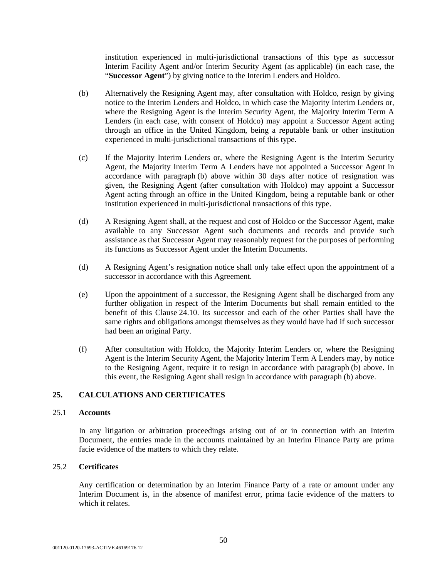institution experienced in multi-jurisdictional transactions of this type as successor Interim Facility Agent and/or Interim Security Agent (as applicable) (in each case, the "**Successor Agent**") by giving notice to the Interim Lenders and Holdco.

- (b) Alternatively the Resigning Agent may, after consultation with Holdco, resign by giving notice to the Interim Lenders and Holdco, in which case the Majority Interim Lenders or, where the Resigning Agent is the Interim Security Agent, the Majority Interim Term A Lenders (in each case, with consent of Holdco) may appoint a Successor Agent acting through an office in the United Kingdom, being a reputable bank or other institution experienced in multi-jurisdictional transactions of this type.
- (c) If the Majority Interim Lenders or, where the Resigning Agent is the Interim Security Agent, the Majority Interim Term A Lenders have not appointed a Successor Agent in accordance with paragraph (b) above within 30 days after notice of resignation was given, the Resigning Agent (after consultation with Holdco) may appoint a Successor Agent acting through an office in the United Kingdom, being a reputable bank or other institution experienced in multi-jurisdictional transactions of this type.
- (d) A Resigning Agent shall, at the request and cost of Holdco or the Successor Agent, make available to any Successor Agent such documents and records and provide such assistance as that Successor Agent may reasonably request for the purposes of performing its functions as Successor Agent under the Interim Documents.
- (d) A Resigning Agent's resignation notice shall only take effect upon the appointment of a successor in accordance with this Agreement.
- (e) Upon the appointment of a successor, the Resigning Agent shall be discharged from any further obligation in respect of the Interim Documents but shall remain entitled to the benefit of this Clause 24.10. Its successor and each of the other Parties shall have the same rights and obligations amongst themselves as they would have had if such successor had been an original Party.
- (f) After consultation with Holdco, the Majority Interim Lenders or, where the Resigning Agent is the Interim Security Agent, the Majority Interim Term A Lenders may, by notice to the Resigning Agent, require it to resign in accordance with paragraph (b) above. In this event, the Resigning Agent shall resign in accordance with paragraph (b) above.

## **25. CALCULATIONS AND CERTIFICATES**

## 25.1 **Accounts**

In any litigation or arbitration proceedings arising out of or in connection with an Interim Document, the entries made in the accounts maintained by an Interim Finance Party are prima facie evidence of the matters to which they relate.

## 25.2 **Certificates**

Any certification or determination by an Interim Finance Party of a rate or amount under any Interim Document is, in the absence of manifest error, prima facie evidence of the matters to which it relates.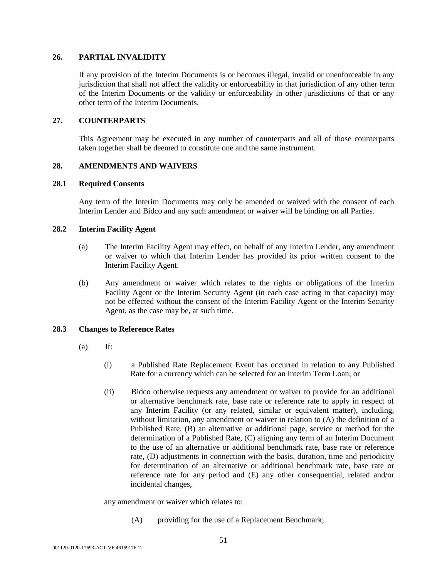## **26. PARTIAL INVALIDITY**

If any provision of the Interim Documents is or becomes illegal, invalid or unenforceable in any jurisdiction that shall not affect the validity or enforceability in that jurisdiction of any other term of the Interim Documents or the validity or enforceability in other jurisdictions of that or any other term of the Interim Documents.

# **27. COUNTERPARTS**

This Agreement may be executed in any number of counterparts and all of those counterparts taken together shall be deemed to constitute one and the same instrument.

## **28. AMENDMENTS AND WAIVERS**

### **28.1 Required Consents**

Any term of the Interim Documents may only be amended or waived with the consent of each Interim Lender and Bidco and any such amendment or waiver will be binding on all Parties.

## **28.2 Interim Facility Agent**

- (a) The Interim Facility Agent may effect, on behalf of any Interim Lender, any amendment or waiver to which that Interim Lender has provided its prior written consent to the Interim Facility Agent.
- (b) Any amendment or waiver which relates to the rights or obligations of the Interim Facility Agent or the Interim Security Agent (in each case acting in that capacity) may not be effected without the consent of the Interim Facility Agent or the Interim Security Agent, as the case may be, at such time.

## **28.3 Changes to Reference Rates**

- $(a)$  If:
	- (i) a Published Rate Replacement Event has occurred in relation to any Published Rate for a currency which can be selected for an Interim Term Loan; or
	- (ii) Bidco otherwise requests any amendment or waiver to provide for an additional or alternative benchmark rate, base rate or reference rate to apply in respect of any Interim Facility (or any related, similar or equivalent matter), including, without limitation, any amendment or waiver in relation to (A) the definition of a Published Rate, (B) an alternative or additional page, service or method for the determination of a Published Rate, (C) aligning any term of an Interim Document to the use of an alternative or additional benchmark rate, base rate or reference rate, (D) adjustments in connection with the basis, duration, time and periodicity for determination of an alternative or additional benchmark rate, base rate or reference rate for any period and (E) any other consequential, related and/or incidental changes,

any amendment or waiver which relates to:

(A) providing for the use of a Replacement Benchmark;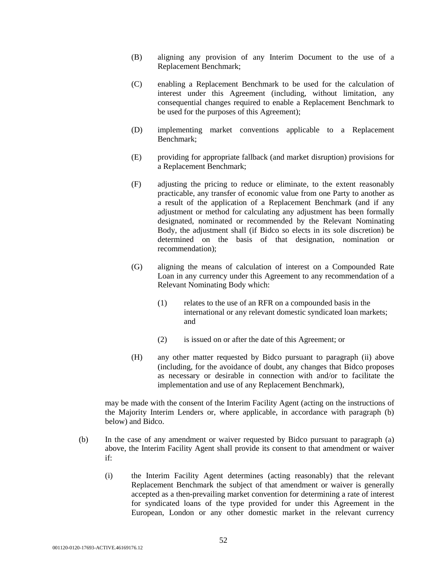- (B) aligning any provision of any Interim Document to the use of a Replacement Benchmark;
- (C) enabling a Replacement Benchmark to be used for the calculation of interest under this Agreement (including, without limitation, any consequential changes required to enable a Replacement Benchmark to be used for the purposes of this Agreement);
- (D) implementing market conventions applicable to a Replacement Benchmark;
- (E) providing for appropriate fallback (and market disruption) provisions for a Replacement Benchmark;
- (F) adjusting the pricing to reduce or eliminate, to the extent reasonably practicable, any transfer of economic value from one Party to another as a result of the application of a Replacement Benchmark (and if any adjustment or method for calculating any adjustment has been formally designated, nominated or recommended by the Relevant Nominating Body, the adjustment shall (if Bidco so elects in its sole discretion) be determined on the basis of that designation, nomination or recommendation);
- (G) aligning the means of calculation of interest on a Compounded Rate Loan in any currency under this Agreement to any recommendation of a Relevant Nominating Body which:
	- (1) relates to the use of an RFR on a compounded basis in the international or any relevant domestic syndicated loan markets; and
	- (2) is issued on or after the date of this Agreement; or
- (H) any other matter requested by Bidco pursuant to paragraph (ii) above (including, for the avoidance of doubt, any changes that Bidco proposes as necessary or desirable in connection with and/or to facilitate the implementation and use of any Replacement Benchmark),

may be made with the consent of the Interim Facility Agent (acting on the instructions of the Majority Interim Lenders or, where applicable, in accordance with paragraph (b) below) and Bidco.

- (b) In the case of any amendment or waiver requested by Bidco pursuant to paragraph (a) above, the Interim Facility Agent shall provide its consent to that amendment or waiver if:
	- (i) the Interim Facility Agent determines (acting reasonably) that the relevant Replacement Benchmark the subject of that amendment or waiver is generally accepted as a then-prevailing market convention for determining a rate of interest for syndicated loans of the type provided for under this Agreement in the European, London or any other domestic market in the relevant currency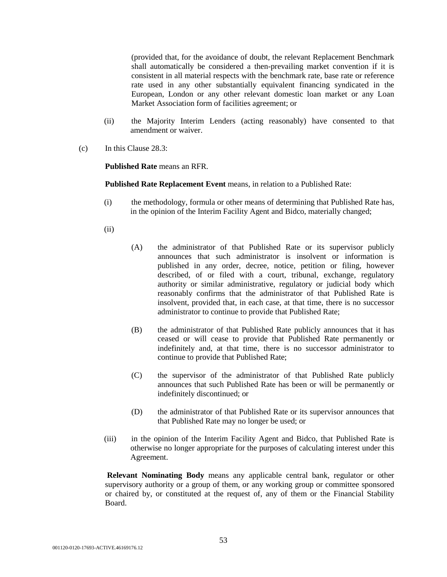(provided that, for the avoidance of doubt, the relevant Replacement Benchmark shall automatically be considered a then-prevailing market convention if it is consistent in all material respects with the benchmark rate, base rate or reference rate used in any other substantially equivalent financing syndicated in the European, London or any other relevant domestic loan market or any Loan Market Association form of facilities agreement; or

- (ii) the Majority Interim Lenders (acting reasonably) have consented to that amendment or waiver.
- (c) In this Clause 28.3:

**Published Rate** means an RFR.

**Published Rate Replacement Event** means, in relation to a Published Rate:

(i) the methodology, formula or other means of determining that Published Rate has, in the opinion of the Interim Facility Agent and Bidco, materially changed;

 $(ii)$ 

- (A) the administrator of that Published Rate or its supervisor publicly announces that such administrator is insolvent or information is published in any order, decree, notice, petition or filing, however described, of or filed with a court, tribunal, exchange, regulatory authority or similar administrative, regulatory or judicial body which reasonably confirms that the administrator of that Published Rate is insolvent, provided that, in each case, at that time, there is no successor administrator to continue to provide that Published Rate;
- (B) the administrator of that Published Rate publicly announces that it has ceased or will cease to provide that Published Rate permanently or indefinitely and, at that time, there is no successor administrator to continue to provide that Published Rate;
- (C) the supervisor of the administrator of that Published Rate publicly announces that such Published Rate has been or will be permanently or indefinitely discontinued; or
- (D) the administrator of that Published Rate or its supervisor announces that that Published Rate may no longer be used; or
- (iii) in the opinion of the Interim Facility Agent and Bidco, that Published Rate is otherwise no longer appropriate for the purposes of calculating interest under this Agreement.

**Relevant Nominating Body** means any applicable central bank, regulator or other supervisory authority or a group of them, or any working group or committee sponsored or chaired by, or constituted at the request of, any of them or the Financial Stability Board.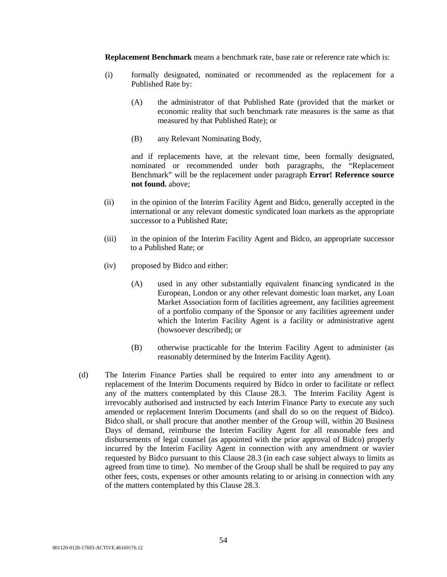**Replacement Benchmark** means a benchmark rate, base rate or reference rate which is:

- (i) formally designated, nominated or recommended as the replacement for a Published Rate by:
	- (A) the administrator of that Published Rate (provided that the market or economic reality that such benchmark rate measures is the same as that measured by that Published Rate); or
	- (B) any Relevant Nominating Body,

and if replacements have, at the relevant time, been formally designated, nominated or recommended under both paragraphs, the "Replacement Benchmark" will be the replacement under paragraph **Error! Reference source not found.** above;

- (ii) in the opinion of the Interim Facility Agent and Bidco, generally accepted in the international or any relevant domestic syndicated loan markets as the appropriate successor to a Published Rate;
- (iii) in the opinion of the Interim Facility Agent and Bidco, an appropriate successor to a Published Rate; or
- (iv) proposed by Bidco and either:
	- (A) used in any other substantially equivalent financing syndicated in the European, London or any other relevant domestic loan market, any Loan Market Association form of facilities agreement, any facilities agreement of a portfolio company of the Sponsor or any facilities agreement under which the Interim Facility Agent is a facility or administrative agent (howsoever described); or
	- (B) otherwise practicable for the Interim Facility Agent to administer (as reasonably determined by the Interim Facility Agent).
- (d) The Interim Finance Parties shall be required to enter into any amendment to or replacement of the Interim Documents required by Bidco in order to facilitate or reflect any of the matters contemplated by this Clause 28.3. The Interim Facility Agent is irrevocably authorised and instructed by each Interim Finance Party to execute any such amended or replacement Interim Documents (and shall do so on the request of Bidco). Bidco shall, or shall procure that another member of the Group will, within 20 Business Days of demand, reimburse the Interim Facility Agent for all reasonable fees and disbursements of legal counsel (as appointed with the prior approval of Bidco) properly incurred by the Interim Facility Agent in connection with any amendment or wavier requested by Bidco pursuant to this Clause 28.3 (in each case subject always to limits as agreed from time to time). No member of the Group shall be shall be required to pay any other fees, costs, expenses or other amounts relating to or arising in connection with any of the matters contemplated by this Clause 28.3.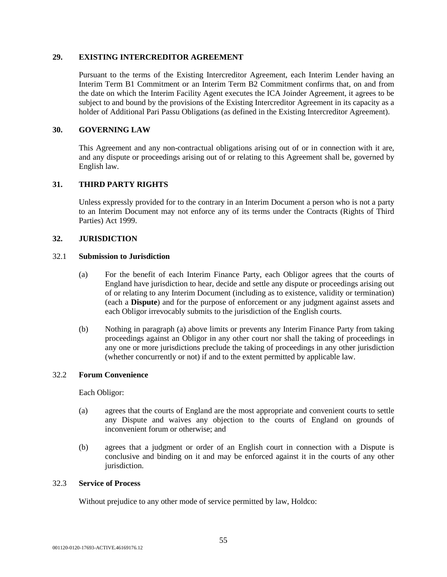# **29. EXISTING INTERCREDITOR AGREEMENT**

Pursuant to the terms of the Existing Intercreditor Agreement, each Interim Lender having an Interim Term B1 Commitment or an Interim Term B2 Commitment confirms that, on and from the date on which the Interim Facility Agent executes the ICA Joinder Agreement, it agrees to be subject to and bound by the provisions of the Existing Intercreditor Agreement in its capacity as a holder of Additional Pari Passu Obligations (as defined in the Existing Intercreditor Agreement).

## **30. GOVERNING LAW**

This Agreement and any non-contractual obligations arising out of or in connection with it are, and any dispute or proceedings arising out of or relating to this Agreement shall be, governed by English law.

## **31. THIRD PARTY RIGHTS**

Unless expressly provided for to the contrary in an Interim Document a person who is not a party to an Interim Document may not enforce any of its terms under the Contracts (Rights of Third Parties) Act 1999.

### **32. JURISDICTION**

### 32.1 **Submission to Jurisdiction**

- (a) For the benefit of each Interim Finance Party, each Obligor agrees that the courts of England have jurisdiction to hear, decide and settle any dispute or proceedings arising out of or relating to any Interim Document (including as to existence, validity or termination) (each a **Dispute**) and for the purpose of enforcement or any judgment against assets and each Obligor irrevocably submits to the jurisdiction of the English courts.
- (b) Nothing in paragraph (a) above limits or prevents any Interim Finance Party from taking proceedings against an Obligor in any other court nor shall the taking of proceedings in any one or more jurisdictions preclude the taking of proceedings in any other jurisdiction (whether concurrently or not) if and to the extent permitted by applicable law.

#### 32.2 **Forum Convenience**

Each Obligor:

- (a) agrees that the courts of England are the most appropriate and convenient courts to settle any Dispute and waives any objection to the courts of England on grounds of inconvenient forum or otherwise; and
- (b) agrees that a judgment or order of an English court in connection with a Dispute is conclusive and binding on it and may be enforced against it in the courts of any other jurisdiction.

#### 32.3 **Service of Process**

Without prejudice to any other mode of service permitted by law, Holdco: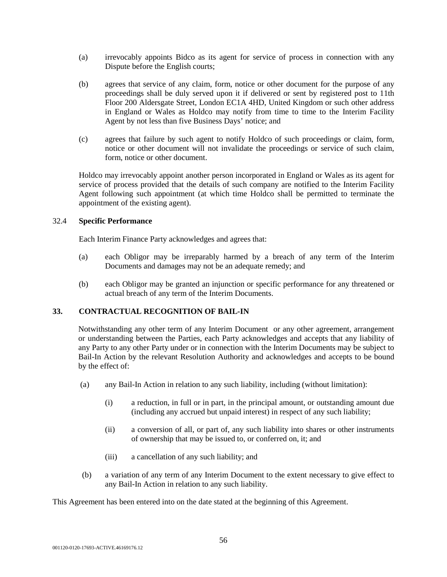- (a) irrevocably appoints Bidco as its agent for service of process in connection with any Dispute before the English courts;
- (b) agrees that service of any claim, form, notice or other document for the purpose of any proceedings shall be duly served upon it if delivered or sent by registered post to 11th Floor 200 Aldersgate Street, London EC1A 4HD, United Kingdom or such other address in England or Wales as Holdco may notify from time to time to the Interim Facility Agent by not less than five Business Days' notice; and
- (c) agrees that failure by such agent to notify Holdco of such proceedings or claim, form, notice or other document will not invalidate the proceedings or service of such claim, form, notice or other document.

Holdco may irrevocably appoint another person incorporated in England or Wales as its agent for service of process provided that the details of such company are notified to the Interim Facility Agent following such appointment (at which time Holdco shall be permitted to terminate the appointment of the existing agent).

## 32.4 **Specific Performance**

Each Interim Finance Party acknowledges and agrees that:

- (a) each Obligor may be irreparably harmed by a breach of any term of the Interim Documents and damages may not be an adequate remedy; and
- (b) each Obligor may be granted an injunction or specific performance for any threatened or actual breach of any term of the Interim Documents.

## **33. CONTRACTUAL RECOGNITION OF BAIL-IN**

Notwithstanding any other term of any Interim Document or any other agreement, arrangement or understanding between the Parties, each Party acknowledges and accepts that any liability of any Party to any other Party under or in connection with the Interim Documents may be subject to Bail-In Action by the relevant Resolution Authority and acknowledges and accepts to be bound by the effect of:

- (a) any Bail-In Action in relation to any such liability, including (without limitation):
	- (i) a reduction, in full or in part, in the principal amount, or outstanding amount due (including any accrued but unpaid interest) in respect of any such liability;
	- (ii) a conversion of all, or part of, any such liability into shares or other instruments of ownership that may be issued to, or conferred on, it; and
	- (iii) a cancellation of any such liability; and
- (b) a variation of any term of any Interim Document to the extent necessary to give effect to any Bail-In Action in relation to any such liability.

This Agreement has been entered into on the date stated at the beginning of this Agreement.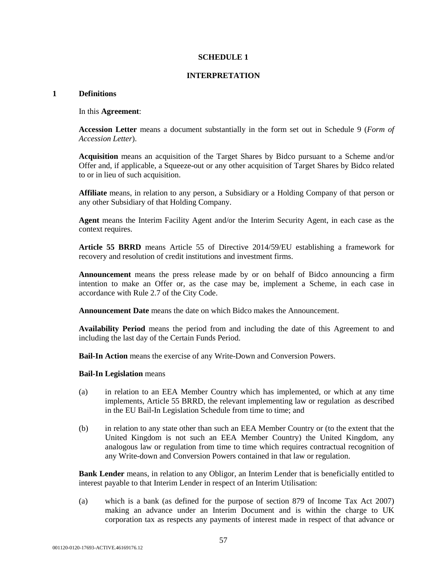#### **SCHEDULE 1**

#### **INTERPRETATION**

#### **1 Definitions**

#### In this **Agreement**:

**Accession Letter** means a document substantially in the form set out in Schedule 9 (*Form of Accession Letter*).

**Acquisition** means an acquisition of the Target Shares by Bidco pursuant to a Scheme and/or Offer and, if applicable, a Squeeze-out or any other acquisition of Target Shares by Bidco related to or in lieu of such acquisition.

**Affiliate** means, in relation to any person, a Subsidiary or a Holding Company of that person or any other Subsidiary of that Holding Company.

**Agent** means the Interim Facility Agent and/or the Interim Security Agent, in each case as the context requires.

**Article 55 BRRD** means Article 55 of Directive 2014/59/EU establishing a framework for recovery and resolution of credit institutions and investment firms.

**Announcement** means the press release made by or on behalf of Bidco announcing a firm intention to make an Offer or, as the case may be, implement a Scheme, in each case in accordance with Rule 2.7 of the City Code.

**Announcement Date** means the date on which Bidco makes the Announcement.

**Availability Period** means the period from and including the date of this Agreement to and including the last day of the Certain Funds Period.

**Bail-In Action** means the exercise of any Write-Down and Conversion Powers.

#### **Bail-In Legislation** means

- (a) in relation to an EEA Member Country which has implemented, or which at any time implements, Article 55 BRRD, the relevant implementing law or regulation as described in the EU Bail-In Legislation Schedule from time to time; and
- (b) in relation to any state other than such an EEA Member Country or (to the extent that the United Kingdom is not such an EEA Member Country) the United Kingdom, any analogous law or regulation from time to time which requires contractual recognition of any Write-down and Conversion Powers contained in that law or regulation.

**Bank Lender** means, in relation to any Obligor, an Interim Lender that is beneficially entitled to interest payable to that Interim Lender in respect of an Interim Utilisation:

(a) which is a bank (as defined for the purpose of section 879 of Income Tax Act 2007) making an advance under an Interim Document and is within the charge to UK corporation tax as respects any payments of interest made in respect of that advance or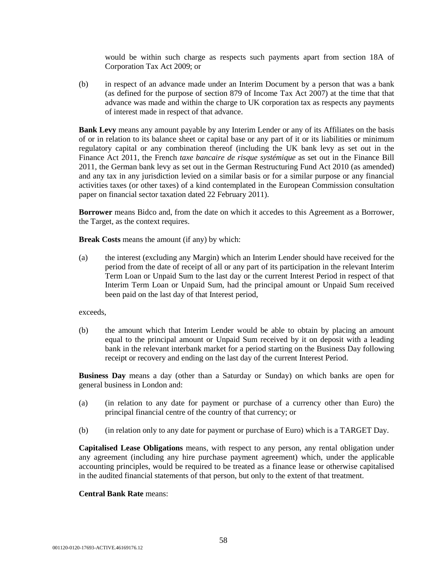would be within such charge as respects such payments apart from section 18A of Corporation Tax Act 2009; or

(b) in respect of an advance made under an Interim Document by a person that was a bank (as defined for the purpose of section 879 of Income Tax Act 2007) at the time that that advance was made and within the charge to UK corporation tax as respects any payments of interest made in respect of that advance.

**Bank Levy** means any amount payable by any Interim Lender or any of its Affiliates on the basis of or in relation to its balance sheet or capital base or any part of it or its liabilities or minimum regulatory capital or any combination thereof (including the UK bank levy as set out in the Finance Act 2011, the French *taxe bancaire de risque systémique* as set out in the Finance Bill 2011, the German bank levy as set out in the German Restructuring Fund Act 2010 (as amended) and any tax in any jurisdiction levied on a similar basis or for a similar purpose or any financial activities taxes (or other taxes) of a kind contemplated in the European Commission consultation paper on financial sector taxation dated 22 February 2011).

**Borrower** means Bidco and, from the date on which it accedes to this Agreement as a Borrower, the Target, as the context requires.

**Break Costs** means the amount (if any) by which:

(a) the interest (excluding any Margin) which an Interim Lender should have received for the period from the date of receipt of all or any part of its participation in the relevant Interim Term Loan or Unpaid Sum to the last day or the current Interest Period in respect of that Interim Term Loan or Unpaid Sum, had the principal amount or Unpaid Sum received been paid on the last day of that Interest period,

exceeds,

(b) the amount which that Interim Lender would be able to obtain by placing an amount equal to the principal amount or Unpaid Sum received by it on deposit with a leading bank in the relevant interbank market for a period starting on the Business Day following receipt or recovery and ending on the last day of the current Interest Period.

**Business Day** means a day (other than a Saturday or Sunday) on which banks are open for general business in London and:

- (a) (in relation to any date for payment or purchase of a currency other than Euro) the principal financial centre of the country of that currency; or
- (b) (in relation only to any date for payment or purchase of Euro) which is a TARGET Day.

**Capitalised Lease Obligations** means, with respect to any person, any rental obligation under any agreement (including any hire purchase payment agreement) which, under the applicable accounting principles, would be required to be treated as a finance lease or otherwise capitalised in the audited financial statements of that person, but only to the extent of that treatment.

## **Central Bank Rate** means: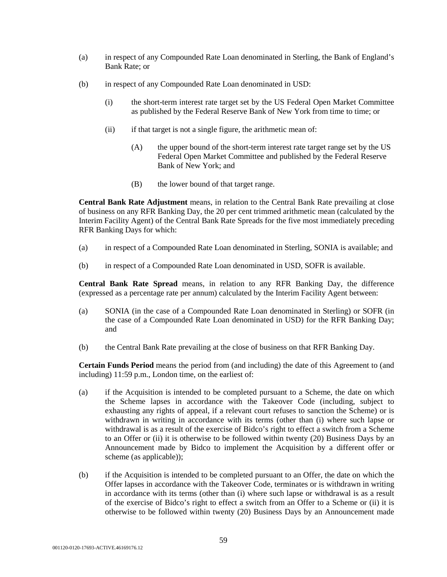- (a) in respect of any Compounded Rate Loan denominated in Sterling, the Bank of England's Bank Rate; or
- (b) in respect of any Compounded Rate Loan denominated in USD:
	- (i) the short-term interest rate target set by the US Federal Open Market Committee as published by the Federal Reserve Bank of New York from time to time; or
	- (ii) if that target is not a single figure, the arithmetic mean of:
		- (A) the upper bound of the short-term interest rate target range set by the US Federal Open Market Committee and published by the Federal Reserve Bank of New York; and
		- (B) the lower bound of that target range.

**Central Bank Rate Adjustment** means, in relation to the Central Bank Rate prevailing at close of business on any RFR Banking Day, the 20 per cent trimmed arithmetic mean (calculated by the Interim Facility Agent) of the Central Bank Rate Spreads for the five most immediately preceding RFR Banking Days for which:

- (a) in respect of a Compounded Rate Loan denominated in Sterling, SONIA is available; and
- (b) in respect of a Compounded Rate Loan denominated in USD, SOFR is available.

**Central Bank Rate Spread** means, in relation to any RFR Banking Day, the difference (expressed as a percentage rate per annum) calculated by the Interim Facility Agent between:

- (a) SONIA (in the case of a Compounded Rate Loan denominated in Sterling) or SOFR (in the case of a Compounded Rate Loan denominated in USD) for the RFR Banking Day; and
- (b) the Central Bank Rate prevailing at the close of business on that RFR Banking Day.

**Certain Funds Period** means the period from (and including) the date of this Agreement to (and including) 11:59 p.m., London time, on the earliest of:

- (a) if the Acquisition is intended to be completed pursuant to a Scheme, the date on which the Scheme lapses in accordance with the Takeover Code (including, subject to exhausting any rights of appeal, if a relevant court refuses to sanction the Scheme) or is withdrawn in writing in accordance with its terms (other than (i) where such lapse or withdrawal is as a result of the exercise of Bidco's right to effect a switch from a Scheme to an Offer or (ii) it is otherwise to be followed within twenty (20) Business Days by an Announcement made by Bidco to implement the Acquisition by a different offer or scheme (as applicable));
- (b) if the Acquisition is intended to be completed pursuant to an Offer, the date on which the Offer lapses in accordance with the Takeover Code, terminates or is withdrawn in writing in accordance with its terms (other than (i) where such lapse or withdrawal is as a result of the exercise of Bidco's right to effect a switch from an Offer to a Scheme or (ii) it is otherwise to be followed within twenty (20) Business Days by an Announcement made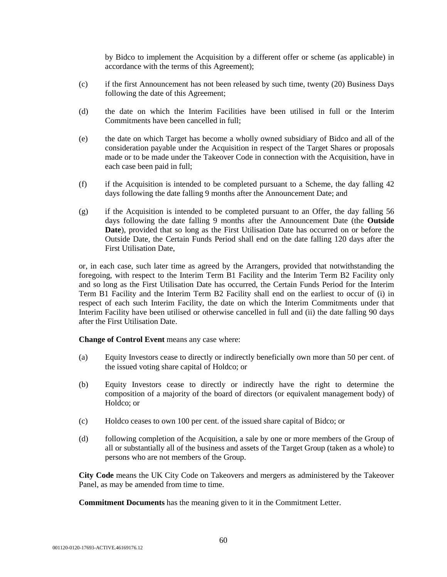by Bidco to implement the Acquisition by a different offer or scheme (as applicable) in accordance with the terms of this Agreement);

- (c) if the first Announcement has not been released by such time, twenty (20) Business Days following the date of this Agreement;
- (d) the date on which the Interim Facilities have been utilised in full or the Interim Commitments have been cancelled in full;
- (e) the date on which Target has become a wholly owned subsidiary of Bidco and all of the consideration payable under the Acquisition in respect of the Target Shares or proposals made or to be made under the Takeover Code in connection with the Acquisition, have in each case been paid in full;
- (f) if the Acquisition is intended to be completed pursuant to a Scheme, the day falling 42 days following the date falling 9 months after the Announcement Date; and
- (g) if the Acquisition is intended to be completed pursuant to an Offer, the day falling 56 days following the date falling 9 months after the Announcement Date (the **Outside Date**), provided that so long as the First Utilisation Date has occurred on or before the Outside Date, the Certain Funds Period shall end on the date falling 120 days after the First Utilisation Date,

or, in each case, such later time as agreed by the Arrangers, provided that notwithstanding the foregoing, with respect to the Interim Term B1 Facility and the Interim Term B2 Facility only and so long as the First Utilisation Date has occurred, the Certain Funds Period for the Interim Term B1 Facility and the Interim Term B2 Facility shall end on the earliest to occur of (i) in respect of each such Interim Facility, the date on which the Interim Commitments under that Interim Facility have been utilised or otherwise cancelled in full and (ii) the date falling 90 days after the First Utilisation Date.

**Change of Control Event** means any case where:

- (a) Equity Investors cease to directly or indirectly beneficially own more than 50 per cent. of the issued voting share capital of Holdco; or
- (b) Equity Investors cease to directly or indirectly have the right to determine the composition of a majority of the board of directors (or equivalent management body) of Holdco; or
- (c) Holdco ceases to own 100 per cent. of the issued share capital of Bidco; or
- (d) following completion of the Acquisition, a sale by one or more members of the Group of all or substantially all of the business and assets of the Target Group (taken as a whole) to persons who are not members of the Group.

**City Code** means the UK City Code on Takeovers and mergers as administered by the Takeover Panel, as may be amended from time to time.

**Commitment Documents** has the meaning given to it in the Commitment Letter.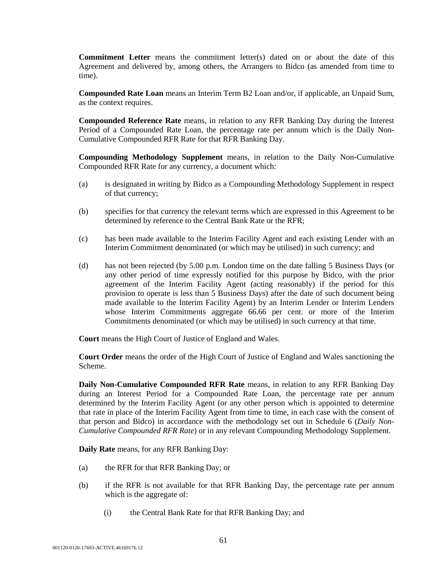**Commitment Letter** means the commitment letter(s) dated on or about the date of this Agreement and delivered by, among others, the Arrangers to Bidco (as amended from time to time).

**Compounded Rate Loan** means an Interim Term B2 Loan and/or, if applicable, an Unpaid Sum, as the context requires.

**Compounded Reference Rate** means, in relation to any RFR Banking Day during the Interest Period of a Compounded Rate Loan, the percentage rate per annum which is the Daily Non-Cumulative Compounded RFR Rate for that RFR Banking Day.

**Compounding Methodology Supplement** means, in relation to the Daily Non-Cumulative Compounded RFR Rate for any currency, a document which:

- (a) is designated in writing by Bidco as a Compounding Methodology Supplement in respect of that currency;
- (b) specifies for that currency the relevant terms which are expressed in this Agreement to be determined by reference to the Central Bank Rate or the RFR;
- (c) has been made available to the Interim Facility Agent and each existing Lender with an Interim Commitment denominated (or which may be utilised) in such currency; and
- (d) has not been rejected (by 5.00 p.m. London time on the date falling 5 Business Days (or any other period of time expressly notified for this purpose by Bidco, with the prior agreement of the Interim Facility Agent (acting reasonably) if the period for this provision to operate is less than 5 Business Days) after the date of such document being made available to the Interim Facility Agent) by an Interim Lender or Interim Lenders whose Interim Commitments aggregate 66.66 per cent. or more of the Interim Commitments denominated (or which may be utilised) in such currency at that time.

**Court** means the High Court of Justice of England and Wales.

**Court Order** means the order of the High Court of Justice of England and Wales sanctioning the Scheme.

**Daily Non-Cumulative Compounded RFR Rate** means, in relation to any RFR Banking Day during an Interest Period for a Compounded Rate Loan, the percentage rate per annum determined by the Interim Facility Agent (or any other person which is appointed to determine that rate in place of the Interim Facility Agent from time to time, in each case with the consent of that person and Bidco) in accordance with the methodology set out in Schedule 6 (*Daily Non-Cumulative Compounded RFR Rate*) or in any relevant Compounding Methodology Supplement.

**Daily Rate** means, for any RFR Banking Day:

- (a) the RFR for that RFR Banking Day; or
- (b) if the RFR is not available for that RFR Banking Day, the percentage rate per annum which is the aggregate of:
	- (i) the Central Bank Rate for that RFR Banking Day; and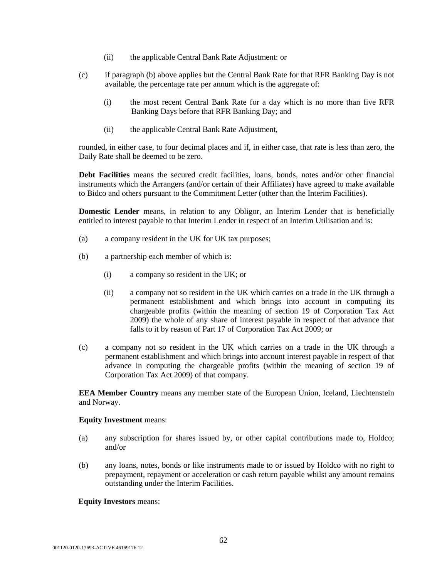- (ii) the applicable Central Bank Rate Adjustment: or
- (c) if paragraph (b) above applies but the Central Bank Rate for that RFR Banking Day is not available, the percentage rate per annum which is the aggregate of:
	- (i) the most recent Central Bank Rate for a day which is no more than five RFR Banking Days before that RFR Banking Day; and
	- (ii) the applicable Central Bank Rate Adjustment,

rounded, in either case, to four decimal places and if, in either case, that rate is less than zero, the Daily Rate shall be deemed to be zero.

**Debt Facilities** means the secured credit facilities, loans, bonds, notes and/or other financial instruments which the Arrangers (and/or certain of their Affiliates) have agreed to make available to Bidco and others pursuant to the Commitment Letter (other than the Interim Facilities).

**Domestic Lender** means, in relation to any Obligor, an Interim Lender that is beneficially entitled to interest payable to that Interim Lender in respect of an Interim Utilisation and is:

- (a) a company resident in the UK for UK tax purposes;
- (b) a partnership each member of which is:
	- (i) a company so resident in the UK; or
	- (ii) a company not so resident in the UK which carries on a trade in the UK through a permanent establishment and which brings into account in computing its chargeable profits (within the meaning of section 19 of Corporation Tax Act 2009) the whole of any share of interest payable in respect of that advance that falls to it by reason of Part 17 of Corporation Tax Act 2009; or
- (c) a company not so resident in the UK which carries on a trade in the UK through a permanent establishment and which brings into account interest payable in respect of that advance in computing the chargeable profits (within the meaning of section 19 of Corporation Tax Act 2009) of that company.

**EEA Member Country** means any member state of the European Union, Iceland, Liechtenstein and Norway.

#### **Equity Investment** means:

- (a) any subscription for shares issued by, or other capital contributions made to, Holdco; and/or
- (b) any loans, notes, bonds or like instruments made to or issued by Holdco with no right to prepayment, repayment or acceleration or cash return payable whilst any amount remains outstanding under the Interim Facilities.

#### **Equity Investors** means: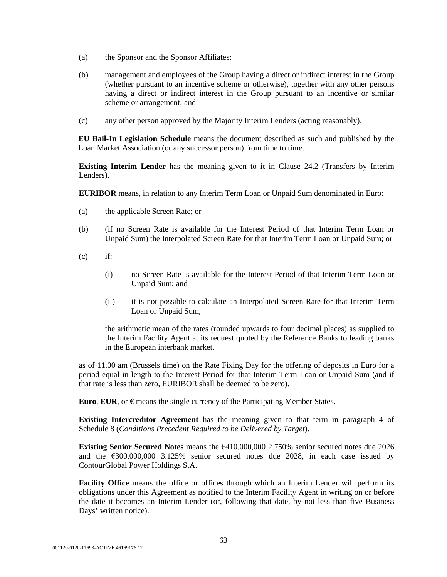- (a) the Sponsor and the Sponsor Affiliates;
- (b) management and employees of the Group having a direct or indirect interest in the Group (whether pursuant to an incentive scheme or otherwise), together with any other persons having a direct or indirect interest in the Group pursuant to an incentive or similar scheme or arrangement; and
- (c) any other person approved by the Majority Interim Lenders (acting reasonably).

**EU Bail-In Legislation Schedule** means the document described as such and published by the Loan Market Association (or any successor person) from time to time.

**Existing Interim Lender** has the meaning given to it in Clause 24.2 (Transfers by Interim Lenders).

**EURIBOR** means, in relation to any Interim Term Loan or Unpaid Sum denominated in Euro:

- (a) the applicable Screen Rate; or
- (b) (if no Screen Rate is available for the Interest Period of that Interim Term Loan or Unpaid Sum) the Interpolated Screen Rate for that Interim Term Loan or Unpaid Sum; or
- $(c)$  if:
	- (i) no Screen Rate is available for the Interest Period of that Interim Term Loan or Unpaid Sum; and
	- (ii) it is not possible to calculate an Interpolated Screen Rate for that Interim Term Loan or Unpaid Sum,

the arithmetic mean of the rates (rounded upwards to four decimal places) as supplied to the Interim Facility Agent at its request quoted by the Reference Banks to leading banks in the European interbank market,

as of 11.00 am (Brussels time) on the Rate Fixing Day for the offering of deposits in Euro for a period equal in length to the Interest Period for that Interim Term Loan or Unpaid Sum (and if that rate is less than zero, EURIBOR shall be deemed to be zero).

**Euro, EUR,** or  $\epsilon$  means the single currency of the Participating Member States.

**Existing Intercreditor Agreement** has the meaning given to that term in paragraph 4 of Schedule 8 (*Conditions Precedent Required to be Delivered by Target*).

**Existing Senior Secured Notes** means the €410,000,000 2.750% senior secured notes due 2026 and the  $\epsilon$ 300,000,000 3.125% senior secured notes due 2028, in each case issued by ContourGlobal Power Holdings S.A.

**Facility Office** means the office or offices through which an Interim Lender will perform its obligations under this Agreement as notified to the Interim Facility Agent in writing on or before the date it becomes an Interim Lender (or, following that date, by not less than five Business Days' written notice).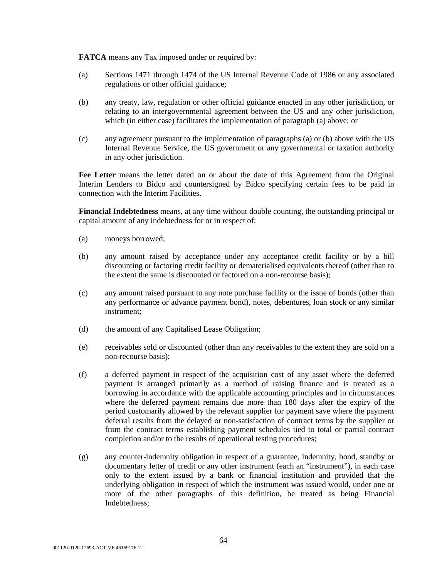**FATCA** means any Tax imposed under or required by:

- (a) Sections 1471 through 1474 of the US Internal Revenue Code of 1986 or any associated regulations or other official guidance;
- (b) any treaty, law, regulation or other official guidance enacted in any other jurisdiction, or relating to an intergovernmental agreement between the US and any other jurisdiction, which (in either case) facilitates the implementation of paragraph (a) above; or
- (c) any agreement pursuant to the implementation of paragraphs (a) or (b) above with the US Internal Revenue Service, the US government or any governmental or taxation authority in any other jurisdiction.

**Fee Letter** means the letter dated on or about the date of this Agreement from the Original Interim Lenders to Bidco and countersigned by Bidco specifying certain fees to be paid in connection with the Interim Facilities.

**Financial Indebtedness** means, at any time without double counting, the outstanding principal or capital amount of any indebtedness for or in respect of:

- (a) moneys borrowed;
- (b) any amount raised by acceptance under any acceptance credit facility or by a bill discounting or factoring credit facility or dematerialised equivalents thereof (other than to the extent the same is discounted or factored on a non-recourse basis);
- (c) any amount raised pursuant to any note purchase facility or the issue of bonds (other than any performance or advance payment bond), notes, debentures, loan stock or any similar instrument;
- (d) the amount of any Capitalised Lease Obligation;
- (e) receivables sold or discounted (other than any receivables to the extent they are sold on a non-recourse basis);
- (f) a deferred payment in respect of the acquisition cost of any asset where the deferred payment is arranged primarily as a method of raising finance and is treated as a borrowing in accordance with the applicable accounting principles and in circumstances where the deferred payment remains due more than 180 days after the expiry of the period customarily allowed by the relevant supplier for payment save where the payment deferral results from the delayed or non-satisfaction of contract terms by the supplier or from the contract terms establishing payment schedules tied to total or partial contract completion and/or to the results of operational testing procedures;
- (g) any counter-indemnity obligation in respect of a guarantee, indemnity, bond, standby or documentary letter of credit or any other instrument (each an "instrument"), in each case only to the extent issued by a bank or financial institution and provided that the underlying obligation in respect of which the instrument was issued would, under one or more of the other paragraphs of this definition, be treated as being Financial Indebtedness;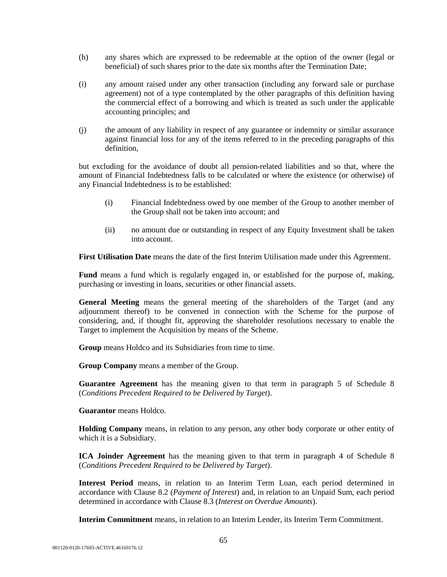- (h) any shares which are expressed to be redeemable at the option of the owner (legal or beneficial) of such shares prior to the date six months after the Termination Date;
- (i) any amount raised under any other transaction (including any forward sale or purchase agreement) not of a type contemplated by the other paragraphs of this definition having the commercial effect of a borrowing and which is treated as such under the applicable accounting principles; and
- (j) the amount of any liability in respect of any guarantee or indemnity or similar assurance against financial loss for any of the items referred to in the preceding paragraphs of this definition,

but excluding for the avoidance of doubt all pension-related liabilities and so that, where the amount of Financial Indebtedness falls to be calculated or where the existence (or otherwise) of any Financial Indebtedness is to be established:

- (i) Financial Indebtedness owed by one member of the Group to another member of the Group shall not be taken into account; and
- (ii) no amount due or outstanding in respect of any Equity Investment shall be taken into account.

**First Utilisation Date** means the date of the first Interim Utilisation made under this Agreement.

**Fund** means a fund which is regularly engaged in, or established for the purpose of, making, purchasing or investing in loans, securities or other financial assets.

**General Meeting** means the general meeting of the shareholders of the Target (and any adjournment thereof) to be convened in connection with the Scheme for the purpose of considering, and, if thought fit, approving the shareholder resolutions necessary to enable the Target to implement the Acquisition by means of the Scheme.

**Group** means Holdco and its Subsidiaries from time to time.

**Group Company** means a member of the Group.

**Guarantee Agreement** has the meaning given to that term in paragraph 5 of Schedule 8 (*Conditions Precedent Required to be Delivered by Target*).

**Guarantor** means Holdco.

**Holding Company** means, in relation to any person, any other body corporate or other entity of which it is a Subsidiary.

**ICA Joinder Agreement** has the meaning given to that term in paragraph 4 of Schedule 8 (*Conditions Precedent Required to be Delivered by Target*).

**Interest Period** means, in relation to an Interim Term Loan, each period determined in accordance with Clause 8.2 (*Payment of Interest*) and, in relation to an Unpaid Sum, each period determined in accordance with Clause 8.3 (*Interest on Overdue Amounts*).

**Interim Commitment** means, in relation to an Interim Lender, its Interim Term Commitment.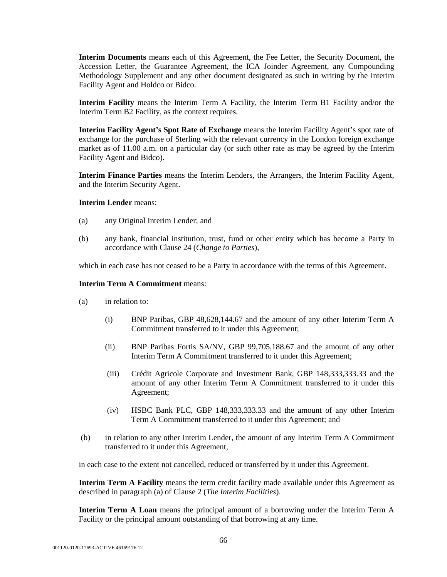**Interim Documents** means each of this Agreement, the Fee Letter, the Security Document, the Accession Letter, the Guarantee Agreement, the ICA Joinder Agreement, any Compounding Methodology Supplement and any other document designated as such in writing by the Interim Facility Agent and Holdco or Bidco.

**Interim Facility** means the Interim Term A Facility, the Interim Term B1 Facility and/or the Interim Term B2 Facility, as the context requires.

**Interim Facility Agent's Spot Rate of Exchange** means the Interim Facility Agent's spot rate of exchange for the purchase of Sterling with the relevant currency in the London foreign exchange market as of 11.00 a.m. on a particular day (or such other rate as may be agreed by the Interim Facility Agent and Bidco).

**Interim Finance Parties** means the Interim Lenders, the Arrangers, the Interim Facility Agent, and the Interim Security Agent.

#### **Interim Lender** means:

- (a) any Original Interim Lender; and
- (b) any bank, financial institution, trust, fund or other entity which has become a Party in accordance with Clause 24 (*Change to Parties*),

which in each case has not ceased to be a Party in accordance with the terms of this Agreement.

#### **Interim Term A Commitment** means:

- (a) in relation to:
	- (i) BNP Paribas, GBP 48,628,144.67 and the amount of any other Interim Term A Commitment transferred to it under this Agreement;
	- (ii) BNP Paribas Fortis SA/NV, GBP 99,705,188.67 and the amount of any other Interim Term A Commitment transferred to it under this Agreement;
	- (iii) Crédit Agricole Corporate and Investment Bank, GBP 148,333,333.33 and the amount of any other Interim Term A Commitment transferred to it under this Agreement;
	- (iv) HSBC Bank PLC, GBP 148,333,333.33 and the amount of any other Interim Term A Commitment transferred to it under this Agreement; and
- (b) in relation to any other Interim Lender, the amount of any Interim Term A Commitment transferred to it under this Agreement,

in each case to the extent not cancelled, reduced or transferred by it under this Agreement.

**Interim Term A Facility** means the term credit facility made available under this Agreement as described in paragraph (a) of Clause 2 (*The Interim Facilities*).

**Interim Term A Loan** means the principal amount of a borrowing under the Interim Term A Facility or the principal amount outstanding of that borrowing at any time.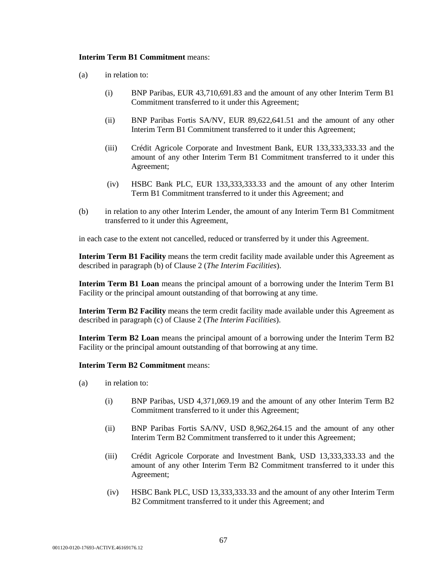#### **Interim Term B1 Commitment** means:

- (a) in relation to:
	- (i) BNP Paribas, EUR 43,710,691.83 and the amount of any other Interim Term B1 Commitment transferred to it under this Agreement;
	- (ii) BNP Paribas Fortis SA/NV, EUR 89,622,641.51 and the amount of any other Interim Term B1 Commitment transferred to it under this Agreement;
	- (iii) Crédit Agricole Corporate and Investment Bank, EUR 133,333,333.33 and the amount of any other Interim Term B1 Commitment transferred to it under this Agreement;
	- (iv) HSBC Bank PLC, EUR 133,333,333.33 and the amount of any other Interim Term B1 Commitment transferred to it under this Agreement; and
- (b) in relation to any other Interim Lender, the amount of any Interim Term B1 Commitment transferred to it under this Agreement,

in each case to the extent not cancelled, reduced or transferred by it under this Agreement.

**Interim Term B1 Facility** means the term credit facility made available under this Agreement as described in paragraph (b) of Clause 2 (*The Interim Facilities*).

**Interim Term B1 Loan** means the principal amount of a borrowing under the Interim Term B1 Facility or the principal amount outstanding of that borrowing at any time.

**Interim Term B2 Facility** means the term credit facility made available under this Agreement as described in paragraph (c) of Clause 2 (*The Interim Facilities*).

**Interim Term B2 Loan** means the principal amount of a borrowing under the Interim Term B2 Facility or the principal amount outstanding of that borrowing at any time.

### **Interim Term B2 Commitment** means:

- (a) in relation to:
	- (i) BNP Paribas, USD 4,371,069.19 and the amount of any other Interim Term B2 Commitment transferred to it under this Agreement;
	- (ii) BNP Paribas Fortis SA/NV, USD 8,962,264.15 and the amount of any other Interim Term B2 Commitment transferred to it under this Agreement;
	- (iii) Crédit Agricole Corporate and Investment Bank, USD 13,333,333.33 and the amount of any other Interim Term B2 Commitment transferred to it under this Agreement;
	- (iv) HSBC Bank PLC, USD 13,333,333.33 and the amount of any other Interim Term B2 Commitment transferred to it under this Agreement; and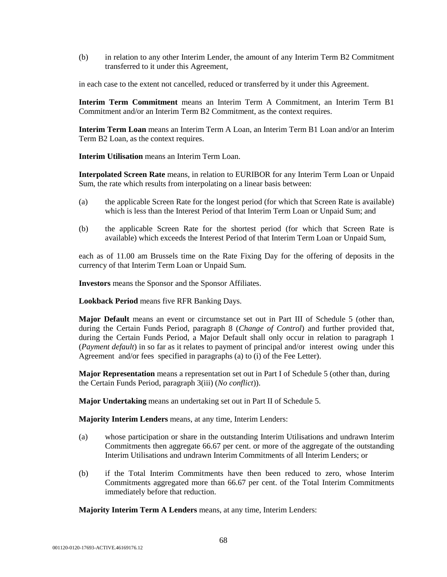(b) in relation to any other Interim Lender, the amount of any Interim Term B2 Commitment transferred to it under this Agreement,

in each case to the extent not cancelled, reduced or transferred by it under this Agreement.

**Interim Term Commitment** means an Interim Term A Commitment, an Interim Term B1 Commitment and/or an Interim Term B2 Commitment, as the context requires.

**Interim Term Loan** means an Interim Term A Loan, an Interim Term B1 Loan and/or an Interim Term B2 Loan, as the context requires.

**Interim Utilisation** means an Interim Term Loan.

**Interpolated Screen Rate** means, in relation to EURIBOR for any Interim Term Loan or Unpaid Sum, the rate which results from interpolating on a linear basis between:

- (a) the applicable Screen Rate for the longest period (for which that Screen Rate is available) which is less than the Interest Period of that Interim Term Loan or Unpaid Sum; and
- (b) the applicable Screen Rate for the shortest period (for which that Screen Rate is available) which exceeds the Interest Period of that Interim Term Loan or Unpaid Sum,

each as of 11.00 am Brussels time on the Rate Fixing Day for the offering of deposits in the currency of that Interim Term Loan or Unpaid Sum.

**Investors** means the Sponsor and the Sponsor Affiliates.

**Lookback Period** means five RFR Banking Days.

**Major Default** means an event or circumstance set out in Part III of Schedule 5 (other than, during the Certain Funds Period, paragraph 8 (*Change of Control*) and further provided that, during the Certain Funds Period, a Major Default shall only occur in relation to paragraph 1 (*Payment default*) in so far as it relates to payment of principal and/or interest owing under this Agreement and/or fees specified in paragraphs (a) to (i) of the Fee Letter).

**Major Representation** means a representation set out in Part I of Schedule 5 (other than, during the Certain Funds Period, paragraph 3(iii) (*No conflict*)).

**Major Undertaking** means an undertaking set out in Part II of Schedule 5.

**Majority Interim Lenders** means, at any time, Interim Lenders:

- (a) whose participation or share in the outstanding Interim Utilisations and undrawn Interim Commitments then aggregate 66.67 per cent. or more of the aggregate of the outstanding Interim Utilisations and undrawn Interim Commitments of all Interim Lenders; or
- (b) if the Total Interim Commitments have then been reduced to zero, whose Interim Commitments aggregated more than 66.67 per cent. of the Total Interim Commitments immediately before that reduction.

**Majority Interim Term A Lenders** means, at any time, Interim Lenders: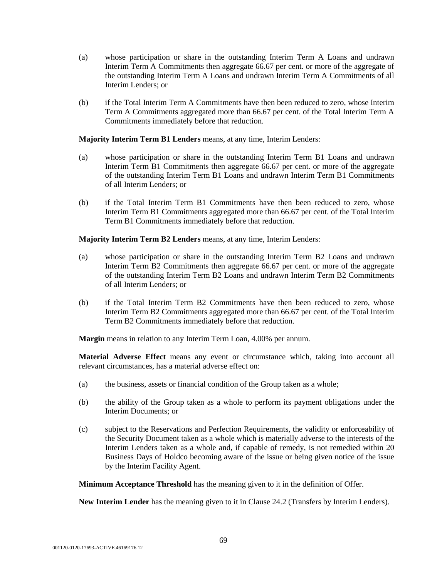- (a) whose participation or share in the outstanding Interim Term A Loans and undrawn Interim Term A Commitments then aggregate 66.67 per cent. or more of the aggregate of the outstanding Interim Term A Loans and undrawn Interim Term A Commitments of all Interim Lenders; or
- (b) if the Total Interim Term A Commitments have then been reduced to zero, whose Interim Term A Commitments aggregated more than 66.67 per cent. of the Total Interim Term A Commitments immediately before that reduction.

## **Majority Interim Term B1 Lenders** means, at any time, Interim Lenders:

- (a) whose participation or share in the outstanding Interim Term B1 Loans and undrawn Interim Term B1 Commitments then aggregate 66.67 per cent. or more of the aggregate of the outstanding Interim Term B1 Loans and undrawn Interim Term B1 Commitments of all Interim Lenders; or
- (b) if the Total Interim Term B1 Commitments have then been reduced to zero, whose Interim Term B1 Commitments aggregated more than 66.67 per cent. of the Total Interim Term B1 Commitments immediately before that reduction.

**Majority Interim Term B2 Lenders** means, at any time, Interim Lenders:

- (a) whose participation or share in the outstanding Interim Term B2 Loans and undrawn Interim Term B2 Commitments then aggregate 66.67 per cent. or more of the aggregate of the outstanding Interim Term B2 Loans and undrawn Interim Term B2 Commitments of all Interim Lenders; or
- (b) if the Total Interim Term B2 Commitments have then been reduced to zero, whose Interim Term B2 Commitments aggregated more than 66.67 per cent. of the Total Interim Term B2 Commitments immediately before that reduction.

**Margin** means in relation to any Interim Term Loan, 4.00% per annum.

**Material Adverse Effect** means any event or circumstance which, taking into account all relevant circumstances, has a material adverse effect on:

- (a) the business, assets or financial condition of the Group taken as a whole;
- (b) the ability of the Group taken as a whole to perform its payment obligations under the Interim Documents; or
- (c) subject to the Reservations and Perfection Requirements, the validity or enforceability of the Security Document taken as a whole which is materially adverse to the interests of the Interim Lenders taken as a whole and, if capable of remedy, is not remedied within 20 Business Days of Holdco becoming aware of the issue or being given notice of the issue by the Interim Facility Agent.

**Minimum Acceptance Threshold** has the meaning given to it in the definition of Offer.

**New Interim Lender** has the meaning given to it in Clause 24.2 (Transfers by Interim Lenders).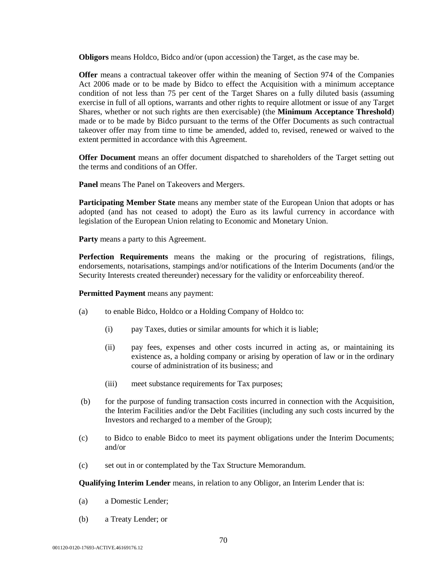**Obligors** means Holdco, Bidco and/or (upon accession) the Target, as the case may be.

**Offer** means a contractual takeover offer within the meaning of Section 974 of the Companies Act 2006 made or to be made by Bidco to effect the Acquisition with a minimum acceptance condition of not less than 75 per cent of the Target Shares on a fully diluted basis (assuming exercise in full of all options, warrants and other rights to require allotment or issue of any Target Shares, whether or not such rights are then exercisable) (the **Minimum Acceptance Threshold**) made or to be made by Bidco pursuant to the terms of the Offer Documents as such contractual takeover offer may from time to time be amended, added to, revised, renewed or waived to the extent permitted in accordance with this Agreement.

**Offer Document** means an offer document dispatched to shareholders of the Target setting out the terms and conditions of an Offer.

Panel means The Panel on Takeovers and Mergers.

**Participating Member State** means any member state of the European Union that adopts or has adopted (and has not ceased to adopt) the Euro as its lawful currency in accordance with legislation of the European Union relating to Economic and Monetary Union.

**Party** means a party to this Agreement.

**Perfection Requirements** means the making or the procuring of registrations, filings, endorsements, notarisations, stampings and/or notifications of the Interim Documents (and/or the Security Interests created thereunder) necessary for the validity or enforceability thereof.

**Permitted Payment** means any payment:

- (a) to enable Bidco, Holdco or a Holding Company of Holdco to:
	- (i) pay Taxes, duties or similar amounts for which it is liable;
	- (ii) pay fees, expenses and other costs incurred in acting as, or maintaining its existence as, a holding company or arising by operation of law or in the ordinary course of administration of its business; and
	- (iii) meet substance requirements for Tax purposes;
- (b) for the purpose of funding transaction costs incurred in connection with the Acquisition, the Interim Facilities and/or the Debt Facilities (including any such costs incurred by the Investors and recharged to a member of the Group);
- (c) to Bidco to enable Bidco to meet its payment obligations under the Interim Documents; and/or
- (c) set out in or contemplated by the Tax Structure Memorandum.

**Qualifying Interim Lender** means, in relation to any Obligor, an Interim Lender that is:

- (a) a Domestic Lender;
- (b) a Treaty Lender; or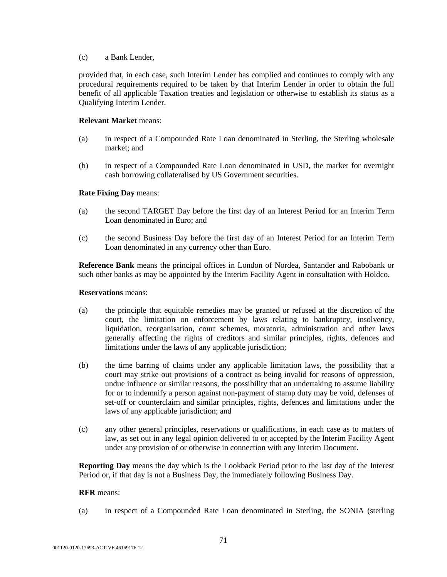#### (c) a Bank Lender,

provided that, in each case, such Interim Lender has complied and continues to comply with any procedural requirements required to be taken by that Interim Lender in order to obtain the full benefit of all applicable Taxation treaties and legislation or otherwise to establish its status as a Qualifying Interim Lender.

## **Relevant Market** means:

- (a) in respect of a Compounded Rate Loan denominated in Sterling, the Sterling wholesale market; and
- (b) in respect of a Compounded Rate Loan denominated in USD, the market for overnight cash borrowing collateralised by US Government securities.

### **Rate Fixing Day** means:

- (a) the second TARGET Day before the first day of an Interest Period for an Interim Term Loan denominated in Euro; and
- (c) the second Business Day before the first day of an Interest Period for an Interim Term Loan denominated in any currency other than Euro.

**Reference Bank** means the principal offices in London of Nordea, Santander and Rabobank or such other banks as may be appointed by the Interim Facility Agent in consultation with Holdco.

#### **Reservations** means:

- (a) the principle that equitable remedies may be granted or refused at the discretion of the court, the limitation on enforcement by laws relating to bankruptcy, insolvency, liquidation, reorganisation, court schemes, moratoria, administration and other laws generally affecting the rights of creditors and similar principles, rights, defences and limitations under the laws of any applicable jurisdiction;
- (b) the time barring of claims under any applicable limitation laws, the possibility that a court may strike out provisions of a contract as being invalid for reasons of oppression, undue influence or similar reasons, the possibility that an undertaking to assume liability for or to indemnify a person against non-payment of stamp duty may be void, defenses of set-off or counterclaim and similar principles, rights, defences and limitations under the laws of any applicable jurisdiction; and
- (c) any other general principles, reservations or qualifications, in each case as to matters of law, as set out in any legal opinion delivered to or accepted by the Interim Facility Agent under any provision of or otherwise in connection with any Interim Document.

**Reporting Day** means the day which is the Lookback Period prior to the last day of the Interest Period or, if that day is not a Business Day, the immediately following Business Day.

#### **RFR** means:

(a) in respect of a Compounded Rate Loan denominated in Sterling, the SONIA (sterling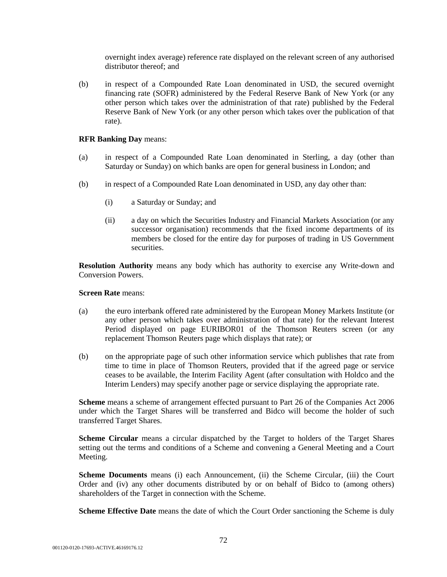overnight index average) reference rate displayed on the relevant screen of any authorised distributor thereof; and

(b) in respect of a Compounded Rate Loan denominated in USD, the secured overnight financing rate (SOFR) administered by the Federal Reserve Bank of New York (or any other person which takes over the administration of that rate) published by the Federal Reserve Bank of New York (or any other person which takes over the publication of that rate).

## **RFR Banking Day** means:

- (a) in respect of a Compounded Rate Loan denominated in Sterling, a day (other than Saturday or Sunday) on which banks are open for general business in London; and
- (b) in respect of a Compounded Rate Loan denominated in USD, any day other than:
	- (i) a Saturday or Sunday; and
	- (ii) a day on which the Securities Industry and Financial Markets Association (or any successor organisation) recommends that the fixed income departments of its members be closed for the entire day for purposes of trading in US Government securities.

**Resolution Authority** means any body which has authority to exercise any Write-down and Conversion Powers.

**Screen Rate** means:

- (a) the euro interbank offered rate administered by the European Money Markets Institute (or any other person which takes over administration of that rate) for the relevant Interest Period displayed on page EURIBOR01 of the Thomson Reuters screen (or any replacement Thomson Reuters page which displays that rate); or
- (b) on the appropriate page of such other information service which publishes that rate from time to time in place of Thomson Reuters, provided that if the agreed page or service ceases to be available, the Interim Facility Agent (after consultation with Holdco and the Interim Lenders) may specify another page or service displaying the appropriate rate.

**Scheme** means a scheme of arrangement effected pursuant to Part 26 of the Companies Act 2006 under which the Target Shares will be transferred and Bidco will become the holder of such transferred Target Shares.

**Scheme Circular** means a circular dispatched by the Target to holders of the Target Shares setting out the terms and conditions of a Scheme and convening a General Meeting and a Court Meeting.

**Scheme Documents** means (i) each Announcement, (ii) the Scheme Circular, (iii) the Court Order and (iv) any other documents distributed by or on behalf of Bidco to (among others) shareholders of the Target in connection with the Scheme.

**Scheme Effective Date** means the date of which the Court Order sanctioning the Scheme is duly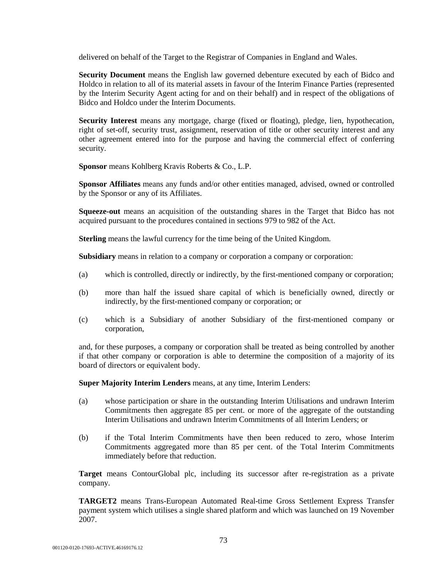delivered on behalf of the Target to the Registrar of Companies in England and Wales.

**Security Document** means the English law governed debenture executed by each of Bidco and Holdco in relation to all of its material assets in favour of the Interim Finance Parties (represented by the Interim Security Agent acting for and on their behalf) and in respect of the obligations of Bidco and Holdco under the Interim Documents.

**Security Interest** means any mortgage, charge (fixed or floating), pledge, lien, hypothecation, right of set-off, security trust, assignment, reservation of title or other security interest and any other agreement entered into for the purpose and having the commercial effect of conferring security.

**Sponsor** means Kohlberg Kravis Roberts & Co., L.P.

**Sponsor Affiliates** means any funds and/or other entities managed, advised, owned or controlled by the Sponsor or any of its Affiliates.

**Squeeze-out** means an acquisition of the outstanding shares in the Target that Bidco has not acquired pursuant to the procedures contained in sections 979 to 982 of the Act.

**Sterling** means the lawful currency for the time being of the United Kingdom.

**Subsidiary** means in relation to a company or corporation a company or corporation:

- (a) which is controlled, directly or indirectly, by the first-mentioned company or corporation;
- (b) more than half the issued share capital of which is beneficially owned, directly or indirectly, by the first-mentioned company or corporation; or
- (c) which is a Subsidiary of another Subsidiary of the first-mentioned company or corporation,

and, for these purposes, a company or corporation shall be treated as being controlled by another if that other company or corporation is able to determine the composition of a majority of its board of directors or equivalent body.

**Super Majority Interim Lenders** means, at any time, Interim Lenders:

- (a) whose participation or share in the outstanding Interim Utilisations and undrawn Interim Commitments then aggregate 85 per cent. or more of the aggregate of the outstanding Interim Utilisations and undrawn Interim Commitments of all Interim Lenders; or
- (b) if the Total Interim Commitments have then been reduced to zero, whose Interim Commitments aggregated more than 85 per cent. of the Total Interim Commitments immediately before that reduction.

**Target** means ContourGlobal plc, including its successor after re-registration as a private company.

**TARGET2** means Trans-European Automated Real-time Gross Settlement Express Transfer payment system which utilises a single shared platform and which was launched on 19 November 2007.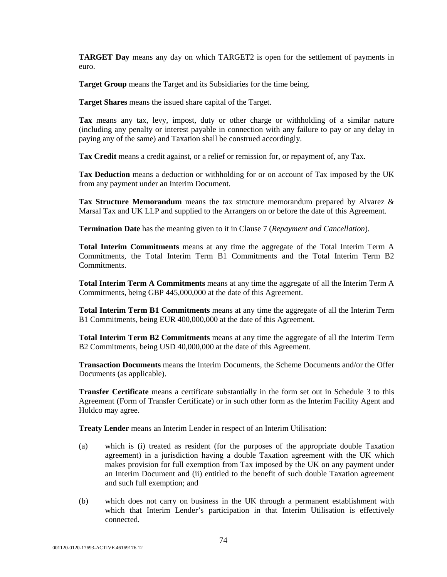**TARGET Day** means any day on which TARGET2 is open for the settlement of payments in euro.

**Target Group** means the Target and its Subsidiaries for the time being.

**Target Shares** means the issued share capital of the Target.

**Tax** means any tax, levy, impost, duty or other charge or withholding of a similar nature (including any penalty or interest payable in connection with any failure to pay or any delay in paying any of the same) and Taxation shall be construed accordingly.

**Tax Credit** means a credit against, or a relief or remission for, or repayment of, any Tax.

**Tax Deduction** means a deduction or withholding for or on account of Tax imposed by the UK from any payment under an Interim Document.

**Tax Structure Memorandum** means the tax structure memorandum prepared by Alvarez & Marsal Tax and UK LLP and supplied to the Arrangers on or before the date of this Agreement.

**Termination Date** has the meaning given to it in Clause 7 (*Repayment and Cancellation*).

**Total Interim Commitments** means at any time the aggregate of the Total Interim Term A Commitments, the Total Interim Term B1 Commitments and the Total Interim Term B2 Commitments.

**Total Interim Term A Commitments** means at any time the aggregate of all the Interim Term A Commitments, being GBP 445,000,000 at the date of this Agreement.

**Total Interim Term B1 Commitments** means at any time the aggregate of all the Interim Term B1 Commitments, being EUR 400,000,000 at the date of this Agreement.

**Total Interim Term B2 Commitments** means at any time the aggregate of all the Interim Term B2 Commitments, being USD 40,000,000 at the date of this Agreement.

**Transaction Documents** means the Interim Documents, the Scheme Documents and/or the Offer Documents (as applicable).

**Transfer Certificate** means a certificate substantially in the form set out in Schedule 3 to this Agreement (Form of Transfer Certificate) or in such other form as the Interim Facility Agent and Holdco may agree.

**Treaty Lender** means an Interim Lender in respect of an Interim Utilisation:

- (a) which is (i) treated as resident (for the purposes of the appropriate double Taxation agreement) in a jurisdiction having a double Taxation agreement with the UK which makes provision for full exemption from Tax imposed by the UK on any payment under an Interim Document and (ii) entitled to the benefit of such double Taxation agreement and such full exemption; and
- (b) which does not carry on business in the UK through a permanent establishment with which that Interim Lender's participation in that Interim Utilisation is effectively connected.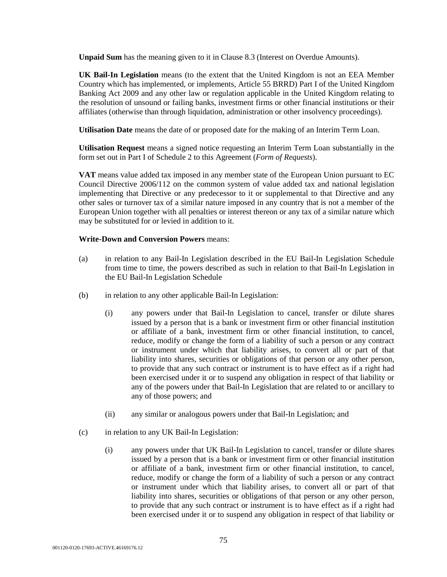**Unpaid Sum** has the meaning given to it in Clause 8.3 (Interest on Overdue Amounts).

**UK Bail-In Legislation** means (to the extent that the United Kingdom is not an EEA Member Country which has implemented, or implements, Article 55 BRRD) Part I of the United Kingdom Banking Act 2009 and any other law or regulation applicable in the United Kingdom relating to the resolution of unsound or failing banks, investment firms or other financial institutions or their affiliates (otherwise than through liquidation, administration or other insolvency proceedings).

**Utilisation Date** means the date of or proposed date for the making of an Interim Term Loan.

**Utilisation Request** means a signed notice requesting an Interim Term Loan substantially in the form set out in Part I of Schedule 2 to this Agreement (*Form of Requests*).

**VAT** means value added tax imposed in any member state of the European Union pursuant to EC Council Directive 2006/112 on the common system of value added tax and national legislation implementing that Directive or any predecessor to it or supplemental to that Directive and any other sales or turnover tax of a similar nature imposed in any country that is not a member of the European Union together with all penalties or interest thereon or any tax of a similar nature which may be substituted for or levied in addition to it.

## **Write-Down and Conversion Powers** means:

- (a) in relation to any Bail-In Legislation described in the EU Bail-In Legislation Schedule from time to time, the powers described as such in relation to that Bail-In Legislation in the EU Bail-In Legislation Schedule
- (b) in relation to any other applicable Bail-In Legislation:
	- (i) any powers under that Bail-In Legislation to cancel, transfer or dilute shares issued by a person that is a bank or investment firm or other financial institution or affiliate of a bank, investment firm or other financial institution, to cancel, reduce, modify or change the form of a liability of such a person or any contract or instrument under which that liability arises, to convert all or part of that liability into shares, securities or obligations of that person or any other person, to provide that any such contract or instrument is to have effect as if a right had been exercised under it or to suspend any obligation in respect of that liability or any of the powers under that Bail-In Legislation that are related to or ancillary to any of those powers; and
	- (ii) any similar or analogous powers under that Bail-In Legislation; and
- (c) in relation to any UK Bail-In Legislation:
	- (i) any powers under that UK Bail-In Legislation to cancel, transfer or dilute shares issued by a person that is a bank or investment firm or other financial institution or affiliate of a bank, investment firm or other financial institution, to cancel, reduce, modify or change the form of a liability of such a person or any contract or instrument under which that liability arises, to convert all or part of that liability into shares, securities or obligations of that person or any other person, to provide that any such contract or instrument is to have effect as if a right had been exercised under it or to suspend any obligation in respect of that liability or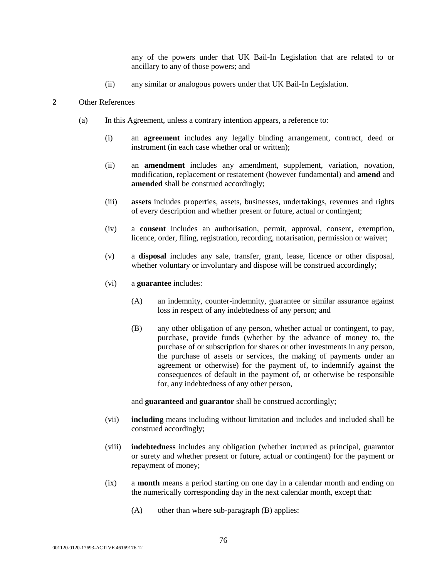any of the powers under that UK Bail-In Legislation that are related to or ancillary to any of those powers; and

(ii) any similar or analogous powers under that UK Bail-In Legislation.

## **2** Other References

- (a) In this Agreement, unless a contrary intention appears, a reference to:
	- (i) an **agreement** includes any legally binding arrangement, contract, deed or instrument (in each case whether oral or written);
	- (ii) an **amendment** includes any amendment, supplement, variation, novation, modification, replacement or restatement (however fundamental) and **amend** and **amended** shall be construed accordingly;
	- (iii) **assets** includes properties, assets, businesses, undertakings, revenues and rights of every description and whether present or future, actual or contingent;
	- (iv) a **consent** includes an authorisation, permit, approval, consent, exemption, licence, order, filing, registration, recording, notarisation, permission or waiver;
	- (v) a **disposal** includes any sale, transfer, grant, lease, licence or other disposal, whether voluntary or involuntary and dispose will be construed accordingly;
	- (vi) a **guarantee** includes:
		- (A) an indemnity, counter-indemnity, guarantee or similar assurance against loss in respect of any indebtedness of any person; and
		- (B) any other obligation of any person, whether actual or contingent, to pay, purchase, provide funds (whether by the advance of money to, the purchase of or subscription for shares or other investments in any person, the purchase of assets or services, the making of payments under an agreement or otherwise) for the payment of, to indemnify against the consequences of default in the payment of, or otherwise be responsible for, any indebtedness of any other person,

and **guaranteed** and **guarantor** shall be construed accordingly;

- (vii) **including** means including without limitation and includes and included shall be construed accordingly;
- (viii) **indebtedness** includes any obligation (whether incurred as principal, guarantor or surety and whether present or future, actual or contingent) for the payment or repayment of money;
- (ix) a **month** means a period starting on one day in a calendar month and ending on the numerically corresponding day in the next calendar month, except that:
	- (A) other than where sub-paragraph (B) applies: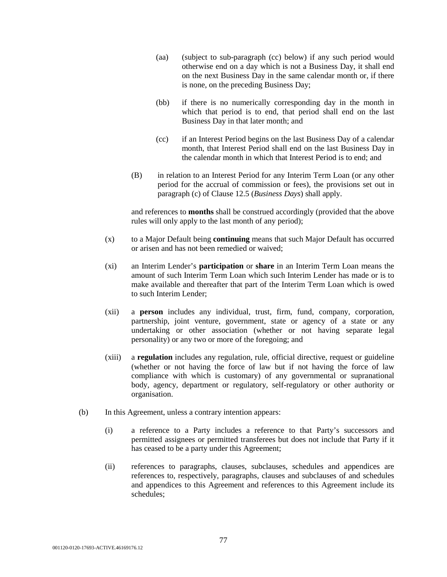- (aa) (subject to sub-paragraph (cc) below) if any such period would otherwise end on a day which is not a Business Day, it shall end on the next Business Day in the same calendar month or, if there is none, on the preceding Business Day;
- (bb) if there is no numerically corresponding day in the month in which that period is to end, that period shall end on the last Business Day in that later month; and
- (cc) if an Interest Period begins on the last Business Day of a calendar month, that Interest Period shall end on the last Business Day in the calendar month in which that Interest Period is to end; and
- (B) in relation to an Interest Period for any Interim Term Loan (or any other period for the accrual of commission or fees), the provisions set out in paragraph (c) of Clause 12.5 (*Business Days*) shall apply.

and references to **months** shall be construed accordingly (provided that the above rules will only apply to the last month of any period);

- (x) to a Major Default being **continuing** means that such Major Default has occurred or arisen and has not been remedied or waived;
- (xi) an Interim Lender's **participation** or **share** in an Interim Term Loan means the amount of such Interim Term Loan which such Interim Lender has made or is to make available and thereafter that part of the Interim Term Loan which is owed to such Interim Lender;
- (xii) a **person** includes any individual, trust, firm, fund, company, corporation, partnership, joint venture, government, state or agency of a state or any undertaking or other association (whether or not having separate legal personality) or any two or more of the foregoing; and
- (xiii) a **regulation** includes any regulation, rule, official directive, request or guideline (whether or not having the force of law but if not having the force of law compliance with which is customary) of any governmental or supranational body, agency, department or regulatory, self-regulatory or other authority or organisation.
- (b) In this Agreement, unless a contrary intention appears:
	- (i) a reference to a Party includes a reference to that Party's successors and permitted assignees or permitted transferees but does not include that Party if it has ceased to be a party under this Agreement;
	- (ii) references to paragraphs, clauses, subclauses, schedules and appendices are references to, respectively, paragraphs, clauses and subclauses of and schedules and appendices to this Agreement and references to this Agreement include its schedules;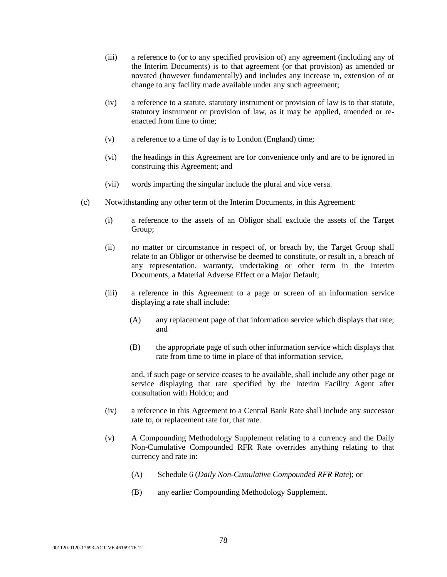- (iii) a reference to (or to any specified provision of) any agreement (including any of the Interim Documents) is to that agreement (or that provision) as amended or novated (however fundamentally) and includes any increase in, extension of or change to any facility made available under any such agreement;
- (iv) a reference to a statute, statutory instrument or provision of law is to that statute, statutory instrument or provision of law, as it may be applied, amended or reenacted from time to time;
- (v) a reference to a time of day is to London (England) time;
- (vi) the headings in this Agreement are for convenience only and are to be ignored in construing this Agreement; and
- (vii) words imparting the singular include the plural and vice versa.
- (c) Notwithstanding any other term of the Interim Documents, in this Agreement:
	- (i) a reference to the assets of an Obligor shall exclude the assets of the Target Group;
	- (ii) no matter or circumstance in respect of, or breach by, the Target Group shall relate to an Obligor or otherwise be deemed to constitute, or result in, a breach of any representation, warranty, undertaking or other term in the Interim Documents, a Material Adverse Effect or a Major Default;
	- (iii) a reference in this Agreement to a page or screen of an information service displaying a rate shall include:
		- (A) any replacement page of that information service which displays that rate; and
		- (B) the appropriate page of such other information service which displays that rate from time to time in place of that information service,

and, if such page or service ceases to be available, shall include any other page or service displaying that rate specified by the Interim Facility Agent after consultation with Holdco; and

- (iv) a reference in this Agreement to a Central Bank Rate shall include any successor rate to, or replacement rate for, that rate.
- (v) A Compounding Methodology Supplement relating to a currency and the Daily Non-Cumulative Compounded RFR Rate overrides anything relating to that currency and rate in:
	- (A) Schedule 6 (*Daily Non-Cumulative Compounded RFR Rate*); or
	- (B) any earlier Compounding Methodology Supplement.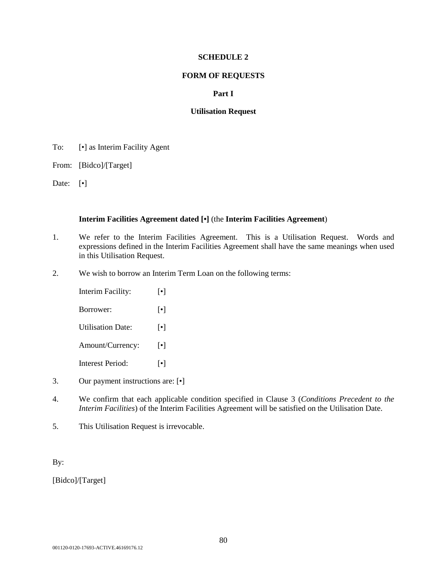## **FORM OF REQUESTS**

## **Part I**

#### **Utilisation Request**

- To: [•] as Interim Facility Agent
- From: [Bidco]/[Target]
- Date: [•]

## **Interim Facilities Agreement dated [•]** (the **Interim Facilities Agreement**)

- 1. We refer to the Interim Facilities Agreement. This is a Utilisation Request. Words and expressions defined in the Interim Facilities Agreement shall have the same meanings when used in this Utilisation Request.
- 2. We wish to borrow an Interim Term Loan on the following terms:

| Interim Facility: | $\lceil \bullet \rceil$ |
|-------------------|-------------------------|
| Borrower:         | $\lceil \bullet \rceil$ |
| Utilisation Date: | $\lceil \bullet \rceil$ |
| Amount/Currency:  | $\lceil \bullet \rceil$ |
| Interest Period:  | $\lceil \bullet \rceil$ |
|                   |                         |

- 3. Our payment instructions are: [•]
- 4. We confirm that each applicable condition specified in Clause 3 (*Conditions Precedent to the Interim Facilities*) of the Interim Facilities Agreement will be satisfied on the Utilisation Date.
- 5. This Utilisation Request is irrevocable.

By:

[Bidco]/[Target]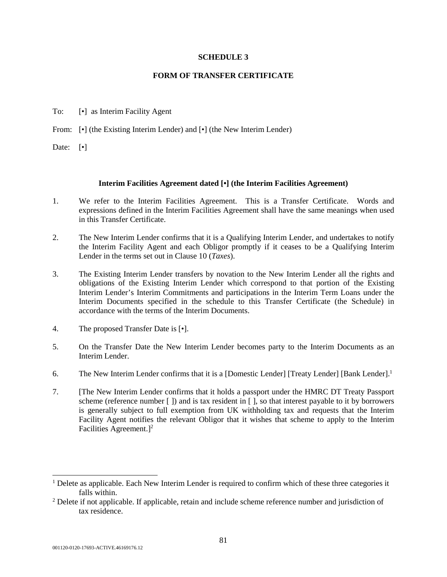## **FORM OF TRANSFER CERTIFICATE**

To: [•] as Interim Facility Agent

From:  $\lceil \cdot \rceil$  (the Existing Interim Lender) and  $\lceil \cdot \rceil$  (the New Interim Lender)

Date: [•]

## **Interim Facilities Agreement dated [•] (the Interim Facilities Agreement)**

- 1. We refer to the Interim Facilities Agreement. This is a Transfer Certificate. Words and expressions defined in the Interim Facilities Agreement shall have the same meanings when used in this Transfer Certificate.
- 2. The New Interim Lender confirms that it is a Qualifying Interim Lender, and undertakes to notify the Interim Facility Agent and each Obligor promptly if it ceases to be a Qualifying Interim Lender in the terms set out in Clause 10 (*Taxes*).
- 3. The Existing Interim Lender transfers by novation to the New Interim Lender all the rights and obligations of the Existing Interim Lender which correspond to that portion of the Existing Interim Lender's Interim Commitments and participations in the Interim Term Loans under the Interim Documents specified in the schedule to this Transfer Certificate (the Schedule) in accordance with the terms of the Interim Documents.
- 4. The proposed Transfer Date is [ $\bullet$ ].
- 5. On the Transfer Date the New Interim Lender becomes party to the Interim Documents as an Interim Lender.
- 6. The New Interim Lender confirms that it is a [Domestic Lender] [Treaty Lender] [Bank Lender].<sup>1</sup>
- 7. [The New Interim Lender confirms that it holds a passport under the HMRC DT Treaty Passport scheme (reference number  $\lceil \cdot \rceil$ ) and is tax resident in  $\lceil \cdot \rceil$ , so that interest payable to it by borrowers is generally subject to full exemption from UK withholding tax and requests that the Interim Facility Agent notifies the relevant Obligor that it wishes that scheme to apply to the Interim Facilities Agreement.]<sup>2</sup>

<sup>&</sup>lt;sup>1</sup> Delete as applicable. Each New Interim Lender is required to confirm which of these three categories it falls within.

 $2$  Delete if not applicable. If applicable, retain and include scheme reference number and jurisdiction of tax residence.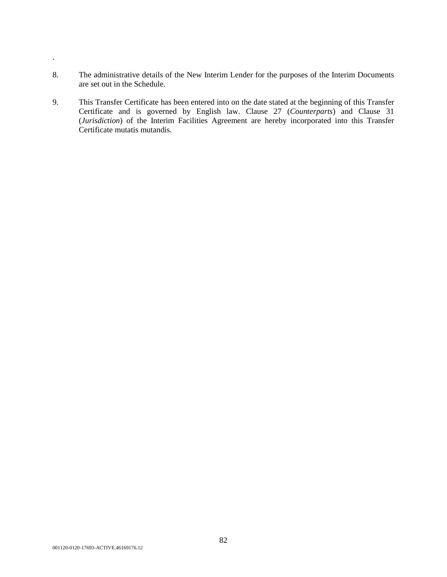- 8. The administrative details of the New Interim Lender for the purposes of the Interim Documents are set out in the Schedule.
- 9. This Transfer Certificate has been entered into on the date stated at the beginning of this Transfer Certificate and is governed by English law. Clause 27 (*Counterparts*) and Clause 31 (*Jurisdiction*) of the Interim Facilities Agreement are hereby incorporated into this Transfer Certificate mutatis mutandis.

.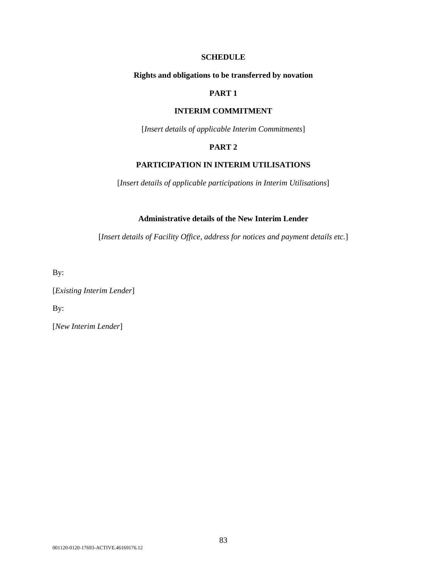## **Rights and obligations to be transferred by novation**

# **PART 1**

## **INTERIM COMMITMENT**

[*Insert details of applicable Interim Commitments*]

## **PART 2**

# **PARTICIPATION IN INTERIM UTILISATIONS**

[*Insert details of applicable participations in Interim Utilisations*]

# **Administrative details of the New Interim Lender**

[*Insert details of Facility Office, address for notices and payment details etc.*]

By:

[*Existing Interim Lender*]

By:

[*New Interim Lender*]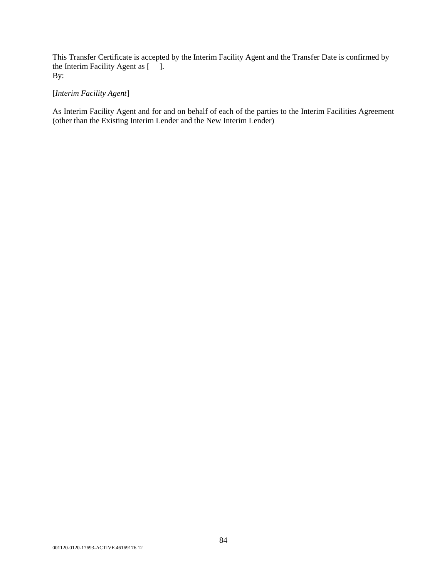This Transfer Certificate is accepted by the Interim Facility Agent and the Transfer Date is confirmed by the Interim Facility Agent as  $\begin{bmatrix} 1 \end{bmatrix}$ . By:

# [*Interim Facility Agent*]

As Interim Facility Agent and for and on behalf of each of the parties to the Interim Facilities Agreement (other than the Existing Interim Lender and the New Interim Lender)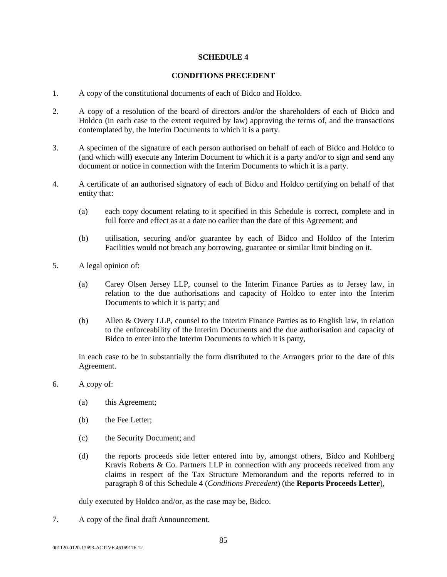#### **CONDITIONS PRECEDENT**

- 1. A copy of the constitutional documents of each of Bidco and Holdco.
- 2. A copy of a resolution of the board of directors and/or the shareholders of each of Bidco and Holdco (in each case to the extent required by law) approving the terms of, and the transactions contemplated by, the Interim Documents to which it is a party.
- 3. A specimen of the signature of each person authorised on behalf of each of Bidco and Holdco to (and which will) execute any Interim Document to which it is a party and/or to sign and send any document or notice in connection with the Interim Documents to which it is a party.
- 4. A certificate of an authorised signatory of each of Bidco and Holdco certifying on behalf of that entity that:
	- (a) each copy document relating to it specified in this Schedule is correct, complete and in full force and effect as at a date no earlier than the date of this Agreement; and
	- (b) utilisation, securing and/or guarantee by each of Bidco and Holdco of the Interim Facilities would not breach any borrowing, guarantee or similar limit binding on it.
- 5. A legal opinion of:
	- (a) Carey Olsen Jersey LLP, counsel to the Interim Finance Parties as to Jersey law, in relation to the due authorisations and capacity of Holdco to enter into the Interim Documents to which it is party; and
	- (b) Allen & Overy LLP, counsel to the Interim Finance Parties as to English law, in relation to the enforceability of the Interim Documents and the due authorisation and capacity of Bidco to enter into the Interim Documents to which it is party,

in each case to be in substantially the form distributed to the Arrangers prior to the date of this Agreement.

- 6. A copy of:
	- (a) this Agreement;
	- (b) the Fee Letter;
	- (c) the Security Document; and
	- (d) the reports proceeds side letter entered into by, amongst others, Bidco and Kohlberg Kravis Roberts & Co. Partners LLP in connection with any proceeds received from any claims in respect of the Tax Structure Memorandum and the reports referred to in paragraph 8 of this Schedule 4 (*Conditions Precedent*) (the **Reports Proceeds Letter**),

duly executed by Holdco and/or, as the case may be, Bidco.

7. A copy of the final draft Announcement.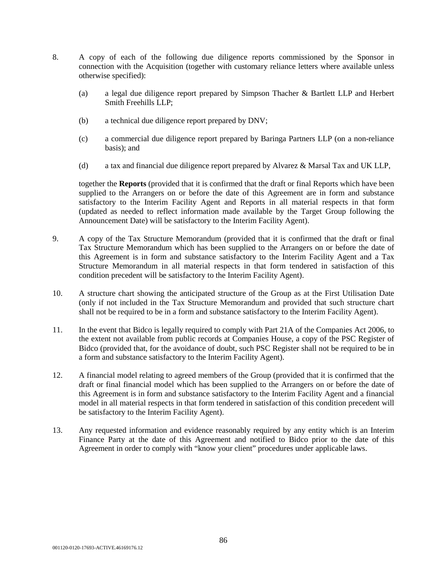- 8. A copy of each of the following due diligence reports commissioned by the Sponsor in connection with the Acquisition (together with customary reliance letters where available unless otherwise specified):
	- (a) a legal due diligence report prepared by Simpson Thacher & Bartlett LLP and Herbert Smith Freehills LLP;
	- (b) a technical due diligence report prepared by DNV;
	- (c) a commercial due diligence report prepared by Baringa Partners LLP (on a non-reliance basis); and
	- (d) a tax and financial due diligence report prepared by Alvarez & Marsal Tax and UK LLP,

together the **Reports** (provided that it is confirmed that the draft or final Reports which have been supplied to the Arrangers on or before the date of this Agreement are in form and substance satisfactory to the Interim Facility Agent and Reports in all material respects in that form (updated as needed to reflect information made available by the Target Group following the Announcement Date) will be satisfactory to the Interim Facility Agent).

- 9. A copy of the Tax Structure Memorandum (provided that it is confirmed that the draft or final Tax Structure Memorandum which has been supplied to the Arrangers on or before the date of this Agreement is in form and substance satisfactory to the Interim Facility Agent and a Tax Structure Memorandum in all material respects in that form tendered in satisfaction of this condition precedent will be satisfactory to the Interim Facility Agent).
- 10. A structure chart showing the anticipated structure of the Group as at the First Utilisation Date (only if not included in the Tax Structure Memorandum and provided that such structure chart shall not be required to be in a form and substance satisfactory to the Interim Facility Agent).
- 11. In the event that Bidco is legally required to comply with Part 21A of the Companies Act 2006, to the extent not available from public records at Companies House, a copy of the PSC Register of Bidco (provided that, for the avoidance of doubt, such PSC Register shall not be required to be in a form and substance satisfactory to the Interim Facility Agent).
- 12. A financial model relating to agreed members of the Group (provided that it is confirmed that the draft or final financial model which has been supplied to the Arrangers on or before the date of this Agreement is in form and substance satisfactory to the Interim Facility Agent and a financial model in all material respects in that form tendered in satisfaction of this condition precedent will be satisfactory to the Interim Facility Agent).
- 13. Any requested information and evidence reasonably required by any entity which is an Interim Finance Party at the date of this Agreement and notified to Bidco prior to the date of this Agreement in order to comply with "know your client" procedures under applicable laws.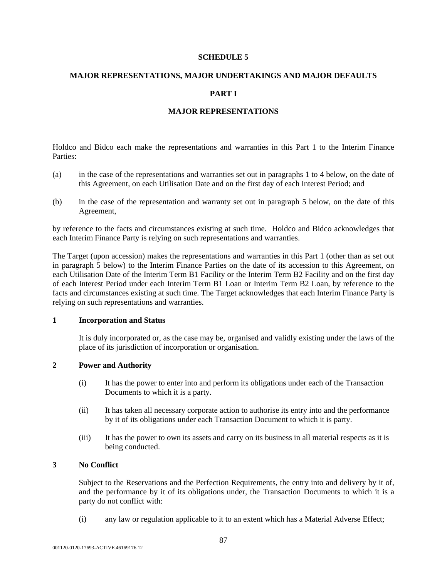# **MAJOR REPRESENTATIONS, MAJOR UNDERTAKINGS AND MAJOR DEFAULTS**

## **PART I**

## **MAJOR REPRESENTATIONS**

Holdco and Bidco each make the representations and warranties in this Part 1 to the Interim Finance Parties:

- (a) in the case of the representations and warranties set out in paragraphs 1 to 4 below, on the date of this Agreement, on each Utilisation Date and on the first day of each Interest Period; and
- (b) in the case of the representation and warranty set out in paragraph 5 below, on the date of this Agreement,

by reference to the facts and circumstances existing at such time. Holdco and Bidco acknowledges that each Interim Finance Party is relying on such representations and warranties.

The Target (upon accession) makes the representations and warranties in this Part 1 (other than as set out in paragraph 5 below) to the Interim Finance Parties on the date of its accession to this Agreement, on each Utilisation Date of the Interim Term B1 Facility or the Interim Term B2 Facility and on the first day of each Interest Period under each Interim Term B1 Loan or Interim Term B2 Loan, by reference to the facts and circumstances existing at such time. The Target acknowledges that each Interim Finance Party is relying on such representations and warranties.

## **1 Incorporation and Status**

It is duly incorporated or, as the case may be, organised and validly existing under the laws of the place of its jurisdiction of incorporation or organisation.

## **2 Power and Authority**

- (i) It has the power to enter into and perform its obligations under each of the Transaction Documents to which it is a party.
- (ii) It has taken all necessary corporate action to authorise its entry into and the performance by it of its obligations under each Transaction Document to which it is party.
- (iii) It has the power to own its assets and carry on its business in all material respects as it is being conducted.

## **3 No Conflict**

Subject to the Reservations and the Perfection Requirements, the entry into and delivery by it of, and the performance by it of its obligations under, the Transaction Documents to which it is a party do not conflict with:

(i) any law or regulation applicable to it to an extent which has a Material Adverse Effect;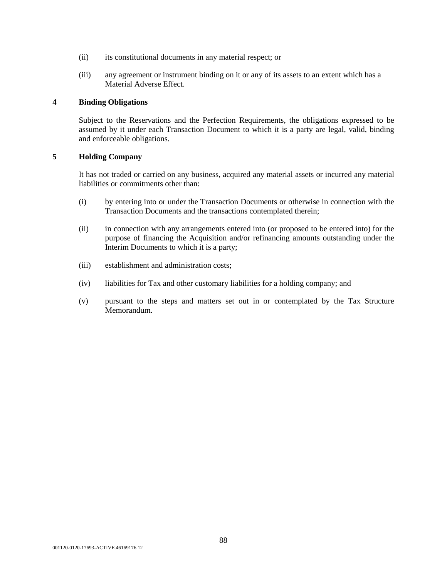- (ii) its constitutional documents in any material respect; or
- (iii) any agreement or instrument binding on it or any of its assets to an extent which has a Material Adverse Effect.

# **4 Binding Obligations**

Subject to the Reservations and the Perfection Requirements, the obligations expressed to be assumed by it under each Transaction Document to which it is a party are legal, valid, binding and enforceable obligations.

## **5 Holding Company**

It has not traded or carried on any business, acquired any material assets or incurred any material liabilities or commitments other than:

- (i) by entering into or under the Transaction Documents or otherwise in connection with the Transaction Documents and the transactions contemplated therein;
- (ii) in connection with any arrangements entered into (or proposed to be entered into) for the purpose of financing the Acquisition and/or refinancing amounts outstanding under the Interim Documents to which it is a party;
- (iii) establishment and administration costs;
- (iv) liabilities for Tax and other customary liabilities for a holding company; and
- (v) pursuant to the steps and matters set out in or contemplated by the Tax Structure Memorandum.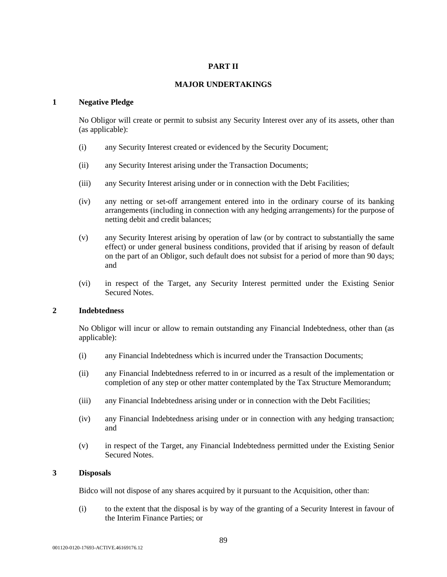# **PART II**

## **MAJOR UNDERTAKINGS**

## **1 Negative Pledge**

No Obligor will create or permit to subsist any Security Interest over any of its assets, other than (as applicable):

- (i) any Security Interest created or evidenced by the Security Document;
- (ii) any Security Interest arising under the Transaction Documents;
- (iii) any Security Interest arising under or in connection with the Debt Facilities;
- (iv) any netting or set-off arrangement entered into in the ordinary course of its banking arrangements (including in connection with any hedging arrangements) for the purpose of netting debit and credit balances;
- (v) any Security Interest arising by operation of law (or by contract to substantially the same effect) or under general business conditions, provided that if arising by reason of default on the part of an Obligor, such default does not subsist for a period of more than 90 days; and
- (vi) in respect of the Target, any Security Interest permitted under the Existing Senior Secured Notes.

## **2 Indebtedness**

No Obligor will incur or allow to remain outstanding any Financial Indebtedness, other than (as applicable):

- (i) any Financial Indebtedness which is incurred under the Transaction Documents;
- (ii) any Financial Indebtedness referred to in or incurred as a result of the implementation or completion of any step or other matter contemplated by the Tax Structure Memorandum;
- (iii) any Financial Indebtedness arising under or in connection with the Debt Facilities;
- (iv) any Financial Indebtedness arising under or in connection with any hedging transaction; and
- (v) in respect of the Target, any Financial Indebtedness permitted under the Existing Senior Secured Notes.

# **3 Disposals**

Bidco will not dispose of any shares acquired by it pursuant to the Acquisition, other than:

(i) to the extent that the disposal is by way of the granting of a Security Interest in favour of the Interim Finance Parties; or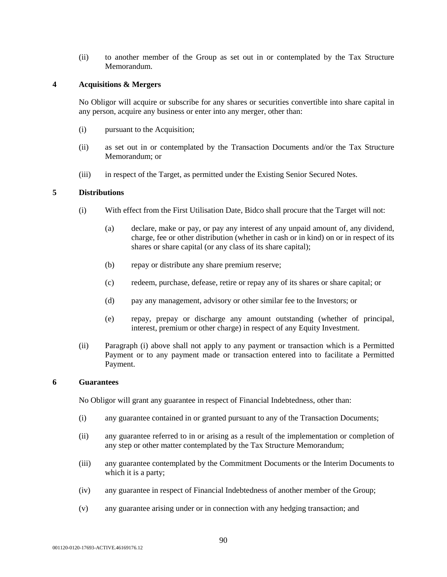(ii) to another member of the Group as set out in or contemplated by the Tax Structure Memorandum.

## **4 Acquisitions & Mergers**

No Obligor will acquire or subscribe for any shares or securities convertible into share capital in any person, acquire any business or enter into any merger, other than:

- (i) pursuant to the Acquisition;
- (ii) as set out in or contemplated by the Transaction Documents and/or the Tax Structure Memorandum; or
- (iii) in respect of the Target, as permitted under the Existing Senior Secured Notes.

## **5 Distributions**

- (i) With effect from the First Utilisation Date, Bidco shall procure that the Target will not:
	- (a) declare, make or pay, or pay any interest of any unpaid amount of, any dividend, charge, fee or other distribution (whether in cash or in kind) on or in respect of its shares or share capital (or any class of its share capital);
	- (b) repay or distribute any share premium reserve;
	- (c) redeem, purchase, defease, retire or repay any of its shares or share capital; or
	- (d) pay any management, advisory or other similar fee to the Investors; or
	- (e) repay, prepay or discharge any amount outstanding (whether of principal, interest, premium or other charge) in respect of any Equity Investment.
- (ii) Paragraph (i) above shall not apply to any payment or transaction which is a Permitted Payment or to any payment made or transaction entered into to facilitate a Permitted Payment.

#### **6 Guarantees**

No Obligor will grant any guarantee in respect of Financial Indebtedness, other than:

- (i) any guarantee contained in or granted pursuant to any of the Transaction Documents;
- (ii) any guarantee referred to in or arising as a result of the implementation or completion of any step or other matter contemplated by the Tax Structure Memorandum;
- (iii) any guarantee contemplated by the Commitment Documents or the Interim Documents to which it is a party;
- (iv) any guarantee in respect of Financial Indebtedness of another member of the Group;
- (v) any guarantee arising under or in connection with any hedging transaction; and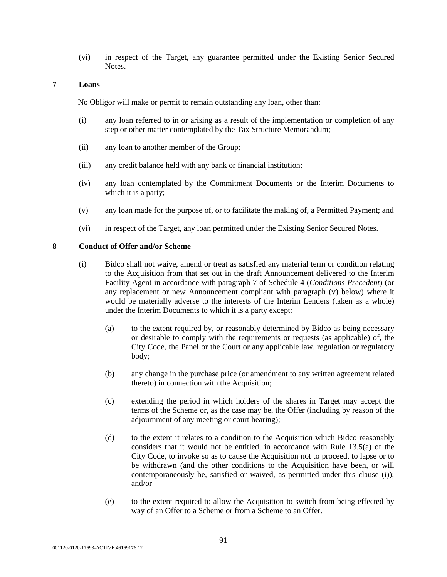(vi) in respect of the Target, any guarantee permitted under the Existing Senior Secured Notes.

# **7 Loans**

No Obligor will make or permit to remain outstanding any loan, other than:

- (i) any loan referred to in or arising as a result of the implementation or completion of any step or other matter contemplated by the Tax Structure Memorandum;
- (ii) any loan to another member of the Group;
- (iii) any credit balance held with any bank or financial institution;
- (iv) any loan contemplated by the Commitment Documents or the Interim Documents to which it is a party;
- (v) any loan made for the purpose of, or to facilitate the making of, a Permitted Payment; and
- (vi) in respect of the Target, any loan permitted under the Existing Senior Secured Notes.

## **8 Conduct of Offer and/or Scheme**

- (i) Bidco shall not waive, amend or treat as satisfied any material term or condition relating to the Acquisition from that set out in the draft Announcement delivered to the Interim Facility Agent in accordance with paragraph 7 of Schedule 4 (*Conditions Precedent*) (or any replacement or new Announcement compliant with paragraph (v) below) where it would be materially adverse to the interests of the Interim Lenders (taken as a whole) under the Interim Documents to which it is a party except:
	- (a) to the extent required by, or reasonably determined by Bidco as being necessary or desirable to comply with the requirements or requests (as applicable) of, the City Code, the Panel or the Court or any applicable law, regulation or regulatory body;
	- (b) any change in the purchase price (or amendment to any written agreement related thereto) in connection with the Acquisition;
	- (c) extending the period in which holders of the shares in Target may accept the terms of the Scheme or, as the case may be, the Offer (including by reason of the adjournment of any meeting or court hearing);
	- (d) to the extent it relates to a condition to the Acquisition which Bidco reasonably considers that it would not be entitled, in accordance with Rule 13.5(a) of the City Code, to invoke so as to cause the Acquisition not to proceed, to lapse or to be withdrawn (and the other conditions to the Acquisition have been, or will contemporaneously be, satisfied or waived, as permitted under this clause (i)); and/or
	- (e) to the extent required to allow the Acquisition to switch from being effected by way of an Offer to a Scheme or from a Scheme to an Offer.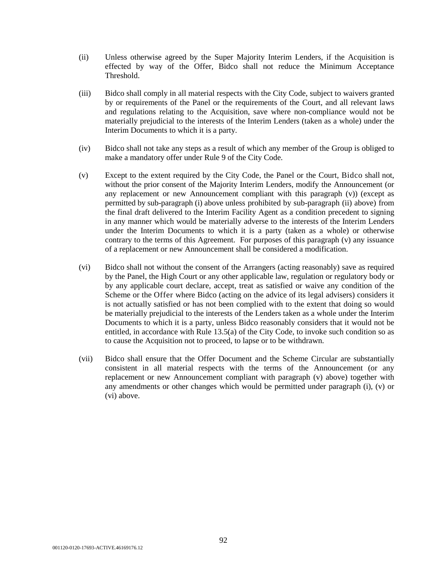- (ii) Unless otherwise agreed by the Super Majority Interim Lenders, if the Acquisition is effected by way of the Offer, Bidco shall not reduce the Minimum Acceptance Threshold.
- (iii) Bidco shall comply in all material respects with the City Code, subject to waivers granted by or requirements of the Panel or the requirements of the Court, and all relevant laws and regulations relating to the Acquisition, save where non-compliance would not be materially prejudicial to the interests of the Interim Lenders (taken as a whole) under the Interim Documents to which it is a party.
- (iv) Bidco shall not take any steps as a result of which any member of the Group is obliged to make a mandatory offer under Rule 9 of the City Code.
- (v) Except to the extent required by the City Code, the Panel or the Court, Bidco shall not, without the prior consent of the Majority Interim Lenders, modify the Announcement (or any replacement or new Announcement compliant with this paragraph (v)) (except as permitted by sub-paragraph (i) above unless prohibited by sub-paragraph (ii) above) from the final draft delivered to the Interim Facility Agent as a condition precedent to signing in any manner which would be materially adverse to the interests of the Interim Lenders under the Interim Documents to which it is a party (taken as a whole) or otherwise contrary to the terms of this Agreement. For purposes of this paragraph (v) any issuance of a replacement or new Announcement shall be considered a modification.
- (vi) Bidco shall not without the consent of the Arrangers (acting reasonably) save as required by the Panel, the High Court or any other applicable law, regulation or regulatory body or by any applicable court declare, accept, treat as satisfied or waive any condition of the Scheme or the Offer where Bidco (acting on the advice of its legal advisers) considers it is not actually satisfied or has not been complied with to the extent that doing so would be materially prejudicial to the interests of the Lenders taken as a whole under the Interim Documents to which it is a party, unless Bidco reasonably considers that it would not be entitled, in accordance with Rule 13.5(a) of the City Code, to invoke such condition so as to cause the Acquisition not to proceed, to lapse or to be withdrawn.
- (vii) Bidco shall ensure that the Offer Document and the Scheme Circular are substantially consistent in all material respects with the terms of the Announcement (or any replacement or new Announcement compliant with paragraph (v) above) together with any amendments or other changes which would be permitted under paragraph (i), (v) or (vi) above.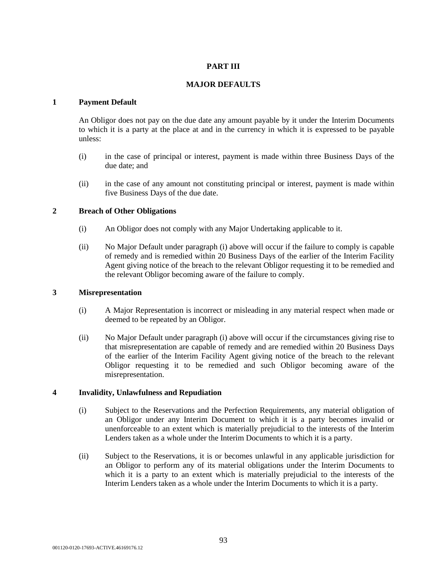# **PART III**

## **MAJOR DEFAULTS**

#### **1 Payment Default**

An Obligor does not pay on the due date any amount payable by it under the Interim Documents to which it is a party at the place at and in the currency in which it is expressed to be payable unless:

- (i) in the case of principal or interest, payment is made within three Business Days of the due date; and
- (ii) in the case of any amount not constituting principal or interest, payment is made within five Business Days of the due date.

## **2 Breach of Other Obligations**

- (i) An Obligor does not comply with any Major Undertaking applicable to it.
- (ii) No Major Default under paragraph (i) above will occur if the failure to comply is capable of remedy and is remedied within 20 Business Days of the earlier of the Interim Facility Agent giving notice of the breach to the relevant Obligor requesting it to be remedied and the relevant Obligor becoming aware of the failure to comply.

## **3 Misrepresentation**

- (i) A Major Representation is incorrect or misleading in any material respect when made or deemed to be repeated by an Obligor.
- (ii) No Major Default under paragraph (i) above will occur if the circumstances giving rise to that misrepresentation are capable of remedy and are remedied within 20 Business Days of the earlier of the Interim Facility Agent giving notice of the breach to the relevant Obligor requesting it to be remedied and such Obligor becoming aware of the misrepresentation.

#### **4 Invalidity, Unlawfulness and Repudiation**

- (i) Subject to the Reservations and the Perfection Requirements, any material obligation of an Obligor under any Interim Document to which it is a party becomes invalid or unenforceable to an extent which is materially prejudicial to the interests of the Interim Lenders taken as a whole under the Interim Documents to which it is a party.
- (ii) Subject to the Reservations, it is or becomes unlawful in any applicable jurisdiction for an Obligor to perform any of its material obligations under the Interim Documents to which it is a party to an extent which is materially prejudicial to the interests of the Interim Lenders taken as a whole under the Interim Documents to which it is a party.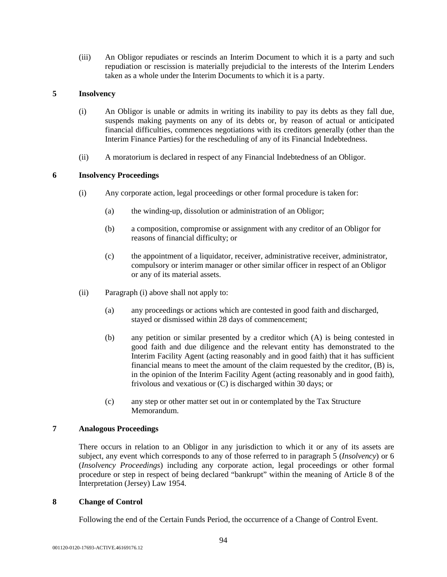(iii) An Obligor repudiates or rescinds an Interim Document to which it is a party and such repudiation or rescission is materially prejudicial to the interests of the Interim Lenders taken as a whole under the Interim Documents to which it is a party.

## **5 Insolvency**

- (i) An Obligor is unable or admits in writing its inability to pay its debts as they fall due, suspends making payments on any of its debts or, by reason of actual or anticipated financial difficulties, commences negotiations with its creditors generally (other than the Interim Finance Parties) for the rescheduling of any of its Financial Indebtedness.
- (ii) A moratorium is declared in respect of any Financial Indebtedness of an Obligor.

## **6 Insolvency Proceedings**

- (i) Any corporate action, legal proceedings or other formal procedure is taken for:
	- (a) the winding-up, dissolution or administration of an Obligor;
	- (b) a composition, compromise or assignment with any creditor of an Obligor for reasons of financial difficulty; or
	- (c) the appointment of a liquidator, receiver, administrative receiver, administrator, compulsory or interim manager or other similar officer in respect of an Obligor or any of its material assets.
- (ii) Paragraph (i) above shall not apply to:
	- (a) any proceedings or actions which are contested in good faith and discharged, stayed or dismissed within 28 days of commencement;
	- (b) any petition or similar presented by a creditor which (A) is being contested in good faith and due diligence and the relevant entity has demonstrated to the Interim Facility Agent (acting reasonably and in good faith) that it has sufficient financial means to meet the amount of the claim requested by the creditor, (B) is, in the opinion of the Interim Facility Agent (acting reasonably and in good faith), frivolous and vexatious or (C) is discharged within 30 days; or
	- (c) any step or other matter set out in or contemplated by the Tax Structure Memorandum.

## **7 Analogous Proceedings**

There occurs in relation to an Obligor in any jurisdiction to which it or any of its assets are subject, any event which corresponds to any of those referred to in paragraph 5 (*Insolvency*) or 6 (*Insolvency Proceedings*) including any corporate action, legal proceedings or other formal procedure or step in respect of being declared "bankrupt" within the meaning of Article 8 of the Interpretation (Jersey) Law 1954.

#### **8 Change of Control**

Following the end of the Certain Funds Period, the occurrence of a Change of Control Event.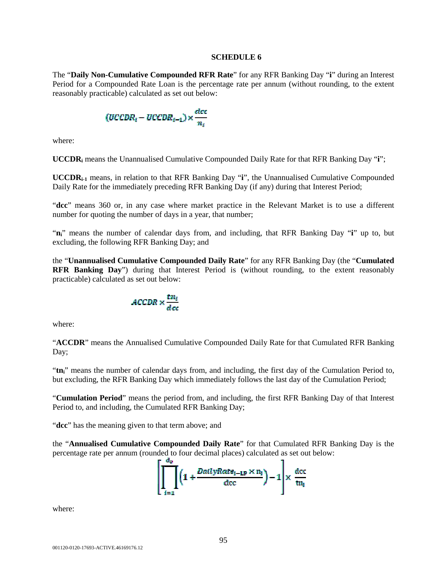The "**Daily Non-Cumulative Compounded RFR Rate**" for any RFR Banking Day "**i**" during an Interest Period for a Compounded Rate Loan is the percentage rate per annum (without rounding, to the extent reasonably practicable) calculated as set out below:

$$
(UCCDR_i-UCCDR_{i-1})\times\frac{dec}{n_i}
$$

where:

**UCCDR<sup>i</sup>** means the Unannualised Cumulative Compounded Daily Rate for that RFR Banking Day "**i**";

**UCCDRi-1** means, in relation to that RFR Banking Day "**i**", the Unannualised Cumulative Compounded Daily Rate for the immediately preceding RFR Banking Day (if any) during that Interest Period;

"**dcc**" means 360 or, in any case where market practice in the Relevant Market is to use a different number for quoting the number of days in a year, that number;

"**ni**" means the number of calendar days from, and including, that RFR Banking Day "**i**" up to, but excluding, the following RFR Banking Day; and

the "**Unannualised Cumulative Compounded Daily Rate**" for any RFR Banking Day (the "**Cumulated RFR Banking Day**") during that Interest Period is (without rounding, to the extent reasonably practicable) calculated as set out below:

$$
ACCDR \times \frac{tn_i}{dec}
$$

where:

"**ACCDR**" means the Annualised Cumulative Compounded Daily Rate for that Cumulated RFR Banking Day;

"**tni**" means the number of calendar days from, and including, the first day of the Cumulation Period to, but excluding, the RFR Banking Day which immediately follows the last day of the Cumulation Period;

"**Cumulation Period**" means the period from, and including, the first RFR Banking Day of that Interest Period to, and including, the Cumulated RFR Banking Day;

"**dcc**" has the meaning given to that term above; and

the "**Annualised Cumulative Compounded Daily Rate**" for that Cumulated RFR Banking Day is the percentage rate per annum (rounded to four decimal places) calculated as set out below:

$$
\left[\prod_{i=1}^{u_0}\left(1+\frac{DailyRate_{i-1P}\times n_i}{\mathrm{dcc}}\right)-1\right]\times\frac{\mathrm{dcc}}{\mathrm{tn}_i}
$$

where: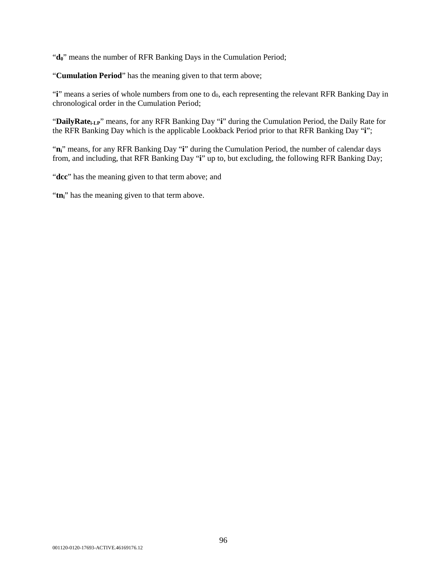"**d0**" means the number of RFR Banking Days in the Cumulation Period;

"**Cumulation Period**" has the meaning given to that term above;

"**i**" means a series of whole numbers from one to d<sub>0</sub>, each representing the relevant RFR Banking Day in chronological order in the Cumulation Period;

"**DailyRatei-LP**" means, for any RFR Banking Day "**i**" during the Cumulation Period, the Daily Rate for the RFR Banking Day which is the applicable Lookback Period prior to that RFR Banking Day "**i**";

"**ni**" means, for any RFR Banking Day "**i**" during the Cumulation Period, the number of calendar days from, and including, that RFR Banking Day "**i**" up to, but excluding, the following RFR Banking Day;

"dcc" has the meaning given to that term above; and

"tn<sub>i</sub>" has the meaning given to that term above.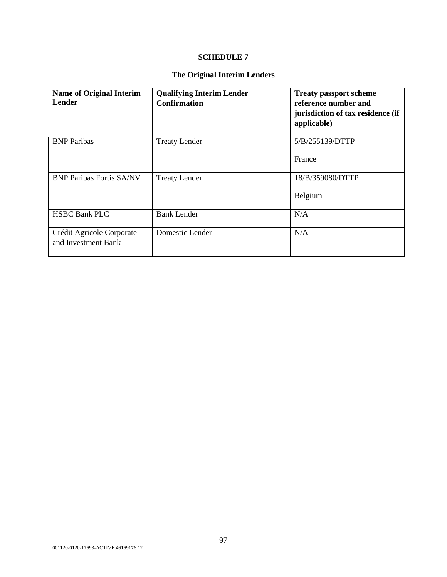# **The Original Interim Lenders**

| <b>Name of Original Interim</b><br>Lender        | <b>Qualifying Interim Lender</b><br><b>Confirmation</b> | <b>Treaty passport scheme</b><br>reference number and<br>jurisdiction of tax residence (if<br>applicable) |
|--------------------------------------------------|---------------------------------------------------------|-----------------------------------------------------------------------------------------------------------|
| <b>BNP</b> Paribas                               | <b>Treaty Lender</b>                                    | 5/B/255139/DTTP<br>France                                                                                 |
| <b>BNP Paribas Fortis SA/NV</b>                  | <b>Treaty Lender</b>                                    | 18/B/359080/DTTP<br>Belgium                                                                               |
| <b>HSBC Bank PLC</b>                             | <b>Bank Lender</b>                                      | N/A                                                                                                       |
| Crédit Agricole Corporate<br>and Investment Bank | Domestic Lender                                         | N/A                                                                                                       |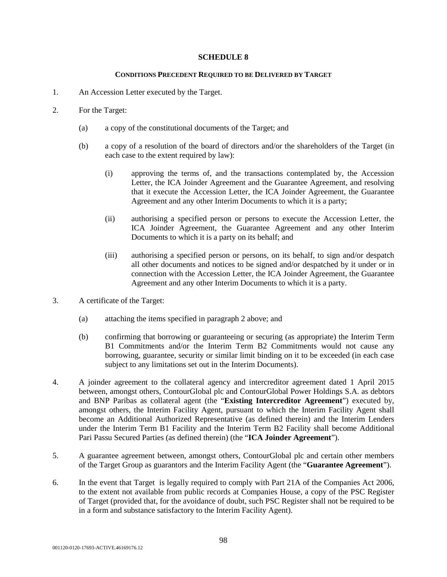## **CONDITIONS PRECEDENT REQUIRED TO BE DELIVERED BY TARGET**

- 1. An Accession Letter executed by the Target.
- 2. For the Target:
	- (a) a copy of the constitutional documents of the Target; and
	- (b) a copy of a resolution of the board of directors and/or the shareholders of the Target (in each case to the extent required by law):
		- (i) approving the terms of, and the transactions contemplated by, the Accession Letter, the ICA Joinder Agreement and the Guarantee Agreement, and resolving that it execute the Accession Letter, the ICA Joinder Agreement, the Guarantee Agreement and any other Interim Documents to which it is a party;
		- (ii) authorising a specified person or persons to execute the Accession Letter, the ICA Joinder Agreement, the Guarantee Agreement and any other Interim Documents to which it is a party on its behalf; and
		- (iii) authorising a specified person or persons, on its behalf, to sign and/or despatch all other documents and notices to be signed and/or despatched by it under or in connection with the Accession Letter, the ICA Joinder Agreement, the Guarantee Agreement and any other Interim Documents to which it is a party.
- 3. A certificate of the Target:
	- (a) attaching the items specified in paragraph 2 above; and
	- (b) confirming that borrowing or guaranteeing or securing (as appropriate) the Interim Term B1 Commitments and/or the Interim Term B2 Commitments would not cause any borrowing, guarantee, security or similar limit binding on it to be exceeded (in each case subject to any limitations set out in the Interim Documents).
- 4. A joinder agreement to the collateral agency and intercreditor agreement dated 1 April 2015 between, amongst others, ContourGlobal plc and ContourGlobal Power Holdings S.A. as debtors and BNP Paribas as collateral agent (the "**Existing Intercreditor Agreement**") executed by, amongst others, the Interim Facility Agent, pursuant to which the Interim Facility Agent shall become an Additional Authorized Representative (as defined therein) and the Interim Lenders under the Interim Term B1 Facility and the Interim Term B2 Facility shall become Additional Pari Passu Secured Parties (as defined therein) (the "**ICA Joinder Agreement**").
- 5. A guarantee agreement between, amongst others, ContourGlobal plc and certain other members of the Target Group as guarantors and the Interim Facility Agent (the "**Guarantee Agreement**").
- 6. In the event that Target is legally required to comply with Part 21A of the Companies Act 2006, to the extent not available from public records at Companies House, a copy of the PSC Register of Target (provided that, for the avoidance of doubt, such PSC Register shall not be required to be in a form and substance satisfactory to the Interim Facility Agent).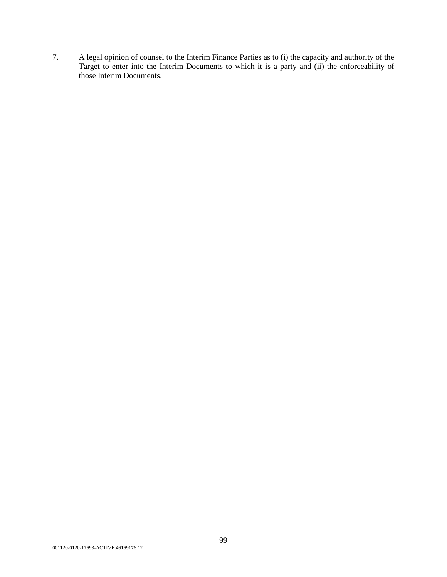7. A legal opinion of counsel to the Interim Finance Parties as to (i) the capacity and authority of the Target to enter into the Interim Documents to which it is a party and (ii) the enforceability of those Interim Documents.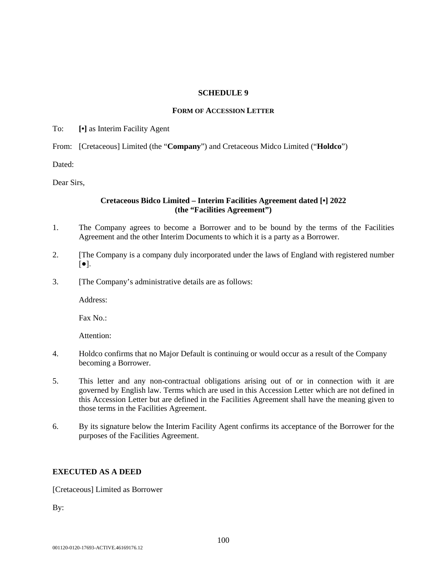## **FORM OF ACCESSION LETTER**

To: **[•]** as Interim Facility Agent

From: [Cretaceous] Limited (the "**Company**") and Cretaceous Midco Limited ("**Holdco**")

Dated:

Dear Sirs,

## **Cretaceous Bidco Limited – Interim Facilities Agreement dated [•] 2022 (the "Facilities Agreement")**

- 1. The Company agrees to become a Borrower and to be bound by the terms of the Facilities Agreement and the other Interim Documents to which it is a party as a Borrower.
- 2. [The Company is a company duly incorporated under the laws of England with registered number  $\lceil \bullet \rceil$ .
- 3. [The Company's administrative details are as follows:

Address:

Fax No.:

Attention:

- 4. Holdco confirms that no Major Default is continuing or would occur as a result of the Company becoming a Borrower.
- 5. This letter and any non-contractual obligations arising out of or in connection with it are governed by English law. Terms which are used in this Accession Letter which are not defined in this Accession Letter but are defined in the Facilities Agreement shall have the meaning given to those terms in the Facilities Agreement.
- 6. By its signature below the Interim Facility Agent confirms its acceptance of the Borrower for the purposes of the Facilities Agreement.

## **EXECUTED AS A DEED**

[Cretaceous] Limited as Borrower

By: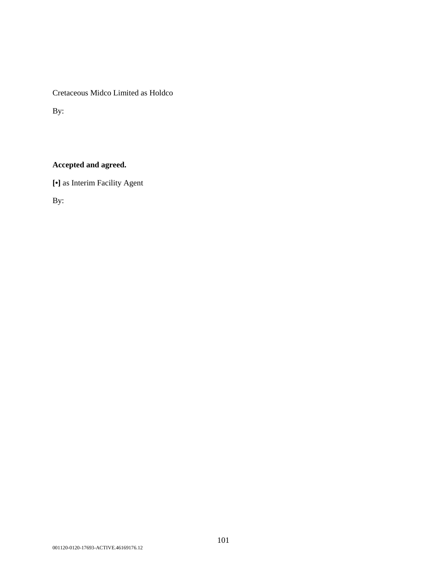Cretaceous Midco Limited as Holdco

By:

# **Accepted and agreed.**

**[•]** as Interim Facility Agent

By: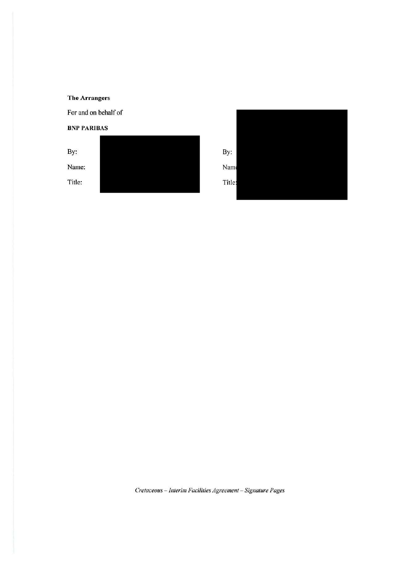# The Arrangers

For and on behalf of

# **BNP PARIBAS**

By:

Name: Title:





Cretaceous - Interim Facilities Agreement - Signature Pages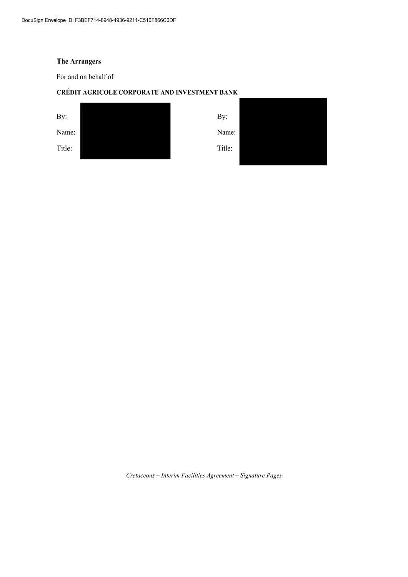# The Arrangers

For and on behalf of

# CRÉDIT AGRICOLE CORPORATE AND INVESTMENT BANK



Cretaceous - Interim Facilities Agreement - Signature Pages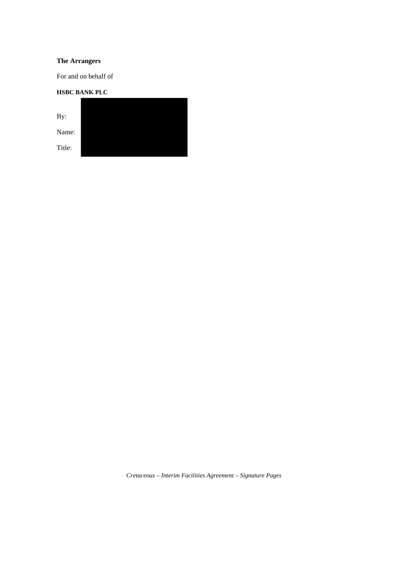# **The Arrangers**

For and on behalf of



*Cretaceous – Interim Facilities Agreement – Signature Pages*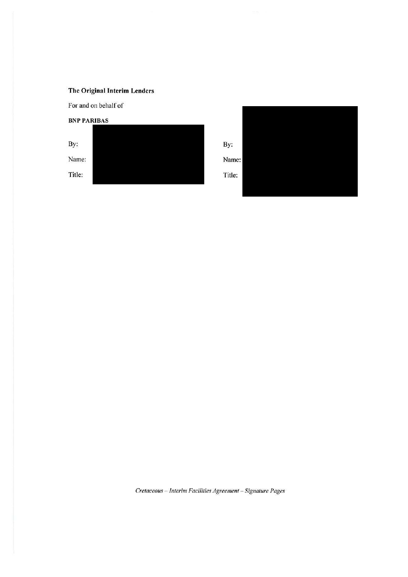# The Original Interim Lenders

For and on behalf of





Cretaceous - Interim Facilities Agreement - Signature Pages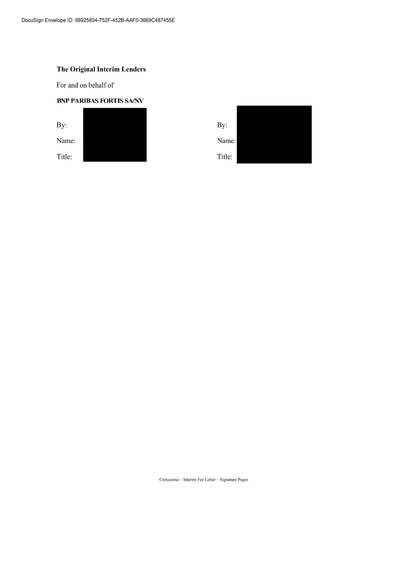# The Original Interim Lenders

For and on behalf of

## **BNP PARIBAS FORTIS SA/NV**





Cretaceous - Interim Fee Letter - Signature Pages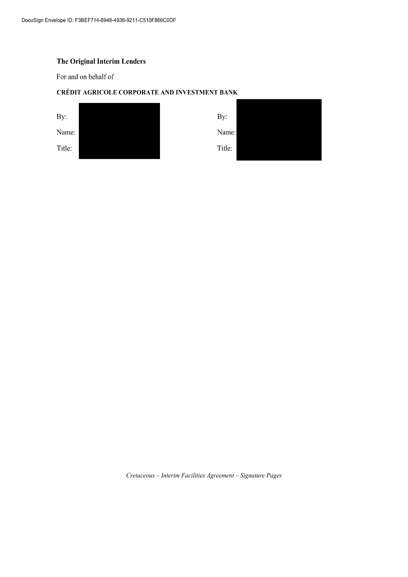# The Original Interim Lenders

For and on behalf of

# CRÉDIT AGRICOLE CORPORATE AND INVESTMENT BANK



Cretaceous - Interim Facilities Agreement - Signature Pages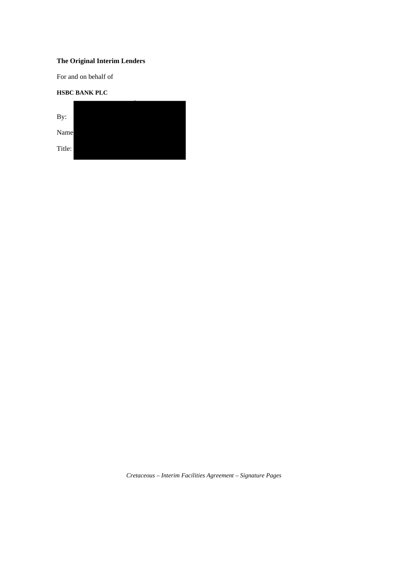### **The Original Interim Lenders**

For and on behalf of

## **HSBC BANK PLC**



*Cretaceous – Interim Facilities Agreement – Signature Pages*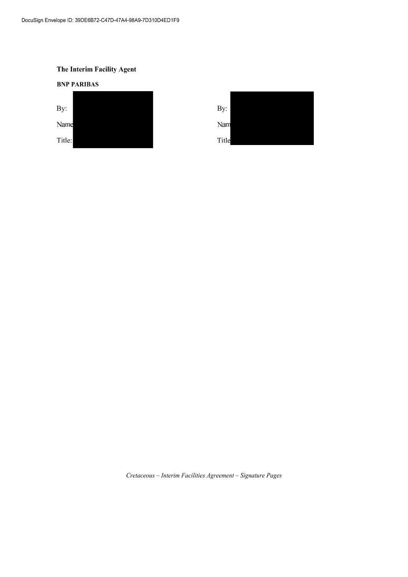### The Interim Facility Agent







Cretaceous - Interim Facilities Agreement - Signature Pages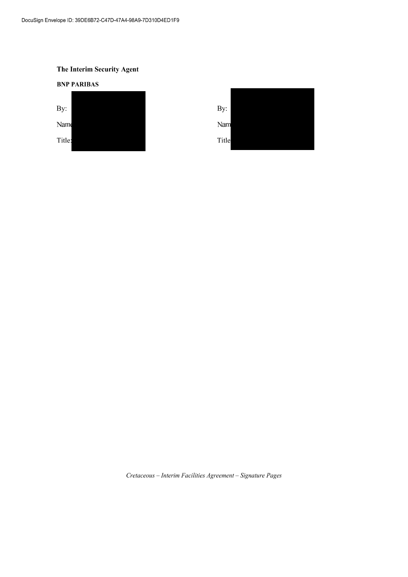# The Interim Security Agent







Cretaceous - Interim Facilities Agreement - Signature Pages